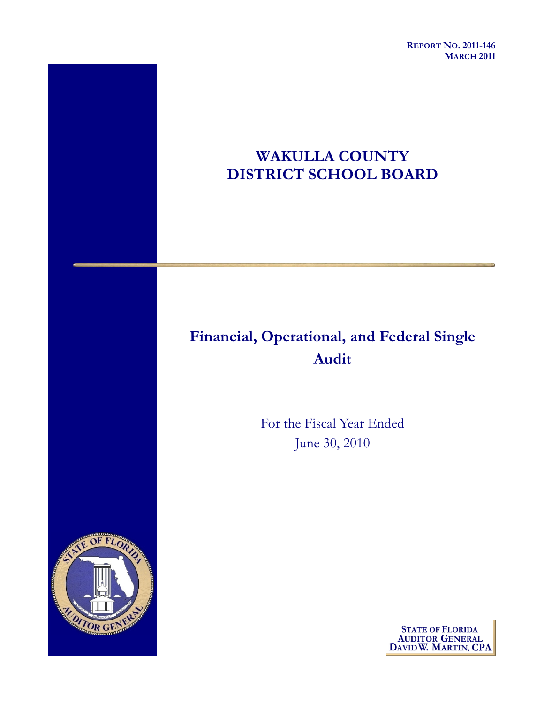# **WAKULLA COUNTY DISTRICT SCHOOL BOARD**

# **Financial, Operational, and Federal Single Audit**

For the Fiscal Year Ended June 30, 2010



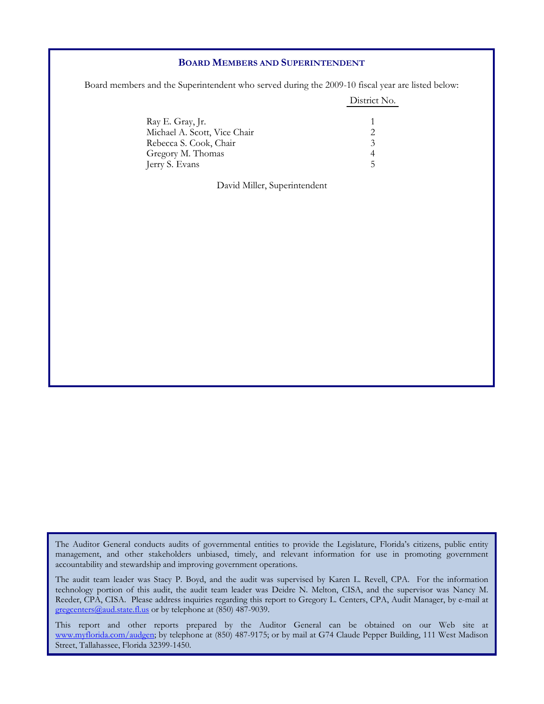#### **BOARD MEMBERS AND SUPERINTENDENT**

Board members and the Superintendent who served during the 2009-10 fiscal year are listed below:

|                              | District No. |
|------------------------------|--------------|
|                              |              |
| Ray E. Gray, Jr.             |              |
| Michael A. Scott, Vice Chair |              |
| Rebecca S. Cook, Chair       |              |
| Gregory M. Thomas            |              |
| Jerry S. Evans               |              |
|                              |              |

David Miller, Superintendent

The Auditor General conducts audits of governmental entities to provide the Legislature, Florida's citizens, public entity management, and other stakeholders unbiased, timely, and relevant information for use in promoting government accountability and stewardship and improving government operations.

The audit team leader was Stacy P. Boyd, and the audit was supervised by Karen L. Revell, CPA. For the information technology portion of this audit, the audit team leader was Deidre N. Melton, CISA, and the supervisor was Nancy M. Reeder, CPA, CISA. Please address inquiries regarding this report to Gregory L. Centers, CPA, Audit Manager, by e-mail at gregcenters@aud.state.fl.us or by telephone at (850) 487-9039.

This report and other reports prepared by the Auditor General can be obtained on our Web site at www.myflorida.com/audgen; by telephone at (850) 487-9175; or by mail at G74 Claude Pepper Building, 111 West Madison Street, Tallahassee, Florida 32399-1450.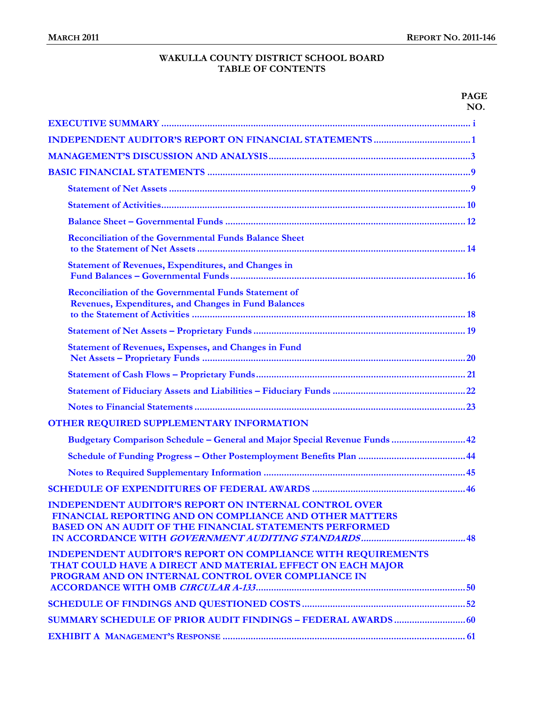## **WAKULLA COUNTY DISTRICT SCHOOL BOARD TABLE OF CONTENTS**

## **PAGE NO.**

| Reconciliation of the Governmental Funds Balance Sheet                                                                                                                                  |
|-----------------------------------------------------------------------------------------------------------------------------------------------------------------------------------------|
| <b>Statement of Revenues, Expenditures, and Changes in</b>                                                                                                                              |
| <b>Reconciliation of the Governmental Funds Statement of</b><br><b>Revenues, Expenditures, and Changes in Fund Balances</b>                                                             |
|                                                                                                                                                                                         |
| <b>Statement of Revenues, Expenses, and Changes in Fund</b>                                                                                                                             |
|                                                                                                                                                                                         |
|                                                                                                                                                                                         |
|                                                                                                                                                                                         |
| OTHER REQUIRED SUPPLEMENTARY INFORMATION                                                                                                                                                |
| Budgetary Comparison Schedule - General and Major Special Revenue Funds  42                                                                                                             |
|                                                                                                                                                                                         |
|                                                                                                                                                                                         |
|                                                                                                                                                                                         |
| INDEPENDENT AUDITOR'S REPORT ON INTERNAL CONTROL OVER<br>FINANCIAL REPORTING AND ON COMPLIANCE AND OTHER MATTERS<br><b>BASED ON AN AUDIT OF THE FINANCIAL STATEMENTS PERFORMED</b>      |
| <b>INDEPENDENT AUDITOR'S REPORT ON COMPLIANCE WITH REQUIREMENTS</b><br>THAT COULD HAVE A DIRECT AND MATERIAL EFFECT ON EACH MAJOR<br>PROGRAM AND ON INTERNAL CONTROL OVER COMPLIANCE IN |
|                                                                                                                                                                                         |
|                                                                                                                                                                                         |
|                                                                                                                                                                                         |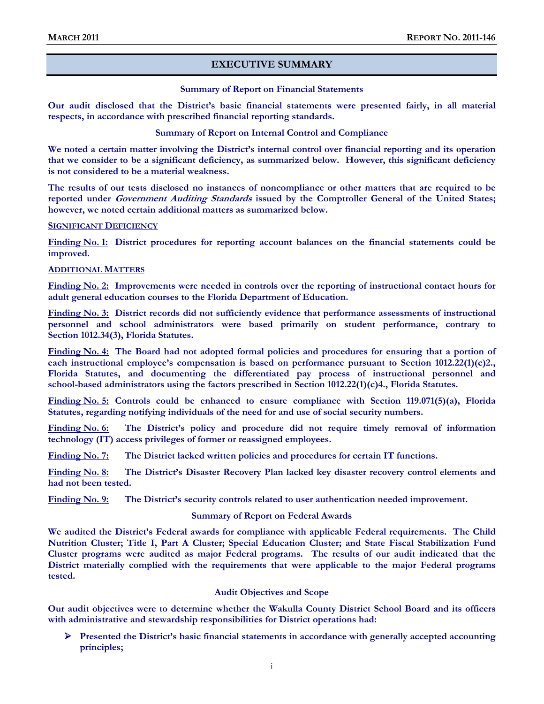## **EXECUTIVE SUMMARY**

#### **Summary of Report on Financial Statements**

<span id="page-3-0"></span>**Our audit disclosed that the District's basic financial statements were presented fairly, in all material respects, in accordance with prescribed financial reporting standards.** 

#### **Summary of Report on Internal Control and Compliance**

**We noted a certain matter involving the District's internal control over financial reporting and its operation that we consider to be a significant deficiency, as summarized below. However, this significant deficiency is not considered to be a material weakness.** 

**The results of our tests disclosed no instances of noncompliance or other matters that are required to be reported under Government Auditing Standards issued by the Comptroller General of the United States; however, we noted certain additional matters as summarized below.** 

#### **SIGNIFICANT DEFICIENCY**

**Finding No. 1: District procedures for reporting account balances on the financial statements could be improved.** 

#### **ADDITIONAL MATTERS**

**Finding No. 2: Improvements were needed in controls over the reporting of instructional contact hours for adult general education courses to the Florida Department of Education.** 

**Finding No. 3: District records did not sufficiently evidence that performance assessments of instructional personnel and school administrators were based primarily on student performance, contrary to Section 1012.34(3), Florida Statutes.** 

**Finding No. 4: The Board had not adopted formal policies and procedures for ensuring that a portion of each instructional employee's compensation is based on performance pursuant to Section 1012.22(1)(c)2., Florida Statutes, and documenting the differentiated pay process of instructional personnel and school-based administrators using the factors prescribed in Section 1012.22(1)(c)4., Florida Statutes.** 

**Finding No. 5: Controls could be enhanced to ensure compliance with Section 119.071(5)(a), Florida Statutes, regarding notifying individuals of the need for and use of social security numbers.** 

**Finding No. 6: The District's policy and procedure did not require timely removal of information technology (IT) access privileges of former or reassigned employees.** 

**Finding No. 7: The District lacked written policies and procedures for certain IT functions.** 

**Finding No. 8: The District's Disaster Recovery Plan lacked key disaster recovery control elements and had not been tested.** 

**Finding No. 9: The District's security controls related to user authentication needed improvement.** 

#### **Summary of Report on Federal Awards**

**We audited the District's Federal awards for compliance with applicable Federal requirements. The Child Nutrition Cluster; Title I, Part A Cluster; Special Education Cluster; and State Fiscal Stabilization Fund Cluster programs were audited as major Federal programs. The results of our audit indicated that the District materially complied with the requirements that were applicable to the major Federal programs tested.** 

#### **Audit Objectives and Scope**

**Our audit objectives were to determine whether the Wakulla County District School Board and its officers with administrative and stewardship responsibilities for District operations had:** 

 **Presented the District's basic financial statements in accordance with generally accepted accounting principles;**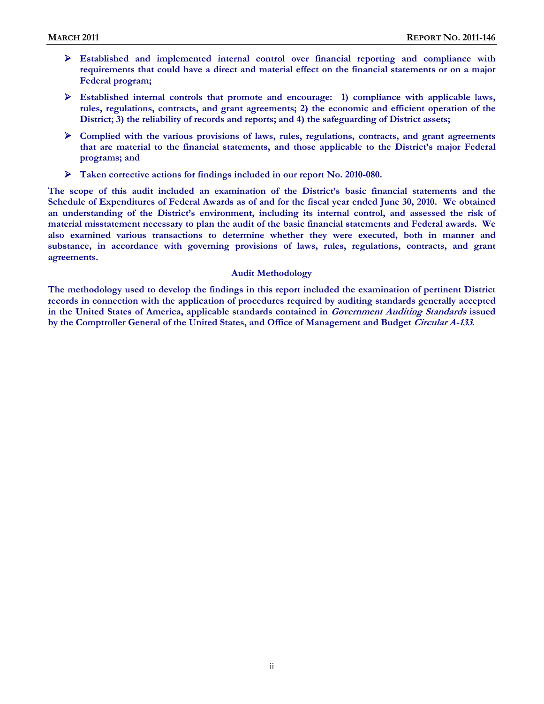- **Established and implemented internal control over financial reporting and compliance with requirements that could have a direct and material effect on the financial statements or on a major Federal program;**
- **Established internal controls that promote and encourage: 1) compliance with applicable laws, rules, regulations, contracts, and grant agreements; 2) the economic and efficient operation of the District; 3) the reliability of records and reports; and 4) the safeguarding of District assets;**
- **Complied with the various provisions of laws, rules, regulations, contracts, and grant agreements that are material to the financial statements, and those applicable to the District's major Federal programs; and**
- **Taken corrective actions for findings included in our report No. 2010-080.**

**The scope of this audit included an examination of the District's basic financial statements and the Schedule of Expenditures of Federal Awards as of and for the fiscal year ended June 30, 2010. We obtained an understanding of the District's environment, including its internal control, and assessed the risk of material misstatement necessary to plan the audit of the basic financial statements and Federal awards. We also examined various transactions to determine whether they were executed, both in manner and substance, in accordance with governing provisions of laws, rules, regulations, contracts, and grant agreements.** 

#### **Audit Methodology**

**The methodology used to develop the findings in this report included the examination of pertinent District records in connection with the application of procedures required by auditing standards generally accepted in the United States of America, applicable standards contained in Government Auditing Standards issued by the Comptroller General of the United States, and Office of Management and Budget Circular A-133.**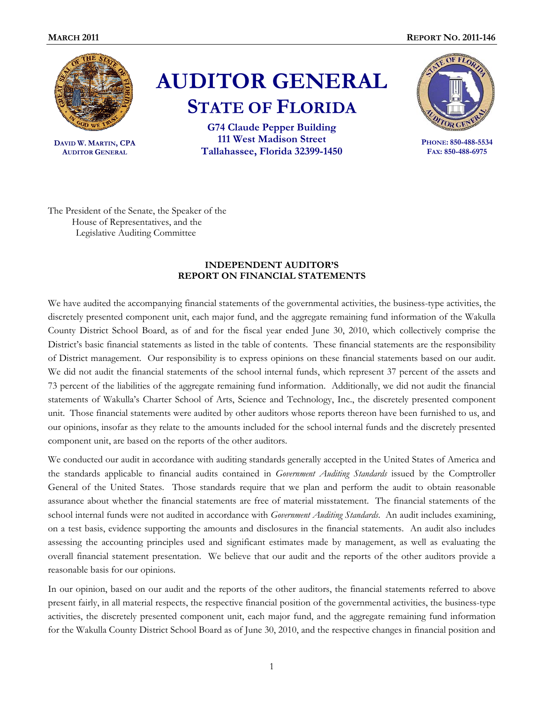<span id="page-5-0"></span>

**DAVID W. MARTIN, CPA AUDITOR GENERAL**

# **AUDITOR GENERAL STATE OF FLORIDA**

**G74 Claude Pepper Building 111 West Madison Street Tallahassee, Florida 32399-1450** 



**PHONE: 850-488-5534 FAX: 850-488-6975** 

The President of the Senate, the Speaker of the House of Representatives, and the Legislative Auditing Committee

## **INDEPENDENT AUDITOR'S REPORT ON FINANCIAL STATEMENTS**

We have audited the accompanying financial statements of the governmental activities, the business-type activities, the discretely presented component unit, each major fund, and the aggregate remaining fund information of the Wakulla County District School Board, as of and for the fiscal year ended June 30, 2010, which collectively comprise the District's basic financial statements as listed in the table of contents. These financial statements are the responsibility of District management. Our responsibility is to express opinions on these financial statements based on our audit. We did not audit the financial statements of the school internal funds, which represent 37 percent of the assets and 73 percent of the liabilities of the aggregate remaining fund information. Additionally, we did not audit the financial statements of Wakulla's Charter School of Arts, Science and Technology, Inc., the discretely presented component unit. Those financial statements were audited by other auditors whose reports thereon have been furnished to us, and our opinions, insofar as they relate to the amounts included for the school internal funds and the discretely presented component unit, are based on the reports of the other auditors.

We conducted our audit in accordance with auditing standards generally accepted in the United States of America and the standards applicable to financial audits contained in *Government Auditing Standards* issued by the Comptroller General of the United States. Those standards require that we plan and perform the audit to obtain reasonable assurance about whether the financial statements are free of material misstatement. The financial statements of the school internal funds were not audited in accordance with *Government Auditing Standards*. An audit includes examining, on a test basis, evidence supporting the amounts and disclosures in the financial statements. An audit also includes assessing the accounting principles used and significant estimates made by management, as well as evaluating the overall financial statement presentation. We believe that our audit and the reports of the other auditors provide a reasonable basis for our opinions.

In our opinion, based on our audit and the reports of the other auditors, the financial statements referred to above present fairly, in all material respects, the respective financial position of the governmental activities, the business-type activities, the discretely presented component unit, each major fund, and the aggregate remaining fund information for the Wakulla County District School Board as of June 30, 2010, and the respective changes in financial position and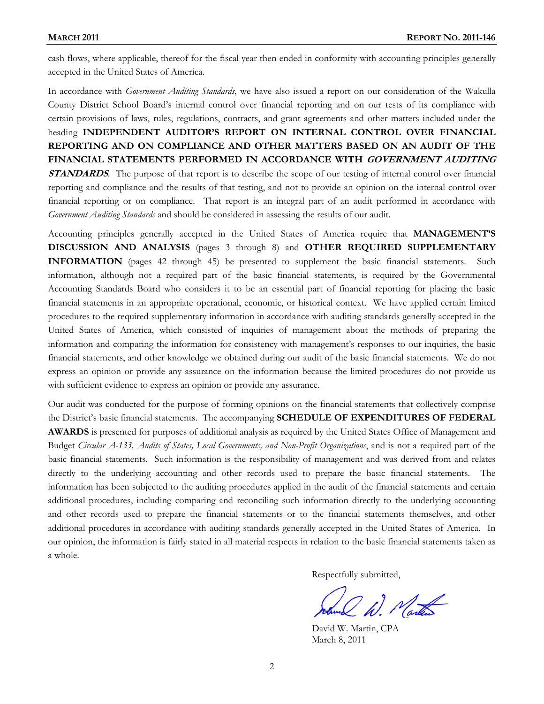cash flows, where applicable, thereof for the fiscal year then ended in conformity with accounting principles generally accepted in the United States of America.

In accordance with *Government Auditing Standards*, we have also issued a report on our consideration of the Wakulla County District School Board's internal control over financial reporting and on our tests of its compliance with certain provisions of laws, rules, regulations, contracts, and grant agreements and other matters included under the heading **INDEPENDENT AUDITOR'S REPORT ON INTERNAL CONTROL OVER FINANCIAL REPORTING AND ON COMPLIANCE AND OTHER MATTERS BASED ON AN AUDIT OF THE FINANCIAL STATEMENTS PERFORMED IN ACCORDANCE WITH GOVERNMENT AUDITING STANDARDS**. The purpose of that report is to describe the scope of our testing of internal control over financial reporting and compliance and the results of that testing, and not to provide an opinion on the internal control over financial reporting or on compliance. That report is an integral part of an audit performed in accordance with *Government Auditing Standards* and should be considered in assessing the results of our audit.

Accounting principles generally accepted in the United States of America require that **MANAGEMENT'S DISCUSSION AND ANALYSIS** (pages 3 through 8) and **OTHER REQUIRED SUPPLEMENTARY INFORMATION** (pages 42 through 45) be presented to supplement the basic financial statements. Such information, although not a required part of the basic financial statements, is required by the Governmental Accounting Standards Board who considers it to be an essential part of financial reporting for placing the basic financial statements in an appropriate operational, economic, or historical context. We have applied certain limited procedures to the required supplementary information in accordance with auditing standards generally accepted in the United States of America, which consisted of inquiries of management about the methods of preparing the information and comparing the information for consistency with management's responses to our inquiries, the basic financial statements, and other knowledge we obtained during our audit of the basic financial statements. We do not express an opinion or provide any assurance on the information because the limited procedures do not provide us with sufficient evidence to express an opinion or provide any assurance.

Our audit was conducted for the purpose of forming opinions on the financial statements that collectively comprise the District's basic financial statements. The accompanying **SCHEDULE OF EXPENDITURES OF FEDERAL AWARDS** is presented for purposes of additional analysis as required by the United States Office of Management and Budget *Circular A-133, Audits of States, Local Governments, and Non-Profit Organizations*, and is not a required part of the basic financial statements. Such information is the responsibility of management and was derived from and relates directly to the underlying accounting and other records used to prepare the basic financial statements. The information has been subjected to the auditing procedures applied in the audit of the financial statements and certain additional procedures, including comparing and reconciling such information directly to the underlying accounting and other records used to prepare the financial statements or to the financial statements themselves, and other additional procedures in accordance with auditing standards generally accepted in the United States of America. In our opinion, the information is fairly stated in all material respects in relation to the basic financial statements taken as a whole.

Respectfully submitted,

(h) Marte

David W. Martin, CPA March 8, 2011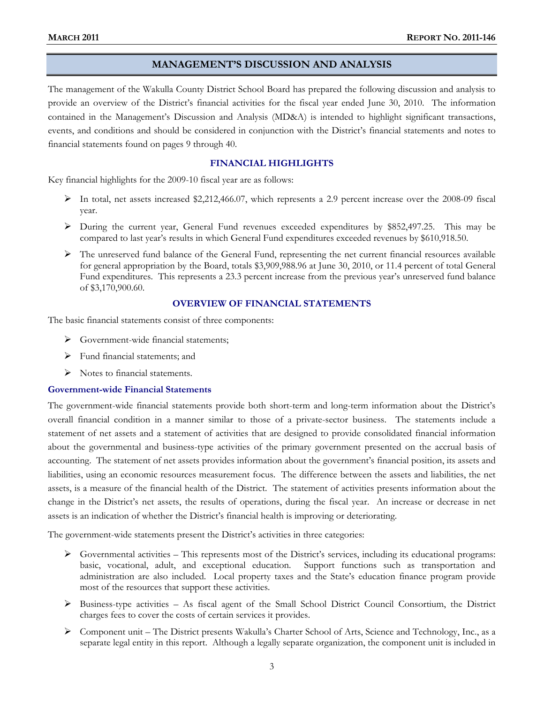#### **MANAGEMENT'S DISCUSSION AND ANALYSIS**

<span id="page-7-0"></span>The management of the Wakulla County District School Board has prepared the following discussion and analysis to provide an overview of the District's financial activities for the fiscal year ended June 30, 2010. The information contained in the Management's Discussion and Analysis (MD&A) is intended to highlight significant transactions, events, and conditions and should be considered in conjunction with the District's financial statements and notes to financial statements found on pages 9 through 40.

#### **FINANCIAL HIGHLIGHTS**

Key financial highlights for the 2009-10 fiscal year are as follows:

- $\triangleright$  In total, net assets increased \$2,212,466.07, which represents a 2.9 percent increase over the 2008-09 fiscal year.
- $\triangleright$  During the current year, General Fund revenues exceeded expenditures by \$852,497.25. This may be compared to last year's results in which General Fund expenditures exceeded revenues by \$610,918.50.
- $\triangleright$  The unreserved fund balance of the General Fund, representing the net current financial resources available for general appropriation by the Board, totals \$3,909,988.96 at June 30, 2010, or 11.4 percent of total General Fund expenditures. This represents a 23.3 percent increase from the previous year's unreserved fund balance of \$3,170,900.60.

#### **OVERVIEW OF FINANCIAL STATEMENTS**

The basic financial statements consist of three components:

- $\triangleright$  Government-wide financial statements:
- Fund financial statements; and
- $\triangleright$  Notes to financial statements.

#### **Government-wide Financial Statements**

The government-wide financial statements provide both short-term and long-term information about the District's overall financial condition in a manner similar to those of a private-sector business. The statements include a statement of net assets and a statement of activities that are designed to provide consolidated financial information about the governmental and business-type activities of the primary government presented on the accrual basis of accounting. The statement of net assets provides information about the government's financial position, its assets and liabilities, using an economic resources measurement focus. The difference between the assets and liabilities, the net assets, is a measure of the financial health of the District. The statement of activities presents information about the change in the District's net assets, the results of operations, during the fiscal year. An increase or decrease in net assets is an indication of whether the District's financial health is improving or deteriorating.

The government-wide statements present the District's activities in three categories:

- $\triangleright$  Governmental activities This represents most of the District's services, including its educational programs: basic, vocational, adult, and exceptional education. Support functions such as transportation and administration are also included. Local property taxes and the State's education finance program provide most of the resources that support these activities.
- $\triangleright$  Business-type activities As fiscal agent of the Small School District Council Consortium, the District charges fees to cover the costs of certain services it provides.
- Component unit The District presents Wakulla's Charter School of Arts, Science and Technology, Inc., as a separate legal entity in this report. Although a legally separate organization, the component unit is included in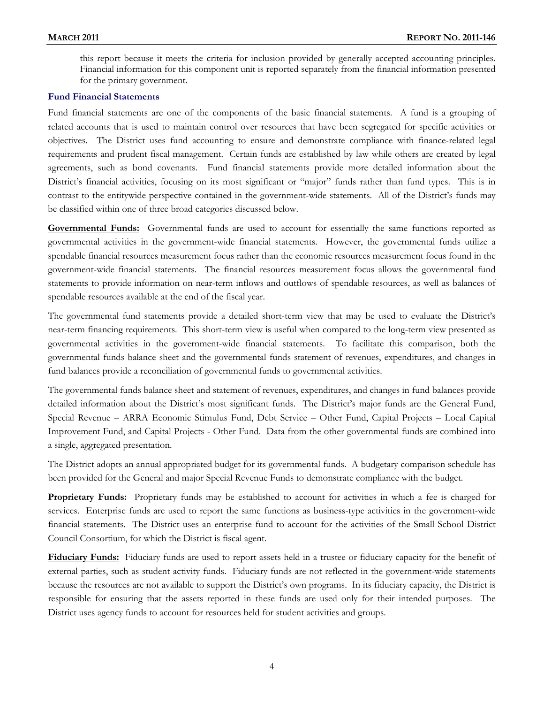this report because it meets the criteria for inclusion provided by generally accepted accounting principles. Financial information for this component unit is reported separately from the financial information presented for the primary government.

#### **Fund Financial Statements**

Fund financial statements are one of the components of the basic financial statements. A fund is a grouping of related accounts that is used to maintain control over resources that have been segregated for specific activities or objectives. The District uses fund accounting to ensure and demonstrate compliance with finance-related legal requirements and prudent fiscal management. Certain funds are established by law while others are created by legal agreements, such as bond covenants. Fund financial statements provide more detailed information about the District's financial activities, focusing on its most significant or "major" funds rather than fund types. This is in contrast to the entitywide perspective contained in the government-wide statements. All of the District's funds may be classified within one of three broad categories discussed below.

**Governmental Funds:** Governmental funds are used to account for essentially the same functions reported as governmental activities in the government-wide financial statements. However, the governmental funds utilize a spendable financial resources measurement focus rather than the economic resources measurement focus found in the government-wide financial statements. The financial resources measurement focus allows the governmental fund statements to provide information on near-term inflows and outflows of spendable resources, as well as balances of spendable resources available at the end of the fiscal year.

The governmental fund statements provide a detailed short-term view that may be used to evaluate the District's near-term financing requirements. This short-term view is useful when compared to the long-term view presented as governmental activities in the government-wide financial statements. To facilitate this comparison, both the governmental funds balance sheet and the governmental funds statement of revenues, expenditures, and changes in fund balances provide a reconciliation of governmental funds to governmental activities.

The governmental funds balance sheet and statement of revenues, expenditures, and changes in fund balances provide detailed information about the District's most significant funds. The District's major funds are the General Fund, Special Revenue – ARRA Economic Stimulus Fund, Debt Service – Other Fund, Capital Projects – Local Capital Improvement Fund, and Capital Projects - Other Fund. Data from the other governmental funds are combined into a single, aggregated presentation.

The District adopts an annual appropriated budget for its governmental funds. A budgetary comparison schedule has been provided for the General and major Special Revenue Funds to demonstrate compliance with the budget.

**Proprietary Funds:** Proprietary funds may be established to account for activities in which a fee is charged for services. Enterprise funds are used to report the same functions as business-type activities in the government-wide financial statements. The District uses an enterprise fund to account for the activities of the Small School District Council Consortium, for which the District is fiscal agent.

**Fiduciary Funds:** Fiduciary funds are used to report assets held in a trustee or fiduciary capacity for the benefit of external parties, such as student activity funds. Fiduciary funds are not reflected in the government-wide statements because the resources are not available to support the District's own programs. In its fiduciary capacity, the District is responsible for ensuring that the assets reported in these funds are used only for their intended purposes. The District uses agency funds to account for resources held for student activities and groups.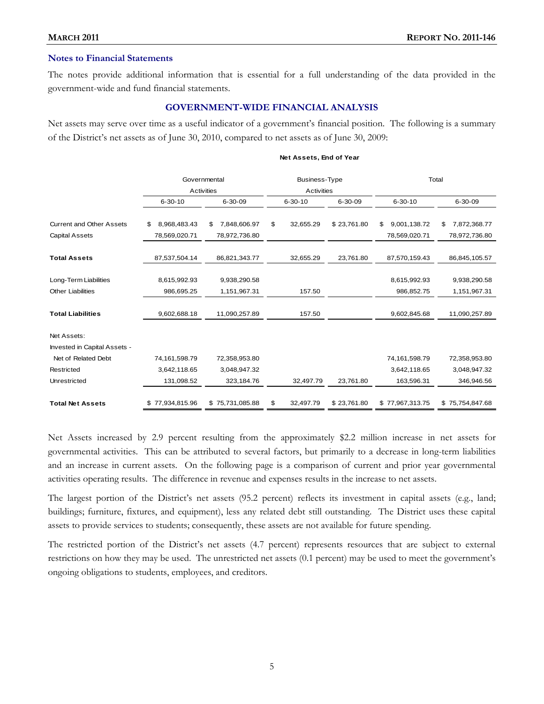#### **Notes to Financial Statements**

The notes provide additional information that is essential for a full understanding of the data provided in the government-wide and fund financial statements.

#### **GOVERNMENT-WIDE FINANCIAL ANALYSIS**

Net assets may serve over time as a useful indicator of a government's financial position. The following is a summary of the District's net assets as of June 30, 2010, compared to net assets as of June 30, 2009:

|                                                          |                                     | Governmental                        | <b>Business-Type</b> |             | Total                               |                                     |  |  |
|----------------------------------------------------------|-------------------------------------|-------------------------------------|----------------------|-------------|-------------------------------------|-------------------------------------|--|--|
|                                                          |                                     | <b>Activities</b>                   | <b>Activities</b>    |             |                                     |                                     |  |  |
|                                                          | $6 - 30 - 10$                       | 6-30-09                             | $6 - 30 - 10$        | 6-30-09     | $6 - 30 - 10$                       | $6 - 30 - 09$                       |  |  |
| <b>Current and Other Assets</b><br><b>Capital Assets</b> | \$<br>8,968,483.43<br>78,569,020.71 | 7,848,606.97<br>S.<br>78,972,736.80 | \$<br>32,655.29      | \$23,761.80 | \$<br>9,001,138.72<br>78,569,020.71 | 7,872,368.77<br>S.<br>78,972,736.80 |  |  |
| <b>Total Assets</b>                                      | 87,537,504.14                       | 86,821,343.77                       | 32,655.29            | 23,761.80   | 87,570,159.43                       | 86,845,105.57                       |  |  |
| Long-Term Liabilities                                    | 8,615,992.93                        | 9,938,290.58                        |                      |             | 8,615,992.93                        | 9,938,290.58                        |  |  |
| <b>Other Liabilities</b>                                 | 986,695.25                          | 1,151,967.31                        | 157.50               |             | 986,852.75                          | 1,151,967.31                        |  |  |
| <b>Total Liabilities</b>                                 | 9,602,688.18                        | 11,090,257.89                       | 157.50               |             | 9,602,845.68                        | 11,090,257.89                       |  |  |
| Net Assets:                                              |                                     |                                     |                      |             |                                     |                                     |  |  |
| Invested in Capital Assets -                             |                                     |                                     |                      |             |                                     |                                     |  |  |
| Net of Related Debt                                      | 74,161,598.79                       | 72,358,953.80                       |                      |             | 74, 161, 598. 79                    | 72,358,953.80                       |  |  |
| Restricted                                               | 3,642,118.65                        | 3,048,947.32                        |                      |             | 3,642,118.65                        | 3,048,947.32                        |  |  |
| Unrestricted                                             | 131,098.52                          | 323,184.76                          | 32,497.79            | 23,761.80   | 163,596.31                          | 346,946.56                          |  |  |
| <b>Total Net Assets</b>                                  | \$77,934,815.96                     | \$75,731,085.88                     | 32,497.79<br>\$      | \$23,761.80 | \$77,967,313.75                     | \$75,754,847.68                     |  |  |

#### **Net Assets, End of Year**

Net Assets increased by 2.9 percent resulting from the approximately \$2.2 million increase in net assets for governmental activities. This can be attributed to several factors, but primarily to a decrease in long-term liabilities and an increase in current assets. On the following page is a comparison of current and prior year governmental activities operating results. The difference in revenue and expenses results in the increase to net assets.

The largest portion of the District's net assets (95.2 percent) reflects its investment in capital assets (e.g., land; buildings; furniture, fixtures, and equipment), less any related debt still outstanding. The District uses these capital assets to provide services to students; consequently, these assets are not available for future spending.

The restricted portion of the District's net assets (4.7 percent) represents resources that are subject to external restrictions on how they may be used. The unrestricted net assets (0.1 percent) may be used to meet the government's ongoing obligations to students, employees, and creditors.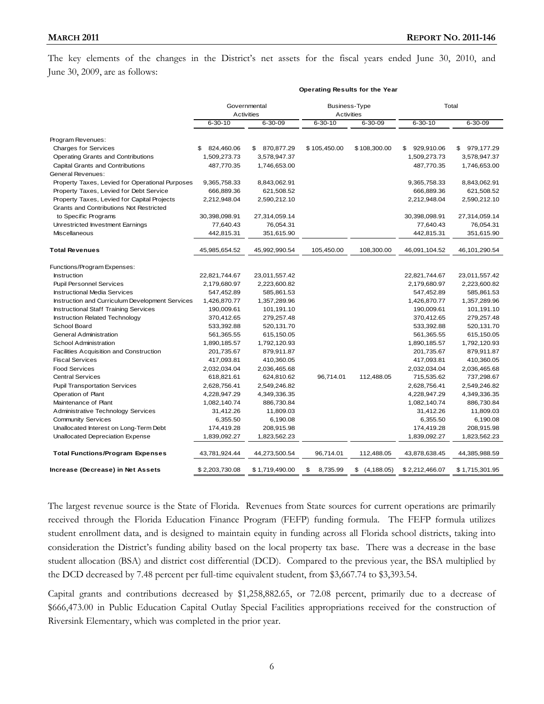The key elements of the changes in the District's net assets for the fiscal years ended June 30, 2010, and June 30, 2009, are as follows:

**Operating Results for the Year**

|                                                 |                   | Governmental<br><b>Activities</b> | <b>Business-Type</b><br>Activities |                   |                  | Total            |
|-------------------------------------------------|-------------------|-----------------------------------|------------------------------------|-------------------|------------------|------------------|
|                                                 | $6 - 30 - 10$     | $6 - 30 - 09$                     | $6 - 30 - 10$                      | $6 - 30 - 09$     | $6 - 30 - 10$    | $6 - 30 - 09$    |
|                                                 |                   |                                   |                                    |                   |                  |                  |
| Program Revenues:                               |                   |                                   |                                    |                   |                  |                  |
| <b>Charges for Services</b>                     | 824,460.06<br>\$. | \$<br>870,877.29                  | \$105,450.00                       | \$108,300.00      | \$<br>929,910.06 | \$<br>979,177.29 |
| Operating Grants and Contributions              | 1,509,273.73      | 3,578,947.37                      |                                    |                   | 1,509,273.73     | 3,578,947.37     |
| Capital Grants and Contributions                | 487,770.35        | 1,746,653.00                      |                                    |                   | 487,770.35       | 1,746,653.00     |
| General Revenues:                               |                   |                                   |                                    |                   |                  |                  |
| Property Taxes, Levied for Operational Purposes | 9,365,758.33      | 8,843,062.91                      |                                    |                   | 9,365,758.33     | 8,843,062.91     |
| Property Taxes, Levied for Debt Service         | 666,889.36        | 621,508.52                        |                                    |                   | 666,889.36       | 621,508.52       |
| Property Taxes, Levied for Capital Projects     | 2,212,948.04      | 2,590,212.10                      |                                    |                   | 2,212,948.04     | 2,590,212.10     |
| Grants and Contributions Not Restricted         |                   |                                   |                                    |                   |                  |                  |
| to Specific Programs                            | 30,398,098.91     | 27,314,059.14                     |                                    |                   | 30,398,098.91    | 27,314,059.14    |
| Unrestricted Investment Earnings                | 77,640.43         | 76,054.31                         |                                    |                   | 77,640.43        | 76,054.31        |
| Miscellaneous                                   | 442,815.31        | 351,615.90                        |                                    |                   | 442,815.31       | 351,615.90       |
| <b>Total Revenues</b>                           | 45,985,654.52     | 45,992,990.54                     | 105,450.00                         | 108,300.00        | 46,091,104.52    | 46,101,290.54    |
| Functions/Program Expenses:                     |                   |                                   |                                    |                   |                  |                  |
| <b>Instruction</b>                              | 22,821,744.67     | 23,011,557.42                     |                                    |                   | 22,821,744.67    | 23,011,557.42    |
| <b>Pupil Personnel Services</b>                 | 2,179,680.97      | 2,223,600.82                      |                                    |                   | 2,179,680.97     | 2,223,600.82     |
| <b>Instructional Media Services</b>             | 547,452.89        | 585,861.53                        |                                    |                   | 547,452.89       | 585,861.53       |
| Instruction and Curriculum Development Services | 1,426,870.77      | 1,357,289.96                      |                                    |                   | 1,426,870.77     | 1,357,289.96     |
| <b>Instructional Staff Training Services</b>    | 190,009.61        | 101,191.10                        |                                    |                   | 190,009.61       | 101,191.10       |
| <b>Instruction Related Technology</b>           | 370,412.65        | 279,257.48                        |                                    |                   | 370,412.65       | 279,257.48       |
| School Board                                    | 533,392.88        | 520,131.70                        |                                    |                   | 533,392.88       | 520,131.70       |
| <b>General Administration</b>                   | 561,365.55        | 615,150.05                        |                                    |                   | 561,365.55       | 615,150.05       |
| School Administration                           | 1,890,185.57      | 1,792,120.93                      |                                    |                   | 1,890,185.57     | 1,792,120.93     |
| Facilities Acquisition and Construction         | 201,735.67        | 879,911.87                        |                                    |                   | 201,735.67       | 879,911.87       |
| <b>Fiscal Services</b>                          | 417,093.81        | 410,360.05                        |                                    |                   | 417,093.81       | 410,360.05       |
| <b>Food Services</b>                            | 2,032,034.04      | 2,036,465.68                      |                                    |                   | 2,032,034.04     | 2,036,465.68     |
| <b>Central Services</b>                         | 618,821.61        | 624,810.62                        | 96,714.01                          | 112,488.05        | 715,535.62       | 737,298.67       |
| <b>Pupil Transportation Services</b>            | 2,628,756.41      | 2,549,246.82                      |                                    |                   | 2,628,756.41     | 2,549,246.82     |
| Operation of Plant                              | 4,228,947.29      | 4,349,336.35                      |                                    |                   | 4,228,947.29     | 4,349,336.35     |
| Maintenance of Plant                            | 1,082,140.74      | 886,730.84                        |                                    |                   | 1,082,140.74     | 886,730.84       |
| Administrative Technology Services              | 31,412.26         | 11,809.03                         |                                    |                   | 31,412.26        | 11,809.03        |
| <b>Community Services</b>                       | 6,355.50          | 6,190.08                          |                                    |                   | 6,355.50         | 6,190.08         |
| Unallocated Interest on Long-Term Debt          | 174,419.28        | 208,915.98                        |                                    |                   | 174,419.28       | 208,915.98       |
| Unallocated Depreciation Expense                | 1,839,092.27      | 1,823,562.23                      |                                    |                   | 1,839,092.27     | 1,823,562.23     |
| <b>Total Functions/Program Expenses</b>         | 43,781,924.44     | 44,273,500.54                     | 96,714.01                          | 112,488.05        | 43,878,638.45    | 44,385,988.59    |
| Increase (Decrease) in Net Assets               | \$2,203,730.08    | \$1,719,490.00                    | 8,735.99<br>\$                     | (4, 188.05)<br>\$ | \$2,212,466.07   | \$1,715,301.95   |

The largest revenue source is the State of Florida. Revenues from State sources for current operations are primarily received through the Florida Education Finance Program (FEFP) funding formula. The FEFP formula utilizes student enrollment data, and is designed to maintain equity in funding across all Florida school districts, taking into consideration the District's funding ability based on the local property tax base. There was a decrease in the base student allocation (BSA) and district cost differential (DCD). Compared to the previous year, the BSA multiplied by the DCD decreased by 7.48 percent per full-time equivalent student, from \$3,667.74 to \$3,393.54.

Capital grants and contributions decreased by \$1,258,882.65, or 72.08 percent, primarily due to a decrease of \$666,473.00 in Public Education Capital Outlay Special Facilities appropriations received for the construction of Riversink Elementary, which was completed in the prior year.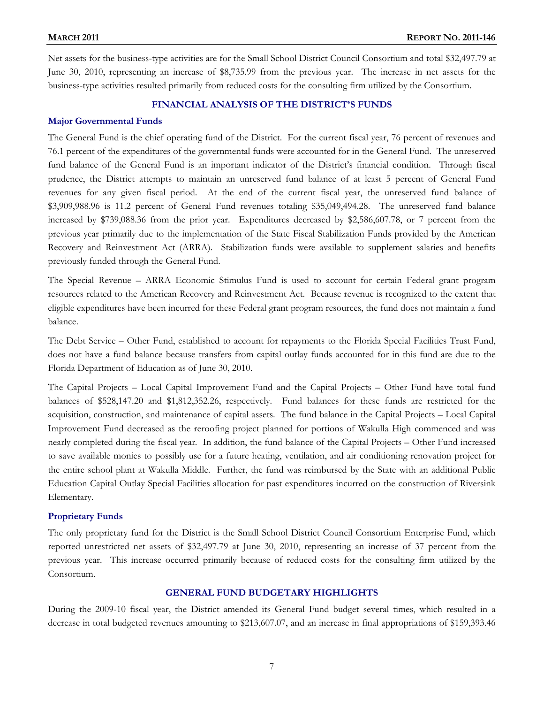Net assets for the business-type activities are for the Small School District Council Consortium and total \$32,497.79 at June 30, 2010, representing an increase of \$8,735.99 from the previous year. The increase in net assets for the business-type activities resulted primarily from reduced costs for the consulting firm utilized by the Consortium.

#### **FINANCIAL ANALYSIS OF THE DISTRICT'S FUNDS**

#### **Major Governmental Funds**

The General Fund is the chief operating fund of the District. For the current fiscal year, 76 percent of revenues and 76.1 percent of the expenditures of the governmental funds were accounted for in the General Fund. The unreserved fund balance of the General Fund is an important indicator of the District's financial condition. Through fiscal prudence, the District attempts to maintain an unreserved fund balance of at least 5 percent of General Fund revenues for any given fiscal period. At the end of the current fiscal year, the unreserved fund balance of \$3,909,988.96 is 11.2 percent of General Fund revenues totaling \$35,049,494.28. The unreserved fund balance increased by \$739,088.36 from the prior year. Expenditures decreased by \$2,586,607.78, or 7 percent from the previous year primarily due to the implementation of the State Fiscal Stabilization Funds provided by the American Recovery and Reinvestment Act (ARRA). Stabilization funds were available to supplement salaries and benefits previously funded through the General Fund.

The Special Revenue – ARRA Economic Stimulus Fund is used to account for certain Federal grant program resources related to the American Recovery and Reinvestment Act. Because revenue is recognized to the extent that eligible expenditures have been incurred for these Federal grant program resources, the fund does not maintain a fund balance.

The Debt Service – Other Fund, established to account for repayments to the Florida Special Facilities Trust Fund, does not have a fund balance because transfers from capital outlay funds accounted for in this fund are due to the Florida Department of Education as of June 30, 2010.

The Capital Projects – Local Capital Improvement Fund and the Capital Projects – Other Fund have total fund balances of \$528,147.20 and \$1,812,352.26, respectively. Fund balances for these funds are restricted for the acquisition, construction, and maintenance of capital assets. The fund balance in the Capital Projects – Local Capital Improvement Fund decreased as the reroofing project planned for portions of Wakulla High commenced and was nearly completed during the fiscal year. In addition, the fund balance of the Capital Projects – Other Fund increased to save available monies to possibly use for a future heating, ventilation, and air conditioning renovation project for the entire school plant at Wakulla Middle. Further, the fund was reimbursed by the State with an additional Public Education Capital Outlay Special Facilities allocation for past expenditures incurred on the construction of Riversink Elementary.

#### **Proprietary Funds**

The only proprietary fund for the District is the Small School District Council Consortium Enterprise Fund, which reported unrestricted net assets of \$32,497.79 at June 30, 2010, representing an increase of 37 percent from the previous year. This increase occurred primarily because of reduced costs for the consulting firm utilized by the Consortium.

#### **GENERAL FUND BUDGETARY HIGHLIGHTS**

During the 2009-10 fiscal year, the District amended its General Fund budget several times, which resulted in a decrease in total budgeted revenues amounting to \$213,607.07, and an increase in final appropriations of \$159,393.46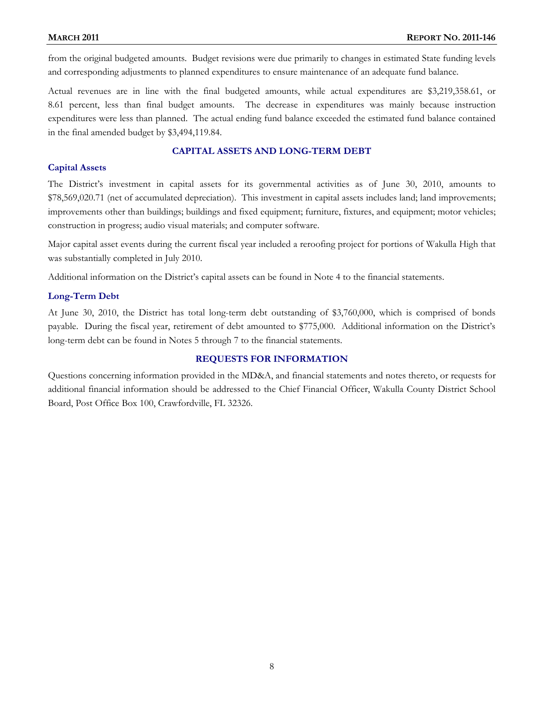from the original budgeted amounts. Budget revisions were due primarily to changes in estimated State funding levels and corresponding adjustments to planned expenditures to ensure maintenance of an adequate fund balance.

Actual revenues are in line with the final budgeted amounts, while actual expenditures are \$3,219,358.61, or 8.61 percent, less than final budget amounts. The decrease in expenditures was mainly because instruction expenditures were less than planned. The actual ending fund balance exceeded the estimated fund balance contained in the final amended budget by \$3,494,119.84.

#### **CAPITAL ASSETS AND LONG-TERM DEBT**

#### **Capital Assets**

The District's investment in capital assets for its governmental activities as of June 30, 2010, amounts to \$78,569,020.71 (net of accumulated depreciation). This investment in capital assets includes land; land improvements; improvements other than buildings; buildings and fixed equipment; furniture, fixtures, and equipment; motor vehicles; construction in progress; audio visual materials; and computer software.

Major capital asset events during the current fiscal year included a reroofing project for portions of Wakulla High that was substantially completed in July 2010.

Additional information on the District's capital assets can be found in Note 4 to the financial statements.

## **Long-Term Debt**

At June 30, 2010, the District has total long-term debt outstanding of \$3,760,000, which is comprised of bonds payable. During the fiscal year, retirement of debt amounted to \$775,000. Additional information on the District's long-term debt can be found in Notes 5 through 7 to the financial statements.

## **REQUESTS FOR INFORMATION**

Questions concerning information provided in the MD&A, and financial statements and notes thereto, or requests for additional financial information should be addressed to the Chief Financial Officer, Wakulla County District School Board, Post Office Box 100, Crawfordville, FL 32326.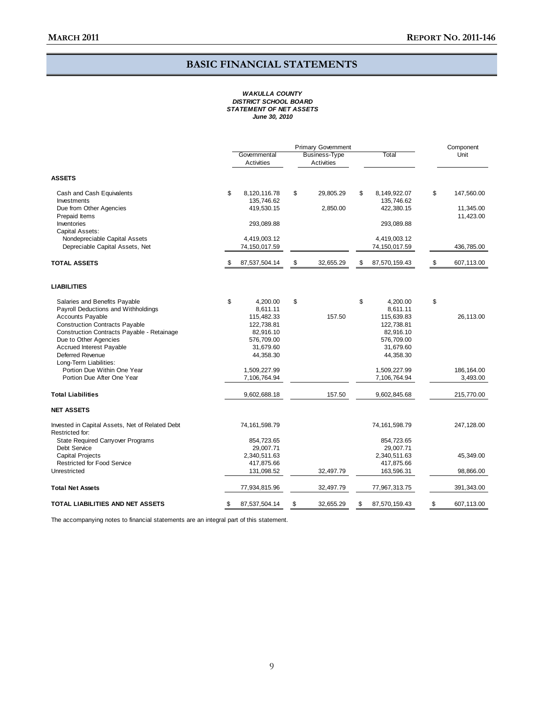# **BASIC FINANCIAL STATEMENTS**

#### *STATEMENT OF NET ASSETS June 30, 2010 WAKULLA COUNTY DISTRICT SCHOOL BOARD*

<span id="page-13-0"></span>

|                                                                    | <b>Primary Government</b>        |    |                                           | Component |                              |                        |
|--------------------------------------------------------------------|----------------------------------|----|-------------------------------------------|-----------|------------------------------|------------------------|
|                                                                    | Governmental<br>Activities       |    | <b>Business-Type</b><br><b>Activities</b> |           | Total                        | Unit                   |
| <b>ASSETS</b>                                                      |                                  |    |                                           |           |                              |                        |
| Cash and Cash Equivalents<br>Investments                           | \$<br>8,120,116.78<br>135,746.62 | \$ | 29,805.29                                 | \$        | 8,149,922.07<br>135,746.62   | \$<br>147,560.00       |
| Due from Other Agencies                                            | 419,530.15                       |    | 2,850.00                                  |           | 422,380.15                   | 11,345.00              |
| Prepaid Items                                                      |                                  |    |                                           |           |                              | 11,423.00              |
| Inventories                                                        | 293,089.88                       |    |                                           |           | 293,089.88                   |                        |
| Capital Assets:                                                    |                                  |    |                                           |           |                              |                        |
| Nondepreciable Capital Assets                                      | 4,419,003.12                     |    |                                           |           | 4,419,003.12                 |                        |
| Depreciable Capital Assets, Net                                    | 74,150,017.59                    |    |                                           |           | 74,150,017.59                | 436,785.00             |
| <b>TOTAL ASSETS</b>                                                | 87,537,504.14<br>\$.             | \$ | 32,655.29                                 | S         | 87,570,159.43                | \$<br>607,113.00       |
| <b>LIABILITIES</b>                                                 |                                  |    |                                           |           |                              |                        |
| Salaries and Benefits Payable                                      | \$<br>4,200.00                   | \$ |                                           | \$        | 4,200.00                     | \$                     |
| Payroll Deductions and Withholdings                                | 8,611.11                         |    |                                           |           | 8,611.11                     |                        |
| Accounts Payable                                                   | 115,482.33                       |    | 157.50                                    |           | 115,639.83                   | 26,113.00              |
| <b>Construction Contracts Payable</b>                              | 122,738.81                       |    |                                           |           | 122,738.81                   |                        |
| Construction Contracts Payable - Retainage                         | 82,916.10                        |    |                                           |           | 82,916.10                    |                        |
| Due to Other Agencies                                              | 576,709.00                       |    |                                           |           | 576,709.00                   |                        |
| Accrued Interest Payable                                           | 31,679.60                        |    |                                           |           | 31,679.60                    |                        |
| Deferred Revenue                                                   | 44,358.30                        |    |                                           |           | 44,358.30                    |                        |
| Long-Term Liabilities:<br>Portion Due Within One Year              |                                  |    |                                           |           |                              |                        |
| Portion Due After One Year                                         | 1,509,227.99<br>7,106,764.94     |    |                                           |           | 1,509,227.99<br>7,106,764.94 | 186,164.00<br>3,493.00 |
|                                                                    |                                  |    |                                           |           |                              |                        |
| <b>Total Liabilities</b>                                           | 9,602,688.18                     |    | 157.50                                    |           | 9,602,845.68                 | 215,770.00             |
| <b>NET ASSETS</b>                                                  |                                  |    |                                           |           |                              |                        |
| Invested in Capital Assets, Net of Related Debt<br>Restricted for: | 74, 161, 598. 79                 |    |                                           |           | 74, 161, 598. 79             | 247,128.00             |
| <b>State Required Carryover Programs</b>                           | 854,723.65                       |    |                                           |           | 854,723.65                   |                        |
| Debt Service                                                       | 29,007.71                        |    |                                           |           | 29,007.71                    |                        |
| Capital Projects                                                   | 2,340,511.63                     |    |                                           |           | 2,340,511.63                 | 45,349.00              |
| <b>Restricted for Food Service</b>                                 | 417,875.66                       |    |                                           |           | 417,875.66                   |                        |
| Unrestricted                                                       | 131,098.52                       |    | 32,497.79                                 |           | 163,596.31                   | 98,866.00              |
| <b>Total Net Assets</b>                                            | 77,934,815.96                    |    | 32,497.79                                 |           | 77,967,313.75                | 391,343.00             |
| TOTAL LIABILITIES AND NET ASSETS                                   | \$<br>87,537,504.14              | \$ | 32,655.29                                 | \$        | 87,570,159.43                | \$<br>607,113.00       |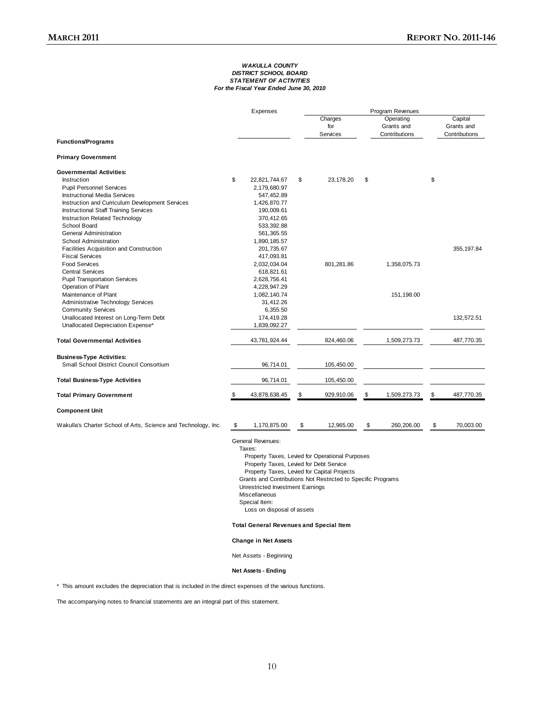#### *WAKULLA COUNTY DISTRICT SCHOOL BOARD STATEMENT OF ACTIVITIES For the Fiscal Year Ended June 30, 2010*

<span id="page-14-0"></span>

|                                                                | Expenses |                                                                                                                                                                                                                                                                                                                                                                                                                                                                |    | Program Revenues |    |               |    |               |  |  |
|----------------------------------------------------------------|----------|----------------------------------------------------------------------------------------------------------------------------------------------------------------------------------------------------------------------------------------------------------------------------------------------------------------------------------------------------------------------------------------------------------------------------------------------------------------|----|------------------|----|---------------|----|---------------|--|--|
|                                                                |          |                                                                                                                                                                                                                                                                                                                                                                                                                                                                |    | Charges          |    | Operating     |    | Capital       |  |  |
|                                                                |          |                                                                                                                                                                                                                                                                                                                                                                                                                                                                |    | for              |    | Grants and    |    | Grants and    |  |  |
|                                                                |          |                                                                                                                                                                                                                                                                                                                                                                                                                                                                |    | Services         |    | Contributions |    | Contributions |  |  |
| <b>Functions/Programs</b>                                      |          |                                                                                                                                                                                                                                                                                                                                                                                                                                                                |    |                  |    |               |    |               |  |  |
| <b>Primary Government</b>                                      |          |                                                                                                                                                                                                                                                                                                                                                                                                                                                                |    |                  |    |               |    |               |  |  |
| <b>Governmental Activities:</b>                                |          |                                                                                                                                                                                                                                                                                                                                                                                                                                                                |    |                  |    |               |    |               |  |  |
| Instruction                                                    | \$       | 22,821,744.67                                                                                                                                                                                                                                                                                                                                                                                                                                                  | \$ | 23,178.20        | \$ |               | \$ |               |  |  |
| <b>Pupil Personnel Services</b>                                |          | 2,179,680.97                                                                                                                                                                                                                                                                                                                                                                                                                                                   |    |                  |    |               |    |               |  |  |
| <b>Instructional Media Services</b>                            |          | 547,452.89                                                                                                                                                                                                                                                                                                                                                                                                                                                     |    |                  |    |               |    |               |  |  |
| Instruction and Curriculum Development Services                |          | 1,426,870.77                                                                                                                                                                                                                                                                                                                                                                                                                                                   |    |                  |    |               |    |               |  |  |
| <b>Instructional Staff Training Services</b>                   |          | 190,009.61                                                                                                                                                                                                                                                                                                                                                                                                                                                     |    |                  |    |               |    |               |  |  |
| Instruction Related Technology                                 |          | 370,412.65                                                                                                                                                                                                                                                                                                                                                                                                                                                     |    |                  |    |               |    |               |  |  |
| School Board                                                   |          | 533,392.88                                                                                                                                                                                                                                                                                                                                                                                                                                                     |    |                  |    |               |    |               |  |  |
| <b>General Administration</b>                                  |          | 561,365.55                                                                                                                                                                                                                                                                                                                                                                                                                                                     |    |                  |    |               |    |               |  |  |
| School Administration                                          |          | 1,890,185.57                                                                                                                                                                                                                                                                                                                                                                                                                                                   |    |                  |    |               |    |               |  |  |
| Facilities Acquisition and Construction                        |          | 201,735.67                                                                                                                                                                                                                                                                                                                                                                                                                                                     |    |                  |    |               |    | 355, 197.84   |  |  |
| <b>Fiscal Services</b>                                         |          | 417,093.81                                                                                                                                                                                                                                                                                                                                                                                                                                                     |    |                  |    |               |    |               |  |  |
| <b>Food Services</b>                                           |          | 2,032,034.04                                                                                                                                                                                                                                                                                                                                                                                                                                                   |    | 801,281.86       |    | 1,358,075.73  |    |               |  |  |
| <b>Central Services</b>                                        |          | 618,821.61                                                                                                                                                                                                                                                                                                                                                                                                                                                     |    |                  |    |               |    |               |  |  |
| <b>Pupil Transportation Services</b>                           |          | 2,628,756.41                                                                                                                                                                                                                                                                                                                                                                                                                                                   |    |                  |    |               |    |               |  |  |
| Operation of Plant                                             |          | 4,228,947.29                                                                                                                                                                                                                                                                                                                                                                                                                                                   |    |                  |    |               |    |               |  |  |
| Maintenance of Plant                                           |          | 1,082,140.74                                                                                                                                                                                                                                                                                                                                                                                                                                                   |    |                  |    | 151,198.00    |    |               |  |  |
| Administrative Technology Services                             |          | 31,412.26                                                                                                                                                                                                                                                                                                                                                                                                                                                      |    |                  |    |               |    |               |  |  |
| <b>Community Services</b>                                      |          | 6,355.50                                                                                                                                                                                                                                                                                                                                                                                                                                                       |    |                  |    |               |    |               |  |  |
| Unallocated Interest on Long-Term Debt                         |          | 174,419.28                                                                                                                                                                                                                                                                                                                                                                                                                                                     |    |                  |    |               |    | 132,572.51    |  |  |
| Unallocated Depreciation Expense*                              |          | 1,839,092.27                                                                                                                                                                                                                                                                                                                                                                                                                                                   |    |                  |    |               |    |               |  |  |
| <b>Total Governmental Activities</b>                           |          | 43,781,924.44                                                                                                                                                                                                                                                                                                                                                                                                                                                  |    | 824,460.06       |    | 1,509,273.73  |    | 487,770.35    |  |  |
| <b>Business-Type Activities:</b>                               |          |                                                                                                                                                                                                                                                                                                                                                                                                                                                                |    |                  |    |               |    |               |  |  |
| Small School District Council Consortium                       |          | 96,714.01                                                                                                                                                                                                                                                                                                                                                                                                                                                      |    | 105,450.00       |    |               |    |               |  |  |
|                                                                |          |                                                                                                                                                                                                                                                                                                                                                                                                                                                                |    |                  |    |               |    |               |  |  |
| <b>Total Business-Type Activities</b>                          |          | 96,714.01                                                                                                                                                                                                                                                                                                                                                                                                                                                      |    | 105,450.00       |    |               |    |               |  |  |
| <b>Total Primary Government</b>                                |          | 43,878,638.45                                                                                                                                                                                                                                                                                                                                                                                                                                                  | \$ | 929,910.06       | \$ | 1,509,273.73  | \$ | 487,770.35    |  |  |
| <b>Component Unit</b>                                          |          |                                                                                                                                                                                                                                                                                                                                                                                                                                                                |    |                  |    |               |    |               |  |  |
| Wakulla's Charter School of Arts, Science and Technology, Inc. | \$       | 1,170,875.00                                                                                                                                                                                                                                                                                                                                                                                                                                                   | \$ | 12,965.00        | \$ | 260,206.00    | \$ | 70,003.00     |  |  |
|                                                                |          | <b>General Revenues:</b><br>Taxes:<br>Property Taxes, Levied for Operational Purposes<br>Property Taxes, Levied for Debt Service<br>Property Taxes, Levied for Capital Projects<br>Grants and Contributions Not Restricted to Specific Programs<br>Unrestricted Investment Earnings<br>Miscellaneous<br>Special Item:<br>Loss on disposal of assets<br><b>Total General Revenues and Special Item</b><br><b>Change in Net Assets</b><br>Net Assets - Beginning |    |                  |    |               |    |               |  |  |
|                                                                |          | <b>Net Assets - Ending</b>                                                                                                                                                                                                                                                                                                                                                                                                                                     |    |                  |    |               |    |               |  |  |
|                                                                |          |                                                                                                                                                                                                                                                                                                                                                                                                                                                                |    |                  |    |               |    |               |  |  |

This amount excludes the depreciation that is included in the direct expenses of the various functions.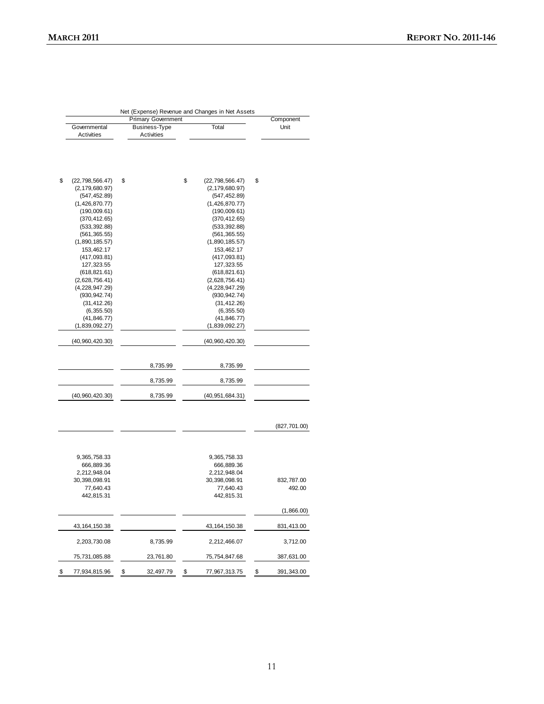|                               | Net (Expense) Revenue and Changes in Net Assets<br><b>Primary Government</b> |               |    |                            |    |                      |
|-------------------------------|------------------------------------------------------------------------------|---------------|----|----------------------------|----|----------------------|
| Governmental                  |                                                                              | Business-Type |    | Total                      |    | Component<br>Unit    |
| Activities                    |                                                                              | Activities    |    |                            |    |                      |
|                               |                                                                              |               |    |                            |    |                      |
| \$<br>(22, 798, 566.47)       | \$                                                                           |               | \$ | (22, 798, 566.47)          | \$ |                      |
| (2, 179, 680.97)              |                                                                              |               |    | (2, 179, 680.97)           |    |                      |
| (547, 452.89)                 |                                                                              |               |    | (547, 452.89)              |    |                      |
| (1,426,870.77)                |                                                                              |               |    | (1,426,870.77)             |    |                      |
| (190,009.61)                  |                                                                              |               |    | (190,009.61)               |    |                      |
| (370, 412.65)                 |                                                                              |               |    | (370, 412.65)              |    |                      |
| (533, 392.88)                 |                                                                              |               |    | (533, 392.88)              |    |                      |
| (561, 365.55)                 |                                                                              |               |    | (561, 365.55)              |    |                      |
| (1,890,185.57)                |                                                                              |               |    | (1,890,185.57)             |    |                      |
| 153,462.17                    |                                                                              |               |    | 153,462.17                 |    |                      |
| (417,093.81)                  |                                                                              |               |    | (417,093.81)               |    |                      |
| 127,323.55                    |                                                                              |               |    | 127,323.55                 |    |                      |
| (618, 821.61)                 |                                                                              |               |    | (618, 821.61)              |    |                      |
| (2,628,756.41)                |                                                                              |               |    | (2,628,756.41)             |    |                      |
| (4,228,947.29)                |                                                                              |               |    | (4,228,947.29)             |    |                      |
| (930, 942.74)                 |                                                                              |               |    | (930, 942.74)              |    |                      |
| (31, 412.26)<br>(6, 355.50)   |                                                                              |               |    | (31, 412.26)<br>(6,355.50) |    |                      |
| (41, 846.77)                  |                                                                              |               |    | (41, 846.77)               |    |                      |
| (1,839,092.27)                |                                                                              |               |    | (1,839,092.27)             |    |                      |
|                               |                                                                              |               |    |                            |    |                      |
| (40,960,420.30)               |                                                                              |               |    | (40, 960, 420.30)          |    |                      |
|                               |                                                                              | 8,735.99      |    | 8,735.99                   |    |                      |
|                               |                                                                              | 8,735.99      |    | 8,735.99                   |    |                      |
| (40, 960, 420.30)             |                                                                              | 8,735.99      |    | (40, 951, 684.31)          |    |                      |
|                               |                                                                              |               |    |                            |    |                      |
|                               |                                                                              |               |    |                            |    | (827, 701.00)        |
|                               |                                                                              |               |    |                            |    |                      |
| 9,365,758.33                  |                                                                              |               |    | 9,365,758.33               |    |                      |
| 666,889.36                    |                                                                              |               |    | 666,889.36                 |    |                      |
| 2,212,948.04<br>30,398,098.91 |                                                                              |               |    | 2,212,948.04               |    |                      |
| 77,640.43                     |                                                                              |               |    | 30,398,098.91<br>77,640.43 |    | 832,787.00<br>492.00 |
| 442,815.31                    |                                                                              |               |    | 442,815.31                 |    |                      |
|                               |                                                                              |               |    |                            |    |                      |
|                               |                                                                              |               |    |                            |    | (1,866.00)           |
| 43, 164, 150.38               |                                                                              |               |    | 43, 164, 150. 38           |    | 831,413.00           |
| 2,203,730.08                  |                                                                              | 8,735.99      |    | 2,212,466.07               |    | 3,712.00             |
| 75,731,085.88                 |                                                                              | 23,761.80     |    | 75,754,847.68              |    | 387,631.00           |
| \$<br>77,934,815.96           | \$                                                                           | 32,497.79     | \$ | 77,967,313.75              | \$ | 391,343.00           |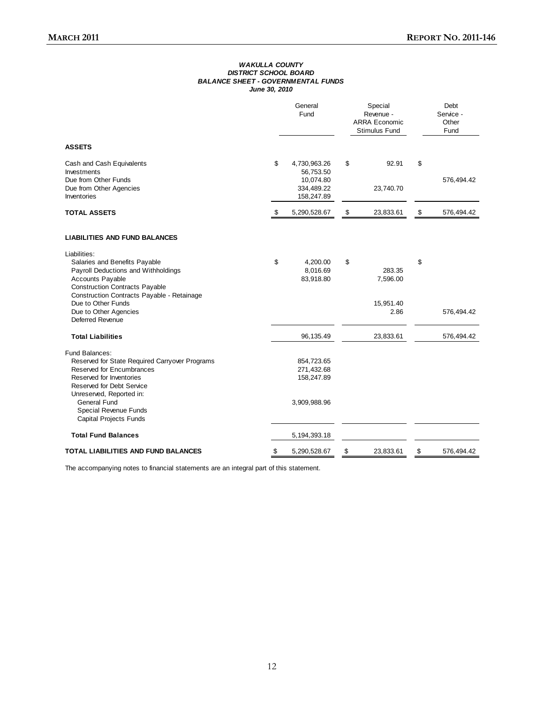#### *WAKULLA COUNTY DISTRICT SCHOOL BOARD BALANCE SHEET - GOVERNMENTAL FUNDS June 30, 2010*

<span id="page-16-0"></span>

|                                                                                                                                                                                                                                                                    | General<br>Fund                                        | Special<br>Revenue -<br><b>ARRA Economic</b><br>Stimulus Fund |                         | Debt<br>Service -<br>Other<br>Fund |
|--------------------------------------------------------------------------------------------------------------------------------------------------------------------------------------------------------------------------------------------------------------------|--------------------------------------------------------|---------------------------------------------------------------|-------------------------|------------------------------------|
| <b>ASSETS</b>                                                                                                                                                                                                                                                      |                                                        |                                                               |                         |                                    |
| Cash and Cash Equivalents<br>Investments                                                                                                                                                                                                                           | \$<br>4,730,963.26<br>56,753.50                        | \$<br>92.91                                                   | \$                      |                                    |
| Due from Other Funds<br>Due from Other Agencies<br>Inventories                                                                                                                                                                                                     | 10,074.80<br>334,489.22<br>158,247.89                  | 23,740.70                                                     |                         | 576,494.42                         |
| <b>TOTAL ASSETS</b>                                                                                                                                                                                                                                                | \$<br>5,290,528.67                                     | \$<br>23,833.61                                               | $\sqrt[6]{\frac{1}{2}}$ | 576,494.42                         |
| <b>LIABILITIES AND FUND BALANCES</b>                                                                                                                                                                                                                               |                                                        |                                                               |                         |                                    |
| Liabilities:<br>Salaries and Benefits Payable<br>Payroll Deductions and Withholdings<br>Accounts Payable<br><b>Construction Contracts Payable</b><br>Construction Contracts Payable - Retainage<br>Due to Other Funds<br>Due to Other Agencies<br>Deferred Revenue | \$<br>4,200.00<br>8,016.69<br>83,918.80                | \$<br>283.35<br>7,596.00<br>15,951.40<br>2.86                 | \$                      | 576,494.42                         |
| <b>Total Liabilities</b>                                                                                                                                                                                                                                           | 96,135.49                                              | 23,833.61                                                     |                         | 576,494.42                         |
| Fund Balances:<br>Reserved for State Required Carryover Programs<br>Reserved for Encumbrances<br>Reserved for Inventories<br>Reserved for Debt Service<br>Unreserved, Reported in:<br>General Fund<br>Special Revenue Funds<br><b>Capital Projects Funds</b>       | 854,723.65<br>271,432.68<br>158,247.89<br>3,909,988.96 |                                                               |                         |                                    |
| <b>Total Fund Balances</b>                                                                                                                                                                                                                                         | 5, 194, 393. 18                                        |                                                               |                         |                                    |
| TOTAL LIABILITIES AND FUND BALANCES                                                                                                                                                                                                                                | \$<br>5,290,528.67                                     | \$<br>23,833.61                                               | \$                      | 576,494.42                         |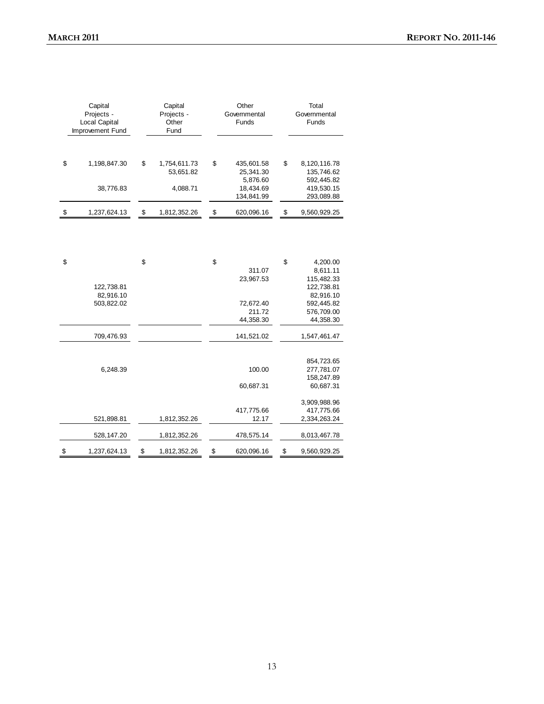| Capital<br>Projects -<br><b>Local Capital</b><br>Improvement Fund | Capital<br>Projects -<br>Other<br>Fund | Other<br>Governmental<br>Funds            |    | Total<br>Governmental<br>Funds                      |
|-------------------------------------------------------------------|----------------------------------------|-------------------------------------------|----|-----------------------------------------------------|
| \$<br>1,198,847.30                                                | \$<br>1,754,611.73<br>53,651.82        | \$<br>435,601.58<br>25,341.30<br>5,876.60 | \$ | 8,120,116.78<br>135,746.62<br>592,445.82            |
| 38,776.83                                                         | 4,088.71                               | 18,434.69<br>134,841.99                   |    | 419,530.15<br>293,089.88                            |
| \$<br>1,237,624.13                                                | \$<br>1,812,352.26                     | \$<br>620,096.16                          | \$ | 9,560,929.25                                        |
|                                                                   |                                        |                                           |    |                                                     |
| \$<br>122,738.81                                                  | \$                                     | \$<br>311.07<br>23,967.53                 | \$ | 4,200.00<br>8,611.11<br>115,482.33<br>122,738.81    |
| 82,916.10<br>503,822.02                                           |                                        | 72,672.40<br>211.72<br>44,358.30          |    | 82,916.10<br>592,445.82<br>576,709.00<br>44,358.30  |
| 709,476.93                                                        |                                        | 141,521.02                                |    | 1,547,461.47                                        |
| 6,248.39                                                          |                                        | 100.00<br>60,687.31                       |    | 854,723.65<br>277,781.07<br>158,247.89<br>60,687.31 |
| 521,898.81                                                        | 1,812,352.26                           | 417,775.66<br>12.17                       |    | 3,909,988.96<br>417,775.66<br>2,334,263.24          |
| 528, 147.20                                                       | 1,812,352.26                           | 478,575.14                                |    | 8,013,467.78                                        |
| \$<br>1,237,624.13                                                | \$<br>1,812,352.26                     | \$<br>620,096.16                          | \$ | 9,560,929.25                                        |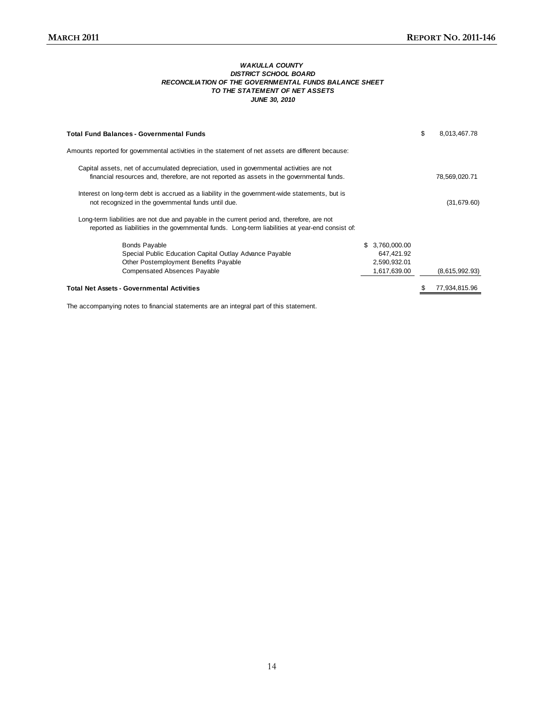#### *JUNE 30, 2010 DISTRICT SCHOOL BOARD WAKULLA COUNTY RECONCILIATION OF THE GOVERNMENTAL FUNDS BALANCE SHEET TO THE STATEMENT OF NET ASSETS*

<span id="page-18-0"></span>

| <b>Total Fund Balances - Governmental Funds</b>                                                                                                                                                 | \$<br>8,013,467.78                                            |                |
|-------------------------------------------------------------------------------------------------------------------------------------------------------------------------------------------------|---------------------------------------------------------------|----------------|
| Amounts reported for governmental activities in the statement of net assets are different because:                                                                                              |                                                               |                |
| Capital assets, net of accumulated depreciation, used in governmental activities are not<br>financial resources and, therefore, are not reported as assets in the governmental funds.           |                                                               | 78,569,020.71  |
| Interest on long-term debt is accrued as a liability in the government-wide statements, but is<br>not recognized in the governmental funds until due.                                           | (31,679.60)                                                   |                |
| Long-term liabilities are not due and payable in the current period and, therefore, are not<br>reported as liabilities in the governmental funds. Long-term liabilities at year-end consist of: |                                                               |                |
| <b>Bonds Payable</b><br>Special Public Education Capital Outlay Advance Payable<br>Other Postemployment Benefits Payable<br>Compensated Absences Payable                                        | \$ 3,760,000.00<br>647.421.92<br>2,590,932.01<br>1,617,639.00 | (8,615,992.93) |
| <b>Total Net Assets - Governmental Activities</b>                                                                                                                                               |                                                               | 77,934,815.96  |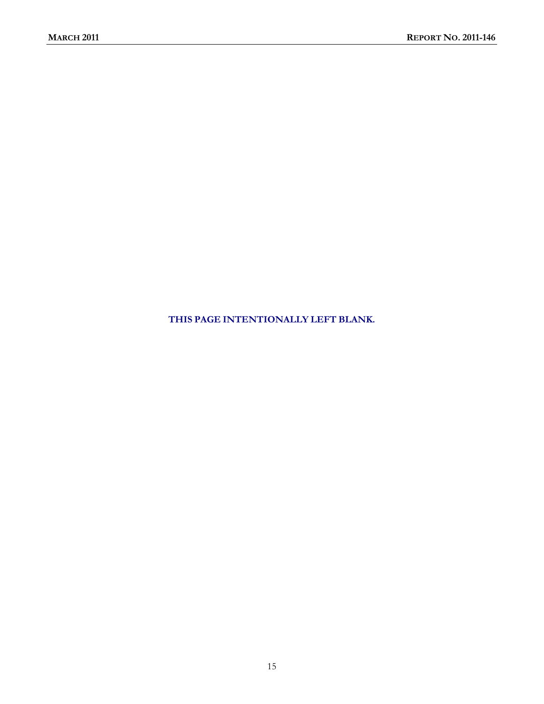# **THIS PAGE INTENTIONALLY LEFT BLANK.**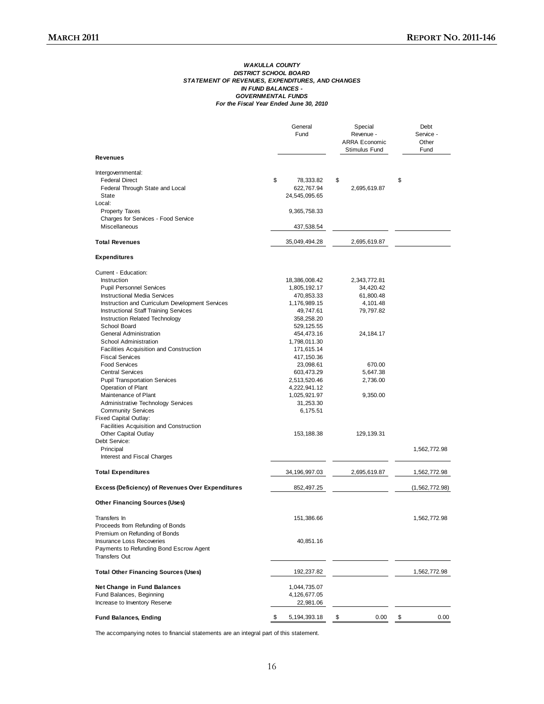#### *WAKULLA COUNTY DISTRICT SCHOOL BOARD STATEMENT OF REVENUES, EXPENDITURES, AND CHANGES IN FUND BALANCES - GOVERNMENTAL FUNDS For the Fiscal Year Ended June 30, 2010*

<span id="page-20-0"></span>

|                                                                 | General<br>Fund       | Special<br>Revenue -<br><b>ARRA Economic</b><br>Stimulus Fund | Debt<br>Service -<br>Other<br>Fund |
|-----------------------------------------------------------------|-----------------------|---------------------------------------------------------------|------------------------------------|
| <b>Revenues</b>                                                 |                       |                                                               |                                    |
| Intergovernmental:                                              |                       |                                                               |                                    |
| <b>Federal Direct</b>                                           | \$<br>78,333.82       | \$                                                            | \$                                 |
| Federal Through State and Local                                 | 622,767.94            | 2,695,619.87                                                  |                                    |
| State                                                           | 24,545,095.65         |                                                               |                                    |
| Local:                                                          |                       |                                                               |                                    |
| <b>Property Taxes</b>                                           | 9,365,758.33          |                                                               |                                    |
| Charges for Services - Food Service                             |                       |                                                               |                                    |
| Miscellaneous                                                   | 437,538.54            |                                                               |                                    |
| <b>Total Revenues</b>                                           | 35,049,494.28         | 2,695,619.87                                                  |                                    |
| <b>Expenditures</b>                                             |                       |                                                               |                                    |
| Current - Education:                                            |                       |                                                               |                                    |
| Instruction                                                     | 18,386,008.42         | 2,343,772.81                                                  |                                    |
| <b>Pupil Personnel Services</b>                                 | 1,805,192.17          | 34,420.42                                                     |                                    |
| <b>Instructional Media Services</b>                             | 470,853.33            | 61,800.48                                                     |                                    |
| Instruction and Curriculum Development Services                 | 1,176,989.15          | 4,101.48                                                      |                                    |
| <b>Instructional Staff Training Services</b>                    | 49,747.61             | 79,797.82                                                     |                                    |
| Instruction Related Technology                                  | 358,258.20            |                                                               |                                    |
| School Board                                                    | 529,125.55            |                                                               |                                    |
| General Administration                                          | 454,473.16            | 24, 184. 17                                                   |                                    |
| School Administration                                           | 1,798,011.30          |                                                               |                                    |
| Facilities Acquisition and Construction                         | 171,615.14            |                                                               |                                    |
| <b>Fiscal Services</b>                                          | 417,150.36            |                                                               |                                    |
| <b>Food Services</b>                                            | 23,098.61             | 670.00                                                        |                                    |
| <b>Central Services</b>                                         | 603,473.29            | 5,647.38                                                      |                                    |
| <b>Pupil Transportation Services</b>                            | 2,513,520.46          | 2,736.00                                                      |                                    |
| Operation of Plant                                              | 4,222,941.12          |                                                               |                                    |
| Maintenance of Plant                                            | 1,025,921.97          | 9,350.00                                                      |                                    |
| <b>Administrative Technology Services</b>                       | 31,253.30             |                                                               |                                    |
| <b>Community Services</b>                                       | 6,175.51              |                                                               |                                    |
| <b>Fixed Capital Outlay:</b>                                    |                       |                                                               |                                    |
| Facilities Acquisition and Construction                         |                       |                                                               |                                    |
| <b>Other Capital Outlay</b>                                     | 153,188.38            | 129,139.31                                                    |                                    |
| Debt Service:                                                   |                       |                                                               |                                    |
| Principal<br>Interest and Fiscal Charges                        |                       |                                                               | 1,562,772.98                       |
| <b>Total Expenditures</b>                                       | 34, 196, 997.03       | 2,695,619.87                                                  | 1,562,772.98                       |
| Excess (Deficiency) of Revenues Over Expenditures               | 852,497.25            |                                                               | (1,562,772.98)                     |
| <b>Other Financing Sources (Uses)</b>                           |                       |                                                               |                                    |
|                                                                 |                       |                                                               |                                    |
| Transfers In                                                    | 151,386.66            |                                                               | 1,562,772.98                       |
| Proceeds from Refunding of Bonds                                |                       |                                                               |                                    |
| Premium on Refunding of Bonds                                   |                       |                                                               |                                    |
| <b>Insurance Loss Recoveries</b>                                | 40,851.16             |                                                               |                                    |
| Payments to Refunding Bond Escrow Agent<br><b>Transfers Out</b> |                       |                                                               |                                    |
| <b>Total Other Financing Sources (Uses)</b>                     | 192,237.82            |                                                               | 1,562,772.98                       |
|                                                                 |                       |                                                               |                                    |
| <b>Net Change in Fund Balances</b>                              | 1,044,735.07          |                                                               |                                    |
| Fund Balances, Beginning                                        | 4,126,677.05          |                                                               |                                    |
| Increase to Inventory Reserve                                   | 22,981.06             |                                                               |                                    |
| <b>Fund Balances, Ending</b>                                    | \$<br>5, 194, 393. 18 | \$<br>0.00                                                    | \$<br>0.00                         |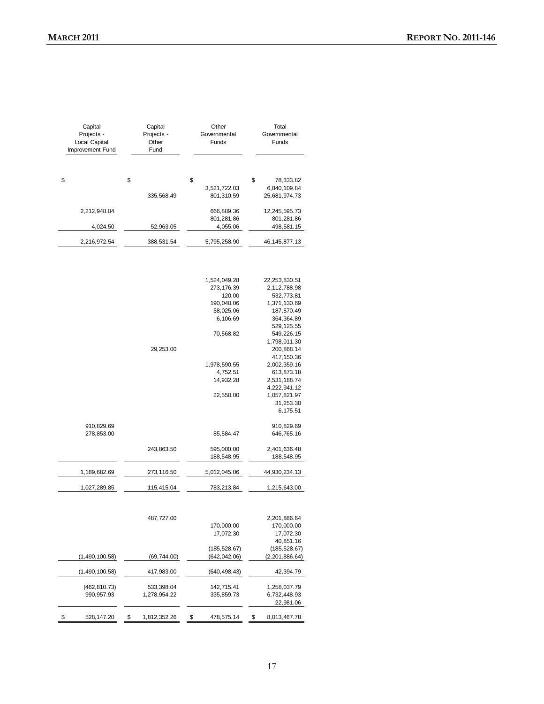| Capital<br>Projects -<br>Local Capital<br>Improvement Fund | Capital<br>Projects -<br>Other<br>Fund | Other<br>Governmental<br>Funds                                                                                       | Total<br>Governmental<br>Funds                                                                                                                                                                |
|------------------------------------------------------------|----------------------------------------|----------------------------------------------------------------------------------------------------------------------|-----------------------------------------------------------------------------------------------------------------------------------------------------------------------------------------------|
| \$                                                         | \$<br>335,568.49                       | \$<br>3,521,722.03<br>801,310.59                                                                                     | \$<br>78,333.82<br>6,840,109.84<br>25,681,974.73                                                                                                                                              |
| 2,212,948.04                                               |                                        | 666,889.36<br>801,281.86                                                                                             | 12,245,595.73<br>801,281.86                                                                                                                                                                   |
| 4,024.50                                                   | 52,963.05                              | 4,055.06                                                                                                             | 498,581.15                                                                                                                                                                                    |
| 2,216,972.54                                               | 388,531.54                             | 5,795,258.90                                                                                                         | 46,145,877.13                                                                                                                                                                                 |
|                                                            | 29,253.00                              | 1,524,049.28<br>273,176.39<br>120.00<br>190,040.06<br>58,025.06<br>6,106.69<br>70,568.82<br>1,978,590.55<br>4,752.51 | 22,253,830.51<br>2,112,788.98<br>532,773.81<br>1,371,130.69<br>187,570.49<br>364,364.89<br>529,125.55<br>549,226.15<br>1,798,011.30<br>200,868.14<br>417,150.36<br>2,002,359.16<br>613,873.18 |
|                                                            |                                        | 14,932.28<br>22,550.00                                                                                               | 2,531,188.74<br>4,222,941.12<br>1,057,821.97<br>31,253.30<br>6,175.51                                                                                                                         |
| 910,829.69<br>278,853.00                                   |                                        | 85,584.47                                                                                                            | 910,829.69<br>646,765.16                                                                                                                                                                      |
|                                                            | 243,863.50                             | 595,000.00<br>188,548.95                                                                                             | 2,401,636.48<br>188,548.95                                                                                                                                                                    |
| 1,189,682.69                                               | 273,116.50                             | 5,012,045.06                                                                                                         | 44,930,234.13                                                                                                                                                                                 |
| 1,027,289.85                                               | 115,415.04                             | 783,213.84                                                                                                           | 1,215,643.00                                                                                                                                                                                  |
|                                                            | 487,727.00                             | 170,000.00<br>17,072.30                                                                                              | 2,201,886.64<br>170,000.00<br>17,072.30<br>40,851.16                                                                                                                                          |
| (1,490,100.58)                                             | (69, 744.00)                           | (185, 528.67)<br>(642, 042.06)                                                                                       | (185, 528.67)<br>(2,201,886.64)                                                                                                                                                               |
| (1,490,100.58)                                             | 417,983.00                             | (640,498.43)                                                                                                         | 42,394.79                                                                                                                                                                                     |
| (462, 810.73)<br>990,957.93                                | 533,398.04<br>1,278,954.22             | 142,715.41<br>335,859.73                                                                                             | 1,258,037.79<br>6,732,448.93<br>22,981.06                                                                                                                                                     |
| 528,147.20<br>\$                                           | 1,812,352.26<br>\$                     | 478,575.14<br>\$                                                                                                     | 8,013,467.78<br>\$                                                                                                                                                                            |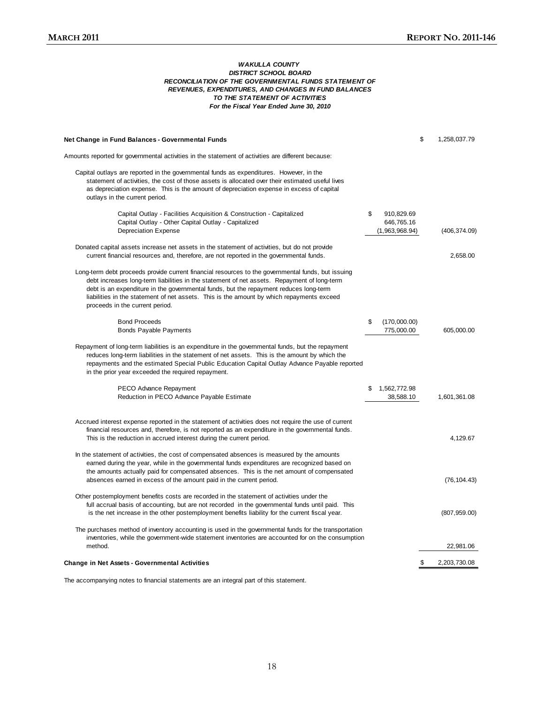#### *For the Fiscal Year Ended June 30, 2010 REVENUES, EXPENDITURES, AND CHANGES IN FUND BALANCES DISTRICT SCHOOL BOARD WAKULLA COUNTY RECONCILIATION OF THE GOVERNMENTAL FUNDS STATEMENT OF TO THE STATEMENT OF ACTIVITIES*

<span id="page-22-0"></span>

| Net Change in Fund Balances - Governmental Funds                                                                                                                                                                                                                                                                                                                                                                           |    |                                            | \$<br>1,258,037.79 |
|----------------------------------------------------------------------------------------------------------------------------------------------------------------------------------------------------------------------------------------------------------------------------------------------------------------------------------------------------------------------------------------------------------------------------|----|--------------------------------------------|--------------------|
| Amounts reported for governmental activities in the statement of activities are different because:                                                                                                                                                                                                                                                                                                                         |    |                                            |                    |
| Capital outlays are reported in the governmental funds as expenditures. However, in the<br>statement of activities, the cost of those assets is allocated over their estimated useful lives<br>as depreciation expense. This is the amount of depreciation expense in excess of capital<br>outlays in the current period.                                                                                                  |    |                                            |                    |
| Capital Outlay - Facilities Acquisition & Construction - Capitalized<br>Capital Outlay - Other Capital Outlay - Capitalized<br><b>Depreciation Expense</b>                                                                                                                                                                                                                                                                 | \$ | 910,829.69<br>646,765.16<br>(1,963,968.94) | (406, 374.09)      |
| Donated capital assets increase net assets in the statement of activities, but do not provide<br>current financial resources and, therefore, are not reported in the governmental funds.                                                                                                                                                                                                                                   |    |                                            | 2,658.00           |
| Long-term debt proceeds provide current financial resources to the governmental funds, but issuing<br>debt increases long-term liabilities in the statement of net assets. Repayment of long-term<br>debt is an expenditure in the governmental funds, but the repayment reduces long-term<br>liabilities in the statement of net assets. This is the amount by which repayments exceed<br>proceeds in the current period. |    |                                            |                    |
| <b>Bond Proceeds</b><br><b>Bonds Payable Payments</b>                                                                                                                                                                                                                                                                                                                                                                      | S  | (170,000.00)<br>775,000.00                 | 605,000.00         |
| Repayment of long-term liabilities is an expenditure in the governmental funds, but the repayment<br>reduces long-term liabilities in the statement of net assets. This is the amount by which the<br>repayments and the estimated Special Public Education Capital Outlay Advance Payable reported<br>in the prior year exceeded the required repayment.                                                                  |    |                                            |                    |
| PECO Advance Repayment<br>Reduction in PECO Advance Payable Estimate                                                                                                                                                                                                                                                                                                                                                       |    | 1,562,772.98<br>38,588.10                  | 1,601,361.08       |
| Accrued interest expense reported in the statement of activities does not require the use of current<br>financial resources and, therefore, is not reported as an expenditure in the governmental funds.<br>This is the reduction in accrued interest during the current period.                                                                                                                                           |    |                                            | 4.129.67           |
| In the statement of activities, the cost of compensated absences is measured by the amounts<br>earned during the year, while in the governmental funds expenditures are recognized based on<br>the amounts actually paid for compensated absences. This is the net amount of compensated<br>absences earned in excess of the amount paid in the current period.                                                            |    |                                            | (76, 104.43)       |
| Other postemployment benefits costs are recorded in the statement of activities under the<br>full accrual basis of accounting, but are not recorded in the governmental funds until paid. This<br>is the net increase in the other postemployment benefits liability for the current fiscal year.                                                                                                                          |    |                                            | (807, 959.00)      |
| The purchases method of inventory accounting is used in the governmental funds for the transportation<br>inventories, while the government-wide statement inventories are accounted for on the consumption<br>method.                                                                                                                                                                                                      |    |                                            | 22,981.06          |
| <b>Change in Net Assets - Governmental Activities</b>                                                                                                                                                                                                                                                                                                                                                                      |    |                                            | \$<br>2,203,730.08 |
|                                                                                                                                                                                                                                                                                                                                                                                                                            |    |                                            |                    |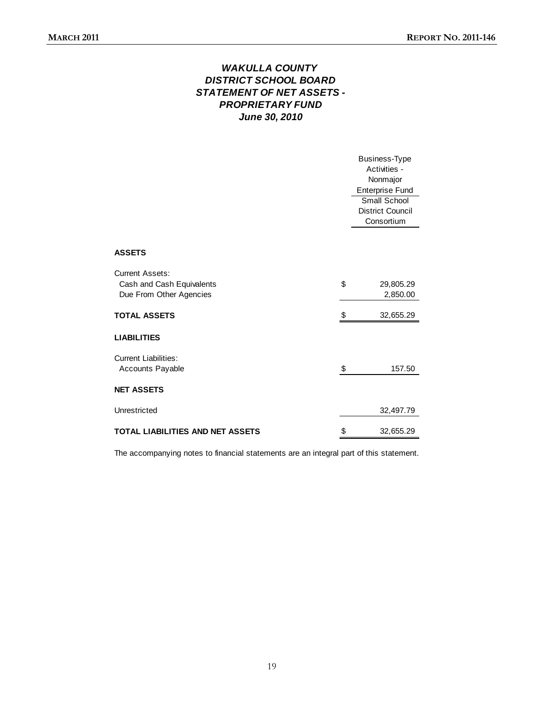## *WAKULLA COUNTY STATEMENT OF NET ASSETS - PROPRIETARY FUND June 30, 2010 DISTRICT SCHOOL BOARD*

<span id="page-23-0"></span>

| <b>ASSETS</b>                                                                  |    |                       |  |
|--------------------------------------------------------------------------------|----|-----------------------|--|
| <b>Current Assets:</b><br>Cash and Cash Equivalents<br>Due From Other Agencies | \$ | 29,805.29<br>2,850.00 |  |
| <b>TOTAL ASSETS</b>                                                            | \$ | 32,655.29             |  |
| <b>LIABILITIES</b>                                                             |    |                       |  |
| <b>Current Liabilities:</b><br>Accounts Payable                                | \$ | 157.50                |  |
| <b>NET ASSETS</b>                                                              |    |                       |  |
| Unrestricted                                                                   |    | 32,497.79             |  |
| <b>TOTAL LIABILITIES AND NET ASSETS</b>                                        | \$ | 32,655.29             |  |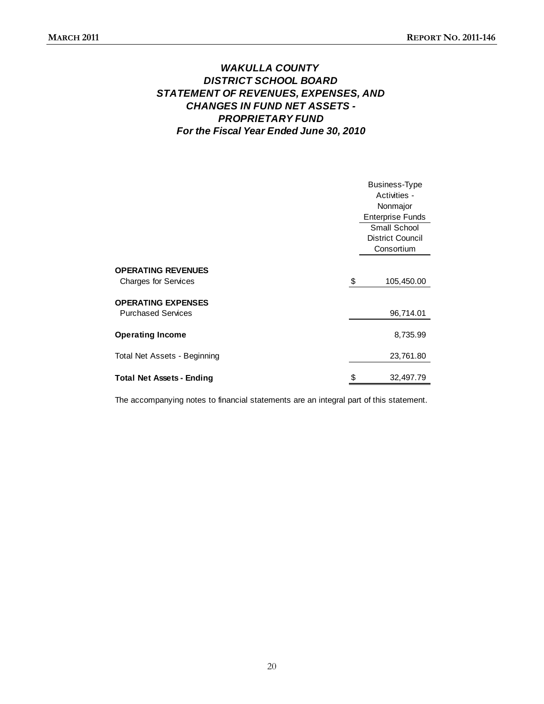# <span id="page-24-0"></span>*WAKULLA COUNTY STATEMENT OF REVENUES, EXPENSES, AND CHANGES IN FUND NET ASSETS - PROPRIETARY FUND For the Fiscal Year Ended June 30, 2010 DISTRICT SCHOOL BOARD*

|                                  | <b>Business-Type</b>    |  |
|----------------------------------|-------------------------|--|
|                                  | Activities -            |  |
|                                  | Nonmajor                |  |
|                                  | <b>Enterprise Funds</b> |  |
|                                  | Small School            |  |
|                                  | <b>District Council</b> |  |
|                                  | Consortium              |  |
|                                  |                         |  |
| <b>OPERATING REVENUES</b>        |                         |  |
| <b>Charges for Services</b>      | \$<br>105,450.00        |  |
|                                  |                         |  |
| <b>OPERATING EXPENSES</b>        |                         |  |
| <b>Purchased Services</b>        | 96,714.01               |  |
|                                  |                         |  |
| <b>Operating Income</b>          | 8,735.99                |  |
| Total Net Assets - Beginning     |                         |  |
|                                  | 23,761.80               |  |
| <b>Total Net Assets - Ending</b> | 32,497.79               |  |
|                                  |                         |  |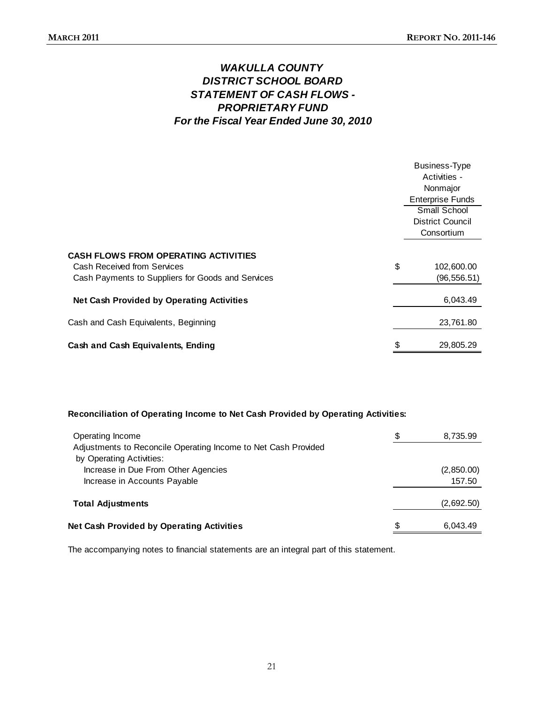# *WAKULLA COUNTY STATEMENT OF CASH FLOWS - PROPRIETARY FUND For the Fiscal Year Ended June 30, 2010 DISTRICT SCHOOL BOARD*

<span id="page-25-0"></span>

|                                                                                                                                 | <b>Business-Type</b><br>Activities -<br>Nonmajor<br><b>Enterprise Funds</b><br>Small School<br><b>District Council</b><br>Consortium |
|---------------------------------------------------------------------------------------------------------------------------------|--------------------------------------------------------------------------------------------------------------------------------------|
| <b>CASH FLOWS FROM OPERATING ACTIVITIES</b><br>Cash Received from Services<br>Cash Payments to Suppliers for Goods and Services | \$<br>102,600.00<br>(96, 556.51)                                                                                                     |
| <b>Net Cash Provided by Operating Activities</b>                                                                                | 6,043.49                                                                                                                             |
| Cash and Cash Equivalents, Beginning                                                                                            | 23,761.80                                                                                                                            |
| <b>Cash and Cash Equivalents, Ending</b>                                                                                        | \$<br>29,805.29                                                                                                                      |

#### **Reconciliation of Operating Income to Net Cash Provided by Operating Activities:**

| Operating Income                                               | S   | 8,735.99   |
|----------------------------------------------------------------|-----|------------|
| Adjustments to Reconcile Operating Income to Net Cash Provided |     |            |
| by Operating Activities:                                       |     |            |
| Increase in Due From Other Agencies                            |     | (2,850.00) |
| Increase in Accounts Payable                                   |     | 157.50     |
| <b>Total Adjustments</b>                                       |     | (2,692.50) |
| <b>Net Cash Provided by Operating Activities</b>               | \$. | 6,043.49   |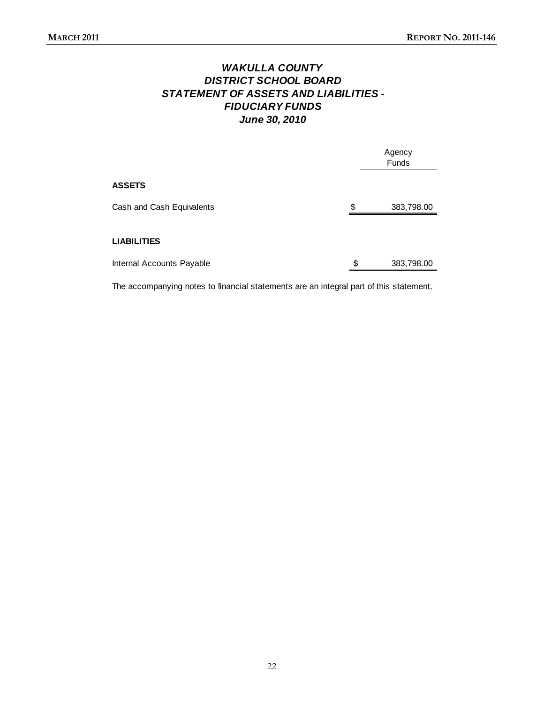# <span id="page-26-0"></span>*June 30, 2010 DISTRICT SCHOOL BOARD WAKULLA COUNTY STATEMENT OF ASSETS AND LIABILITIES - FIDUCIARY FUNDS*

|                           |    | Agency<br><b>Funds</b> |  |
|---------------------------|----|------------------------|--|
| <b>ASSETS</b>             |    |                        |  |
| Cash and Cash Equivalents | \$ | 383,798.00             |  |
| <b>LIABILITIES</b>        |    |                        |  |
| Internal Accounts Payable | S. | 383,798.00             |  |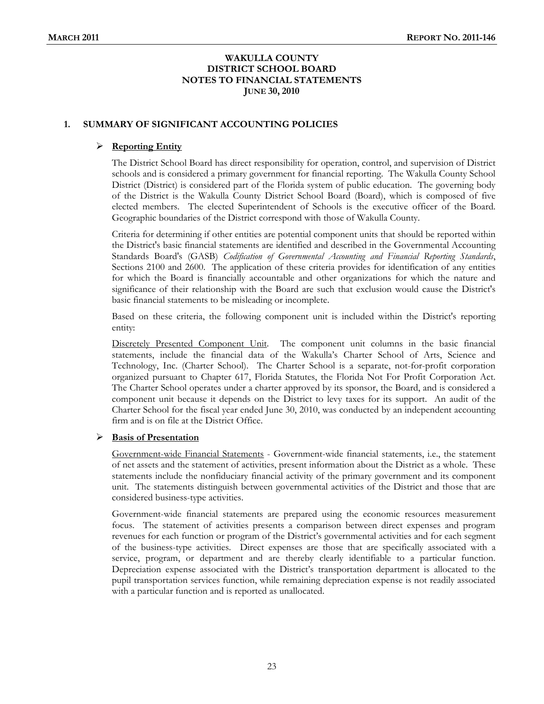## <span id="page-27-0"></span>**1. SUMMARY OF SIGNIFICANT ACCOUNTING POLICIES**

## **Reporting Entity**

The District School Board has direct responsibility for operation, control, and supervision of District schools and is considered a primary government for financial reporting. The Wakulla County School District (District) is considered part of the Florida system of public education. The governing body of the District is the Wakulla County District School Board (Board), which is composed of five elected members. The elected Superintendent of Schools is the executive officer of the Board. Geographic boundaries of the District correspond with those of Wakulla County.

Criteria for determining if other entities are potential component units that should be reported within the District's basic financial statements are identified and described in the Governmental Accounting Standards Board's (GASB) *Codification of Governmental Accounting and Financial Reporting Standards*, Sections 2100 and 2600. The application of these criteria provides for identification of any entities for which the Board is financially accountable and other organizations for which the nature and significance of their relationship with the Board are such that exclusion would cause the District's basic financial statements to be misleading or incomplete.

Based on these criteria, the following component unit is included within the District's reporting entity:

Discretely Presented Component Unit. The component unit columns in the basic financial statements, include the financial data of the Wakulla's Charter School of Arts, Science and Technology, Inc. (Charter School). The Charter School is a separate, not-for-profit corporation organized pursuant to Chapter 617, Florida Statutes, the Florida Not For Profit Corporation Act. The Charter School operates under a charter approved by its sponsor, the Board, and is considered a component unit because it depends on the District to levy taxes for its support. An audit of the Charter School for the fiscal year ended June 30, 2010, was conducted by an independent accounting firm and is on file at the District Office.

#### **Basis of Presentation**

Government-wide Financial Statements - Government-wide financial statements, i.e., the statement of net assets and the statement of activities, present information about the District as a whole. These statements include the nonfiduciary financial activity of the primary government and its component unit. The statements distinguish between governmental activities of the District and those that are considered business-type activities.

Government-wide financial statements are prepared using the economic resources measurement focus. The statement of activities presents a comparison between direct expenses and program revenues for each function or program of the District's governmental activities and for each segment of the business-type activities. Direct expenses are those that are specifically associated with a service, program, or department and are thereby clearly identifiable to a particular function. Depreciation expense associated with the District's transportation department is allocated to the pupil transportation services function, while remaining depreciation expense is not readily associated with a particular function and is reported as unallocated.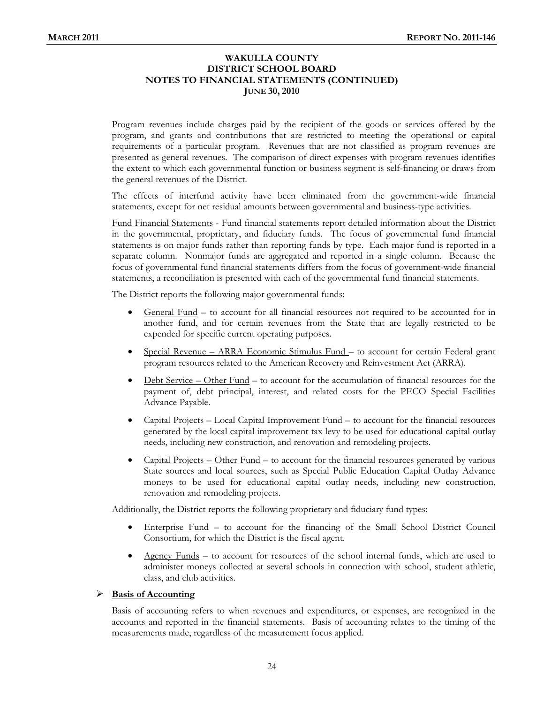Program revenues include charges paid by the recipient of the goods or services offered by the program, and grants and contributions that are restricted to meeting the operational or capital requirements of a particular program. Revenues that are not classified as program revenues are presented as general revenues. The comparison of direct expenses with program revenues identifies the extent to which each governmental function or business segment is self-financing or draws from the general revenues of the District.

The effects of interfund activity have been eliminated from the government-wide financial statements, except for net residual amounts between governmental and business-type activities.

Fund Financial Statements - Fund financial statements report detailed information about the District in the governmental, proprietary, and fiduciary funds. The focus of governmental fund financial statements is on major funds rather than reporting funds by type. Each major fund is reported in a separate column. Nonmajor funds are aggregated and reported in a single column. Because the focus of governmental fund financial statements differs from the focus of government-wide financial statements, a reconciliation is presented with each of the governmental fund financial statements.

The District reports the following major governmental funds:

- General Fund to account for all financial resources not required to be accounted for in another fund, and for certain revenues from the State that are legally restricted to be expended for specific current operating purposes.
- Special Revenue ARRA Economic Stimulus Fund to account for certain Federal grant program resources related to the American Recovery and Reinvestment Act (ARRA).
- Debt Service Other Fund to account for the accumulation of financial resources for the payment of, debt principal, interest, and related costs for the PECO Special Facilities Advance Payable.
- Capital Projects Local Capital Improvement Fund to account for the financial resources generated by the local capital improvement tax levy to be used for educational capital outlay needs, including new construction, and renovation and remodeling projects.
- Capital Projects Other Fund to account for the financial resources generated by various State sources and local sources, such as Special Public Education Capital Outlay Advance moneys to be used for educational capital outlay needs, including new construction, renovation and remodeling projects.

Additionally, the District reports the following proprietary and fiduciary fund types:

- Enterprise Fund to account for the financing of the Small School District Council Consortium, for which the District is the fiscal agent.
- Agency Funds to account for resources of the school internal funds, which are used to administer moneys collected at several schools in connection with school, student athletic, class, and club activities.

#### **Basis of Accounting**

Basis of accounting refers to when revenues and expenditures, or expenses, are recognized in the accounts and reported in the financial statements. Basis of accounting relates to the timing of the measurements made, regardless of the measurement focus applied.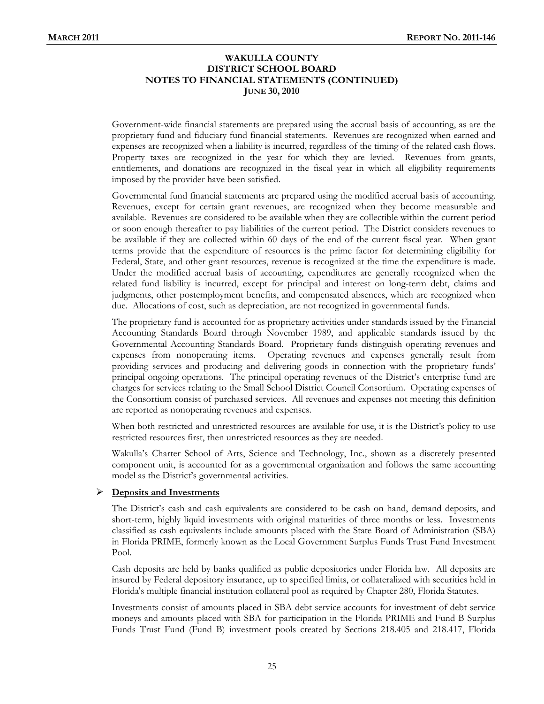Government-wide financial statements are prepared using the accrual basis of accounting, as are the proprietary fund and fiduciary fund financial statements. Revenues are recognized when earned and expenses are recognized when a liability is incurred, regardless of the timing of the related cash flows. Property taxes are recognized in the year for which they are levied. Revenues from grants, entitlements, and donations are recognized in the fiscal year in which all eligibility requirements imposed by the provider have been satisfied.

Governmental fund financial statements are prepared using the modified accrual basis of accounting. Revenues, except for certain grant revenues, are recognized when they become measurable and available. Revenues are considered to be available when they are collectible within the current period or soon enough thereafter to pay liabilities of the current period. The District considers revenues to be available if they are collected within 60 days of the end of the current fiscal year. When grant terms provide that the expenditure of resources is the prime factor for determining eligibility for Federal, State, and other grant resources, revenue is recognized at the time the expenditure is made. Under the modified accrual basis of accounting, expenditures are generally recognized when the related fund liability is incurred, except for principal and interest on long-term debt, claims and judgments, other postemployment benefits, and compensated absences, which are recognized when due. Allocations of cost, such as depreciation, are not recognized in governmental funds.

The proprietary fund is accounted for as proprietary activities under standards issued by the Financial Accounting Standards Board through November 1989, and applicable standards issued by the Governmental Accounting Standards Board. Proprietary funds distinguish operating revenues and expenses from nonoperating items. Operating revenues and expenses generally result from providing services and producing and delivering goods in connection with the proprietary funds' principal ongoing operations. The principal operating revenues of the District's enterprise fund are charges for services relating to the Small School District Council Consortium. Operating expenses of the Consortium consist of purchased services. All revenues and expenses not meeting this definition are reported as nonoperating revenues and expenses.

When both restricted and unrestricted resources are available for use, it is the District's policy to use restricted resources first, then unrestricted resources as they are needed.

Wakulla's Charter School of Arts, Science and Technology, Inc., shown as a discretely presented component unit, is accounted for as a governmental organization and follows the same accounting model as the District's governmental activities.

#### **Deposits and Investments**

The District's cash and cash equivalents are considered to be cash on hand, demand deposits, and short-term, highly liquid investments with original maturities of three months or less. Investments classified as cash equivalents include amounts placed with the State Board of Administration (SBA) in Florida PRIME, formerly known as the Local Government Surplus Funds Trust Fund Investment Pool.

Cash deposits are held by banks qualified as public depositories under Florida law. All deposits are insured by Federal depository insurance, up to specified limits, or collateralized with securities held in Florida's multiple financial institution collateral pool as required by Chapter 280, Florida Statutes.

Investments consist of amounts placed in SBA debt service accounts for investment of debt service moneys and amounts placed with SBA for participation in the Florida PRIME and Fund B Surplus Funds Trust Fund (Fund B) investment pools created by Sections 218.405 and 218.417, Florida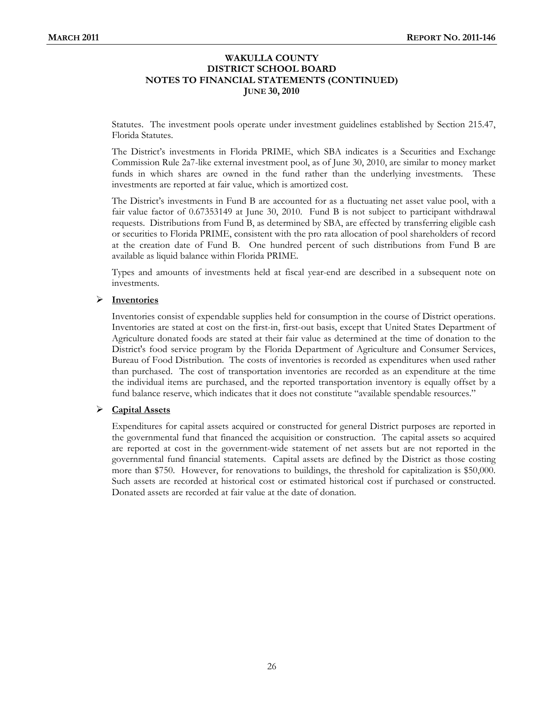Statutes. The investment pools operate under investment guidelines established by Section 215.47, Florida Statutes.

The District's investments in Florida PRIME, which SBA indicates is a Securities and Exchange Commission Rule 2a7-like external investment pool, as of June 30, 2010, are similar to money market funds in which shares are owned in the fund rather than the underlying investments. These investments are reported at fair value, which is amortized cost.

The District's investments in Fund B are accounted for as a fluctuating net asset value pool, with a fair value factor of 0.67353149 at June 30, 2010. Fund B is not subject to participant withdrawal requests. Distributions from Fund B, as determined by SBA, are effected by transferring eligible cash or securities to Florida PRIME, consistent with the pro rata allocation of pool shareholders of record at the creation date of Fund B. One hundred percent of such distributions from Fund B are available as liquid balance within Florida PRIME.

Types and amounts of investments held at fiscal year-end are described in a subsequent note on investments.

#### **Inventories**

Inventories consist of expendable supplies held for consumption in the course of District operations. Inventories are stated at cost on the first-in, first-out basis, except that United States Department of Agriculture donated foods are stated at their fair value as determined at the time of donation to the District's food service program by the Florida Department of Agriculture and Consumer Services, Bureau of Food Distribution. The costs of inventories is recorded as expenditures when used rather than purchased. The cost of transportation inventories are recorded as an expenditure at the time the individual items are purchased, and the reported transportation inventory is equally offset by a fund balance reserve, which indicates that it does not constitute "available spendable resources."

#### **Capital Assets**

Expenditures for capital assets acquired or constructed for general District purposes are reported in the governmental fund that financed the acquisition or construction. The capital assets so acquired are reported at cost in the government-wide statement of net assets but are not reported in the governmental fund financial statements. Capital assets are defined by the District as those costing more than \$750. However, for renovations to buildings, the threshold for capitalization is \$50,000. Such assets are recorded at historical cost or estimated historical cost if purchased or constructed. Donated assets are recorded at fair value at the date of donation.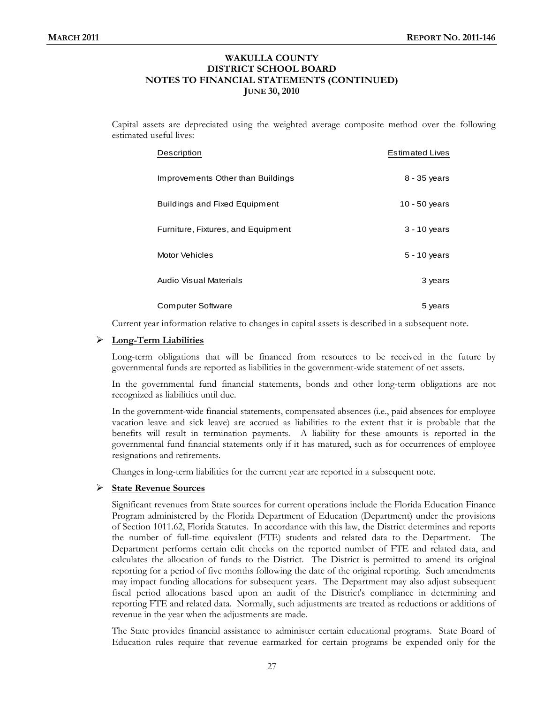Capital assets are depreciated using the weighted average composite method over the following estimated useful lives:

| Description                          | <b>Estimated Lives</b> |
|--------------------------------------|------------------------|
| Improvements Other than Buildings    | $8 - 35$ years         |
| <b>Buildings and Fixed Equipment</b> | 10 - 50 years          |
| Furniture, Fixtures, and Equipment   | $3 - 10$ years         |
| Motor Vehicles                       | $5 - 10$ years         |
| <b>Audio Visual Materials</b>        | 3 years                |
| <b>Computer Software</b>             | 5 years                |

Current year information relative to changes in capital assets is described in a subsequent note.

#### **Long-Term Liabilities**

Long-term obligations that will be financed from resources to be received in the future by governmental funds are reported as liabilities in the government-wide statement of net assets.

In the governmental fund financial statements, bonds and other long-term obligations are not recognized as liabilities until due.

In the government-wide financial statements, compensated absences (i.e., paid absences for employee vacation leave and sick leave) are accrued as liabilities to the extent that it is probable that the benefits will result in termination payments. A liability for these amounts is reported in the governmental fund financial statements only if it has matured, such as for occurrences of employee resignations and retirements.

Changes in long-term liabilities for the current year are reported in a subsequent note.

#### **State Revenue Sources**

Significant revenues from State sources for current operations include the Florida Education Finance Program administered by the Florida Department of Education (Department) under the provisions of Section 1011.62, Florida Statutes. In accordance with this law, the District determines and reports the number of full-time equivalent (FTE) students and related data to the Department. The Department performs certain edit checks on the reported number of FTE and related data, and calculates the allocation of funds to the District. The District is permitted to amend its original reporting for a period of five months following the date of the original reporting. Such amendments may impact funding allocations for subsequent years. The Department may also adjust subsequent fiscal period allocations based upon an audit of the District's compliance in determining and reporting FTE and related data. Normally, such adjustments are treated as reductions or additions of revenue in the year when the adjustments are made.

The State provides financial assistance to administer certain educational programs. State Board of Education rules require that revenue earmarked for certain programs be expended only for the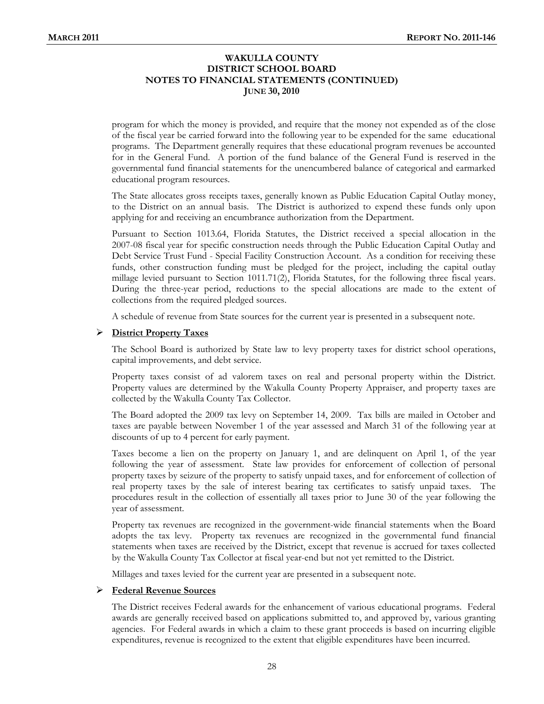program for which the money is provided, and require that the money not expended as of the close of the fiscal year be carried forward into the following year to be expended for the same educational programs. The Department generally requires that these educational program revenues be accounted for in the General Fund. A portion of the fund balance of the General Fund is reserved in the governmental fund financial statements for the unencumbered balance of categorical and earmarked educational program resources.

The State allocates gross receipts taxes, generally known as Public Education Capital Outlay money, to the District on an annual basis. The District is authorized to expend these funds only upon applying for and receiving an encumbrance authorization from the Department.

Pursuant to Section 1013.64, Florida Statutes, the District received a special allocation in the 2007-08 fiscal year for specific construction needs through the Public Education Capital Outlay and Debt Service Trust Fund - Special Facility Construction Account. As a condition for receiving these funds, other construction funding must be pledged for the project, including the capital outlay millage levied pursuant to Section 1011.71(2), Florida Statutes, for the following three fiscal years. During the three-year period, reductions to the special allocations are made to the extent of collections from the required pledged sources.

A schedule of revenue from State sources for the current year is presented in a subsequent note.

#### **District Property Taxes**

The School Board is authorized by State law to levy property taxes for district school operations, capital improvements, and debt service.

Property taxes consist of ad valorem taxes on real and personal property within the District. Property values are determined by the Wakulla County Property Appraiser, and property taxes are collected by the Wakulla County Tax Collector.

The Board adopted the 2009 tax levy on September 14, 2009. Tax bills are mailed in October and taxes are payable between November 1 of the year assessed and March 31 of the following year at discounts of up to 4 percent for early payment.

Taxes become a lien on the property on January 1, and are delinquent on April 1, of the year following the year of assessment. State law provides for enforcement of collection of personal property taxes by seizure of the property to satisfy unpaid taxes, and for enforcement of collection of real property taxes by the sale of interest bearing tax certificates to satisfy unpaid taxes. The procedures result in the collection of essentially all taxes prior to June 30 of the year following the year of assessment.

Property tax revenues are recognized in the government-wide financial statements when the Board adopts the tax levy. Property tax revenues are recognized in the governmental fund financial statements when taxes are received by the District, except that revenue is accrued for taxes collected by the Wakulla County Tax Collector at fiscal year-end but not yet remitted to the District.

Millages and taxes levied for the current year are presented in a subsequent note.

#### **Federal Revenue Sources**

The District receives Federal awards for the enhancement of various educational programs. Federal awards are generally received based on applications submitted to, and approved by, various granting agencies. For Federal awards in which a claim to these grant proceeds is based on incurring eligible expenditures, revenue is recognized to the extent that eligible expenditures have been incurred.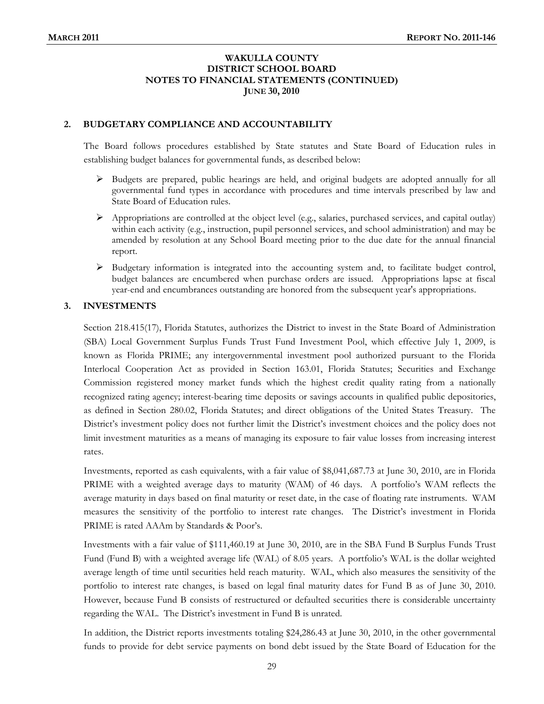#### **2. BUDGETARY COMPLIANCE AND ACCOUNTABILITY**

The Board follows procedures established by State statutes and State Board of Education rules in establishing budget balances for governmental funds, as described below:

- $\triangleright$  Budgets are prepared, public hearings are held, and original budgets are adopted annually for all governmental fund types in accordance with procedures and time intervals prescribed by law and State Board of Education rules.
- Appropriations are controlled at the object level (e.g., salaries, purchased services, and capital outlay) within each activity (e.g., instruction, pupil personnel services, and school administration) and may be amended by resolution at any School Board meeting prior to the due date for the annual financial report.
- $\triangleright$  Budgetary information is integrated into the accounting system and, to facilitate budget control, budget balances are encumbered when purchase orders are issued. Appropriations lapse at fiscal year-end and encumbrances outstanding are honored from the subsequent year's appropriations.

## **3. INVESTMENTS**

Section 218.415(17), Florida Statutes, authorizes the District to invest in the State Board of Administration (SBA) Local Government Surplus Funds Trust Fund Investment Pool, which effective July 1, 2009, is known as Florida PRIME; any intergovernmental investment pool authorized pursuant to the Florida Interlocal Cooperation Act as provided in Section 163.01, Florida Statutes; Securities and Exchange Commission registered money market funds which the highest credit quality rating from a nationally recognized rating agency; interest-bearing time deposits or savings accounts in qualified public depositories, as defined in Section 280.02, Florida Statutes; and direct obligations of the United States Treasury. The District's investment policy does not further limit the District's investment choices and the policy does not limit investment maturities as a means of managing its exposure to fair value losses from increasing interest rates.

Investments, reported as cash equivalents, with a fair value of \$8,041,687.73 at June 30, 2010, are in Florida PRIME with a weighted average days to maturity (WAM) of 46 days. A portfolio's WAM reflects the average maturity in days based on final maturity or reset date, in the case of floating rate instruments. WAM measures the sensitivity of the portfolio to interest rate changes. The District's investment in Florida PRIME is rated AAAm by Standards & Poor's.

Investments with a fair value of \$111,460.19 at June 30, 2010, are in the SBA Fund B Surplus Funds Trust Fund (Fund B) with a weighted average life (WAL) of 8.05 years. A portfolio's WAL is the dollar weighted average length of time until securities held reach maturity. WAL, which also measures the sensitivity of the portfolio to interest rate changes, is based on legal final maturity dates for Fund B as of June 30, 2010. However, because Fund B consists of restructured or defaulted securities there is considerable uncertainty regarding the WAL. The District's investment in Fund B is unrated.

In addition, the District reports investments totaling \$24,286.43 at June 30, 2010, in the other governmental funds to provide for debt service payments on bond debt issued by the State Board of Education for the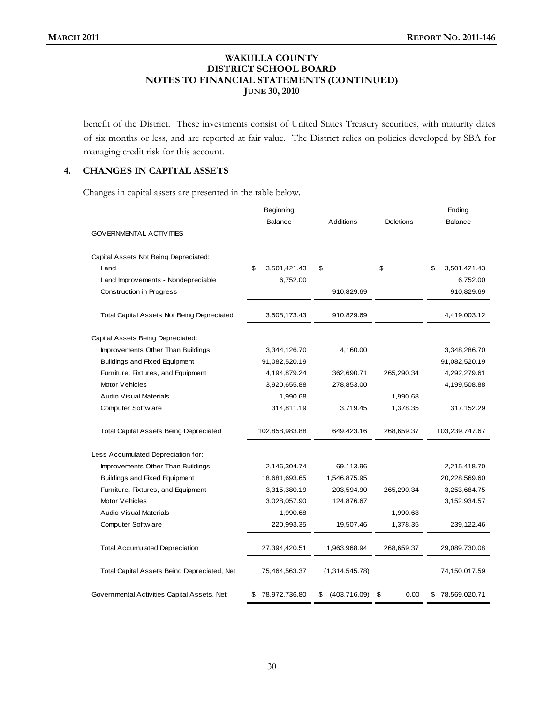benefit of the District. These investments consist of United States Treasury securities, with maturity dates of six months or less, and are reported at fair value. The District relies on policies developed by SBA for managing credit risk for this account.

## **4. CHANGES IN CAPITAL ASSETS**

Changes in capital assets are presented in the table below.

|                                                   | Beginning           |                    |                  | Ending              |
|---------------------------------------------------|---------------------|--------------------|------------------|---------------------|
|                                                   | Balance             | <b>Additions</b>   | <b>Deletions</b> | Balance             |
| <b>GOVERNMENTAL ACTIVITIES</b>                    |                     |                    |                  |                     |
| Capital Assets Not Being Depreciated:             |                     |                    |                  |                     |
| Land                                              | \$<br>3,501,421.43  | \$                 | \$               | \$<br>3,501,421.43  |
| Land Improvements - Nondepreciable                | 6,752.00            |                    |                  | 6,752.00            |
| Construction in Progress                          |                     | 910,829.69         |                  | 910,829.69          |
| <b>Total Capital Assets Not Being Depreciated</b> | 3,508,173.43        | 910,829.69         |                  | 4,419,003.12        |
| Capital Assets Being Depreciated:                 |                     |                    |                  |                     |
| Improvements Other Than Buildings                 | 3,344,126.70        | 4,160.00           |                  | 3,348,286.70        |
| <b>Buildings and Fixed Equipment</b>              | 91,082,520.19       |                    |                  | 91,082,520.19       |
| Furniture, Fixtures, and Equipment                | 4,194,879.24        | 362,690.71         | 265,290.34       | 4,292,279.61        |
| Motor Vehicles                                    | 3,920,655.88        | 278,853.00         |                  | 4,199,508.88        |
| <b>Audio Visual Materials</b>                     | 1,990.68            |                    | 1,990.68         |                     |
| Computer Softw are                                | 314,811.19          | 3,719.45           | 1,378.35         | 317,152.29          |
| <b>Total Capital Assets Being Depreciated</b>     | 102,858,983.88      | 649,423.16         | 268,659.37       | 103,239,747.67      |
| Less Accumulated Depreciation for:                |                     |                    |                  |                     |
| Improvements Other Than Buildings                 | 2,146,304.74        | 69,113.96          |                  | 2,215,418.70        |
| <b>Buildings and Fixed Equipment</b>              | 18,681,693.65       | 1,546,875.95       |                  | 20,228,569.60       |
| Furniture, Fixtures, and Equipment                | 3,315,380.19        | 203,594.90         | 265,290.34       | 3,253,684.75        |
| Motor Vehicles                                    | 3,028,057.90        | 124,876.67         |                  | 3,152,934.57        |
| Audio Visual Materials                            | 1,990.68            |                    | 1,990.68         |                     |
| Computer Softw are                                | 220,993.35          | 19,507.46          | 1,378.35         | 239,122.46          |
| <b>Total Accumulated Depreciation</b>             | 27,394,420.51       | 1,963,968.94       | 268,659.37       | 29,089,730.08       |
| Total Capital Assets Being Depreciated, Net       | 75,464,563.37       | (1,314,545.78)     |                  | 74,150,017.59       |
| Governmental Activities Capital Assets, Net       | 78,972,736.80<br>\$ | (403,716.09)<br>\$ | 0.00<br>\$       | 78,569,020.71<br>\$ |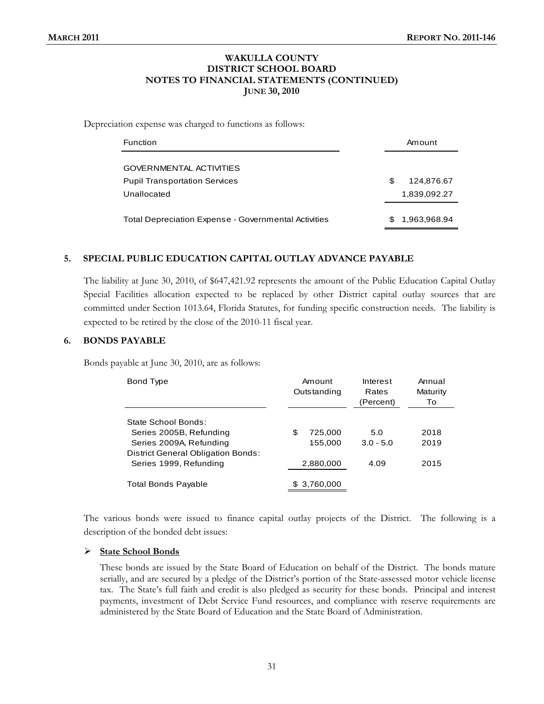Depreciation expense was charged to functions as follows:

| Function                                                    |     | Amount       |
|-------------------------------------------------------------|-----|--------------|
|                                                             |     |              |
| <b>GOVERNMENTAL ACTIVITIES</b>                              |     |              |
| <b>Pupil Transportation Services</b>                        | \$. | 124.876.67   |
| Unallocated                                                 |     | 1,839,092.27 |
|                                                             |     |              |
| <b>Total Depreciation Expense - Governmental Activities</b> | S   | 1,963,968.94 |

## **5. SPECIAL PUBLIC EDUCATION CAPITAL OUTLAY ADVANCE PAYABLE**

The liability at June 30, 2010, of \$647,421.92 represents the amount of the Public Education Capital Outlay Special Facilities allocation expected to be replaced by other District capital outlay sources that are committed under Section 1013.64, Florida Statutes, for funding specific construction needs. The liability is expected to be retired by the close of the 2010-11 fiscal year.

#### **6. BONDS PAYABLE**

Bonds payable at June 30, 2010, are as follows:

| Bond Type                          | Amount<br>Outstanding | Interest<br>Rates<br>(Percent) | Annual<br>Maturity<br>To |
|------------------------------------|-----------------------|--------------------------------|--------------------------|
|                                    |                       |                                |                          |
| State School Bonds:                |                       |                                |                          |
| Series 2005B, Refunding            | \$<br>725,000         | 5.0                            | 2018                     |
| Series 2009A, Refunding            | 155,000               | $3.0 - 5.0$                    | 2019                     |
| District General Obligation Bonds: |                       |                                |                          |
| Series 1999, Refunding             | 2,880,000             | 4.09                           | 2015                     |
|                                    |                       |                                |                          |
| <b>Total Bonds Payable</b>         | 3,760,000<br>SS.      |                                |                          |

The various bonds were issued to finance capital outlay projects of the District. The following is a description of the bonded debt issues:

#### **State School Bonds**

These bonds are issued by the State Board of Education on behalf of the District. The bonds mature serially, and are secured by a pledge of the District's portion of the State-assessed motor vehicle license tax. The State's full faith and credit is also pledged as security for these bonds. Principal and interest payments, investment of Debt Service Fund resources, and compliance with reserve requirements are administered by the State Board of Education and the State Board of Administration.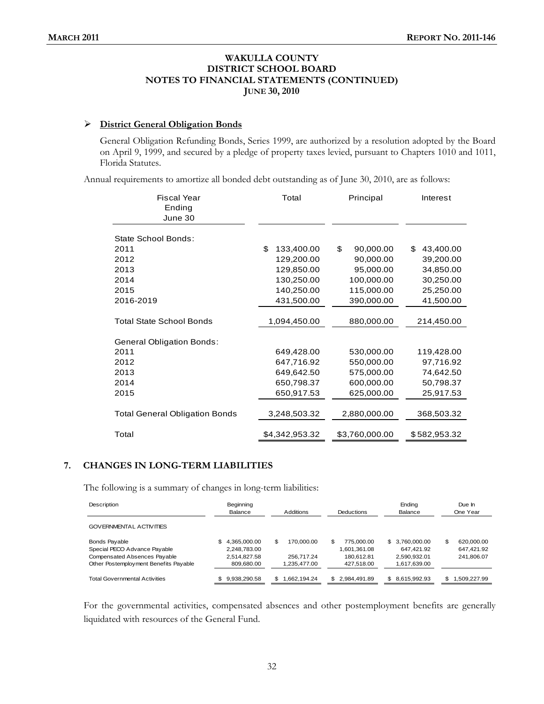#### **District General Obligation Bonds**

General Obligation Refunding Bonds, Series 1999, are authorized by a resolution adopted by the Board on April 9, 1999, and secured by a pledge of property taxes levied, pursuant to Chapters 1010 and 1011, Florida Statutes.

Annual requirements to amortize all bonded debt outstanding as of June 30, 2010, are as follows:

| <b>Fiscal Year</b><br>Ending<br>June 30 | Total            | Principal       | Interest        |
|-----------------------------------------|------------------|-----------------|-----------------|
|                                         |                  |                 |                 |
| State School Bonds:                     |                  |                 |                 |
| 2011                                    | \$<br>133,400.00 | \$<br>90,000.00 | \$<br>43,400.00 |
| 2012                                    | 129,200.00       | 90,000.00       | 39,200.00       |
| 2013                                    | 129,850.00       | 95,000.00       | 34,850.00       |
| 2014                                    | 130,250.00       | 100,000.00      | 30,250.00       |
| 2015                                    | 140,250.00       | 115,000.00      | 25,250.00       |
| 2016-2019                               | 431,500.00       | 390,000.00      | 41,500.00       |
|                                         |                  |                 |                 |
| Total State School Bonds                | 1,094,450.00     | 880,000.00      | 214,450.00      |
|                                         |                  |                 |                 |
| <b>General Obligation Bonds:</b>        |                  |                 |                 |
| 2011                                    | 649,428.00       | 530,000.00      | 119,428.00      |
| 2012                                    | 647,716.92       | 550,000.00      | 97,716.92       |
| 2013                                    | 649,642.50       | 575,000.00      | 74,642.50       |
| 2014                                    | 650,798.37       | 600,000.00      | 50,798.37       |
| 2015                                    | 650,917.53       | 625,000.00      | 25,917.53       |
|                                         |                  |                 |                 |
| <b>Total General Obligation Bonds</b>   | 3,248,503.32     | 2,880,000.00    | 368,503.32      |
|                                         |                  |                 |                 |
| Total                                   | \$4,342,953.32   | \$3,760,000.00  | \$582,953.32    |

#### **7. CHANGES IN LONG-TERM LIABILITIES**

The following is a summary of changes in long-term liabilities:

| Description                           | Beginning<br>Balance | Additions          | Deductions        | Ending<br>Balance   | Due In<br>One Year |
|---------------------------------------|----------------------|--------------------|-------------------|---------------------|--------------------|
| <b>GOVERNMENTAL ACTIVITIES</b>        |                      |                    |                   |                     |                    |
| Bonds Payable                         | \$.<br>4.365.000.00  | \$<br>170.000.00   | 775.000.00<br>\$. | \$ 3.760,000,00     | \$.<br>620,000,00  |
| Special PECO Advance Payable          | 2.248.783.00         |                    | 1.601.361.08      | 647.421.92          | 647.421.92         |
| Compensated Absences Payable          | 2.514.827.58         | 256.717.24         | 180.612.81        | 2.590.932.01        | 241.806.07         |
| Other Postemployment Benefits Payable | 809.680.00           | 1.235.477.00       | 427.518.00        | 1.617.639.00        |                    |
| <b>Total Governmental Activities</b>  | 9.938.290.58         | .662.194.24<br>\$. | 2.984.491.89      | 8.615.992.93<br>\$. | .509.227.99<br>Я.  |

For the governmental activities, compensated absences and other postemployment benefits are generally liquidated with resources of the General Fund.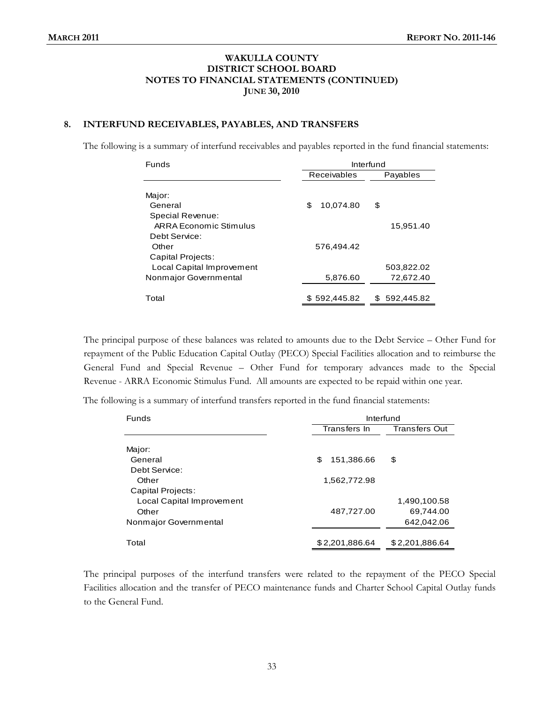#### **8. INTERFUND RECEIVABLES, PAYABLES, AND TRANSFERS**

The following is a summary of interfund receivables and payables reported in the fund financial statements:

| <b>Funds</b>                                                | Interfund               |                 |  |  |  |
|-------------------------------------------------------------|-------------------------|-----------------|--|--|--|
|                                                             | Receivables<br>Payables |                 |  |  |  |
| Major:<br>General                                           | \$<br>10.074.80         | \$              |  |  |  |
| Special Revenue:<br>ARRA Fconomic Stimulus<br>Debt Service: |                         | 15,951.40       |  |  |  |
| Other<br>Capital Projects:                                  | 576.494.42              |                 |  |  |  |
| Local Capital Improvement                                   |                         | 503,822.02      |  |  |  |
| Nonmajor Governmental                                       | 5,876.60                | 72,672.40       |  |  |  |
| Total                                                       | \$592,445.82            | 592,445.82<br>S |  |  |  |

The principal purpose of these balances was related to amounts due to the Debt Service – Other Fund for repayment of the Public Education Capital Outlay (PECO) Special Facilities allocation and to reimburse the General Fund and Special Revenue – Other Fund for temporary advances made to the Special Revenue - ARRA Economic Stimulus Fund. All amounts are expected to be repaid within one year.

The following is a summary of interfund transfers reported in the fund financial statements:

| <b>Funds</b>              |                  | Interfund            |
|---------------------------|------------------|----------------------|
|                           | Transfers In     | <b>Transfers Out</b> |
| Major:                    |                  |                      |
| General                   | \$<br>151,386.66 | \$                   |
| Debt Service:             |                  |                      |
| Other                     | 1,562,772.98     |                      |
| Capital Projects:         |                  |                      |
| Local Capital Improvement |                  | 1,490,100.58         |
| Other                     | 487,727.00       | 69,744.00            |
| Nonmajor Governmental     |                  | 642,042.06           |
|                           |                  |                      |
| Total                     | \$2,201,886.64   | \$2,201,886.64       |

The principal purposes of the interfund transfers were related to the repayment of the PECO Special Facilities allocation and the transfer of PECO maintenance funds and Charter School Capital Outlay funds to the General Fund.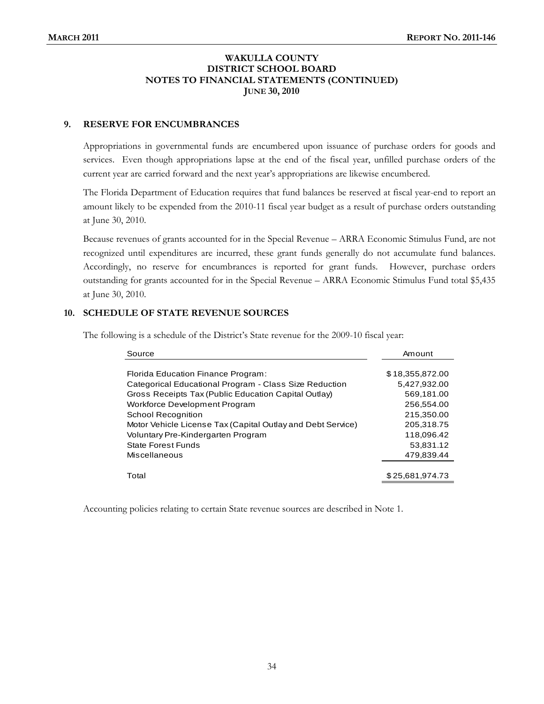#### **9. RESERVE FOR ENCUMBRANCES**

Appropriations in governmental funds are encumbered upon issuance of purchase orders for goods and services. Even though appropriations lapse at the end of the fiscal year, unfilled purchase orders of the current year are carried forward and the next year's appropriations are likewise encumbered.

The Florida Department of Education requires that fund balances be reserved at fiscal year-end to report an amount likely to be expended from the 2010-11 fiscal year budget as a result of purchase orders outstanding at June 30, 2010.

Because revenues of grants accounted for in the Special Revenue – ARRA Economic Stimulus Fund, are not recognized until expenditures are incurred, these grant funds generally do not accumulate fund balances. Accordingly, no reserve for encumbrances is reported for grant funds. However, purchase orders outstanding for grants accounted for in the Special Revenue – ARRA Economic Stimulus Fund total \$5,435 at June 30, 2010.

## **10. SCHEDULE OF STATE REVENUE SOURCES**

The following is a schedule of the District's State revenue for the 2009-10 fiscal year:

| Source                                                      | Amount          |
|-------------------------------------------------------------|-----------------|
|                                                             |                 |
| Florida Education Finance Program:                          | \$18,355,872.00 |
| Categorical Educational Program - Class Size Reduction      | 5.427.932.00    |
| Gross Receipts Tax (Public Education Capital Outlay)        | 569.181.00      |
| Workforce Development Program                               | 256.554.00      |
| School Recognition                                          | 215,350.00      |
| Motor Vehicle License Tax (Capital Outlay and Debt Service) | 205.318.75      |
| Voluntary Pre-Kindergarten Program                          | 118,096.42      |
| <b>State Forest Funds</b>                                   | 53,831.12       |
| Miscellaneous                                               | 479,839.44      |
|                                                             |                 |
| Total                                                       | \$25,681,974.73 |

Accounting policies relating to certain State revenue sources are described in Note 1.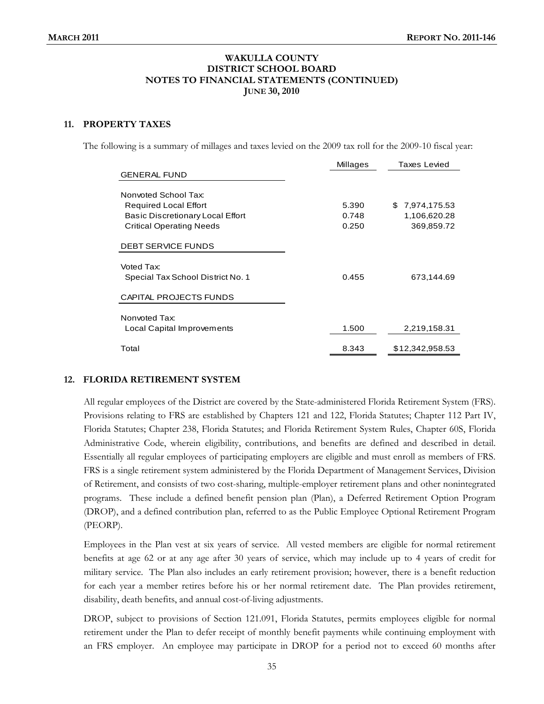#### **11. PROPERTY TAXES**

The following is a summary of millages and taxes levied on the 2009 tax roll for the 2009-10 fiscal year:

|                                   | Millages | Taxes Levied       |
|-----------------------------------|----------|--------------------|
| <b>GENERAL FUND</b>               |          |                    |
|                                   |          |                    |
| Nonvoted School Tax:              |          |                    |
| <b>Required Local Effort</b>      | 5.390    | 7,974,175.53<br>\$ |
| Basic Discretionary Local Effort  | 0.748    | 1,106,620.28       |
| <b>Critical Operating Needs</b>   | 0.250    | 369,859.72         |
| <b>DEBT SERVICE FUNDS</b>         |          |                    |
| Voted Tax:                        |          |                    |
| Special Tax School District No. 1 | 0.455    | 673,144.69         |
| CAPITAL PROJECTS FUNDS            |          |                    |
| Nonvoted Tax:                     |          |                    |
| Local Capital Improvements        | 1.500    | 2,219,158.31       |
| Total                             | 8.343    | \$12.342.958.53    |

## **12. FLORIDA RETIREMENT SYSTEM**

All regular employees of the District are covered by the State-administered Florida Retirement System (FRS). Provisions relating to FRS are established by Chapters 121 and 122, Florida Statutes; Chapter 112 Part IV, Florida Statutes; Chapter 238, Florida Statutes; and Florida Retirement System Rules, Chapter 60S, Florida Administrative Code, wherein eligibility, contributions, and benefits are defined and described in detail. Essentially all regular employees of participating employers are eligible and must enroll as members of FRS. FRS is a single retirement system administered by the Florida Department of Management Services, Division of Retirement, and consists of two cost-sharing, multiple-employer retirement plans and other nonintegrated programs. These include a defined benefit pension plan (Plan), a Deferred Retirement Option Program (DROP), and a defined contribution plan, referred to as the Public Employee Optional Retirement Program (PEORP).

Employees in the Plan vest at six years of service. All vested members are eligible for normal retirement benefits at age 62 or at any age after 30 years of service, which may include up to 4 years of credit for military service. The Plan also includes an early retirement provision; however, there is a benefit reduction for each year a member retires before his or her normal retirement date. The Plan provides retirement, disability, death benefits, and annual cost-of-living adjustments.

DROP, subject to provisions of Section 121.091, Florida Statutes, permits employees eligible for normal retirement under the Plan to defer receipt of monthly benefit payments while continuing employment with an FRS employer. An employee may participate in DROP for a period not to exceed 60 months after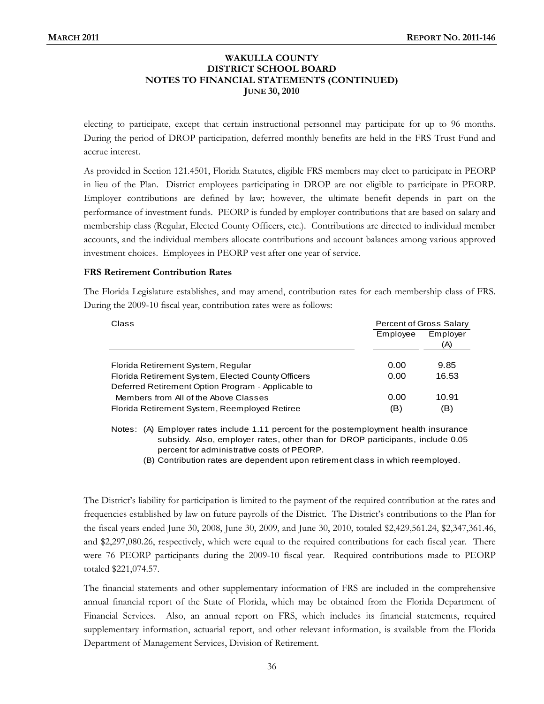electing to participate, except that certain instructional personnel may participate for up to 96 months. During the period of DROP participation, deferred monthly benefits are held in the FRS Trust Fund and accrue interest.

As provided in Section 121.4501, Florida Statutes, eligible FRS members may elect to participate in PEORP in lieu of the Plan. District employees participating in DROP are not eligible to participate in PEORP. Employer contributions are defined by law; however, the ultimate benefit depends in part on the performance of investment funds. PEORP is funded by employer contributions that are based on salary and membership class (Regular, Elected County Officers, etc.). Contributions are directed to individual member accounts, and the individual members allocate contributions and account balances among various approved investment choices. Employees in PEORP vest after one year of service.

#### **FRS Retirement Contribution Rates**

The Florida Legislature establishes, and may amend, contribution rates for each membership class of FRS. During the 2009-10 fiscal year, contribution rates were as follows:

| Class                                                                                                    |             | <b>Percent of Gross Salary</b> |
|----------------------------------------------------------------------------------------------------------|-------------|--------------------------------|
|                                                                                                          | Employee    | Employer<br>(A)                |
| Florida Retirement System, Regular                                                                       | 0.00        | 9.85                           |
| Florida Retirement System, Elected County Officers<br>Deferred Retirement Option Program - Applicable to | 0.00        | 16.53                          |
| Members from All of the Above Classes<br>Florida Retirement System, Reemployed Retiree                   | 0.00<br>(B) | 10.91<br>(B)                   |

Notes: (A) Employer rates include 1.11 percent for the postemployment health insurance subsidy. Also, employer rates, other than for DROP participants, include 0.05 percent for administrative costs of PEORP.

(B) Contribution rates are dependent upon retirement class in which reemployed.

The District's liability for participation is limited to the payment of the required contribution at the rates and frequencies established by law on future payrolls of the District. The District's contributions to the Plan for the fiscal years ended June 30, 2008, June 30, 2009, and June 30, 2010, totaled \$2,429,561.24, \$2,347,361.46, and \$2,297,080.26, respectively, which were equal to the required contributions for each fiscal year. There were 76 PEORP participants during the 2009-10 fiscal year. Required contributions made to PEORP totaled \$221,074.57.

The financial statements and other supplementary information of FRS are included in the comprehensive annual financial report of the State of Florida, which may be obtained from the Florida Department of Financial Services. Also, an annual report on FRS, which includes its financial statements, required supplementary information, actuarial report, and other relevant information, is available from the Florida Department of Management Services, Division of Retirement.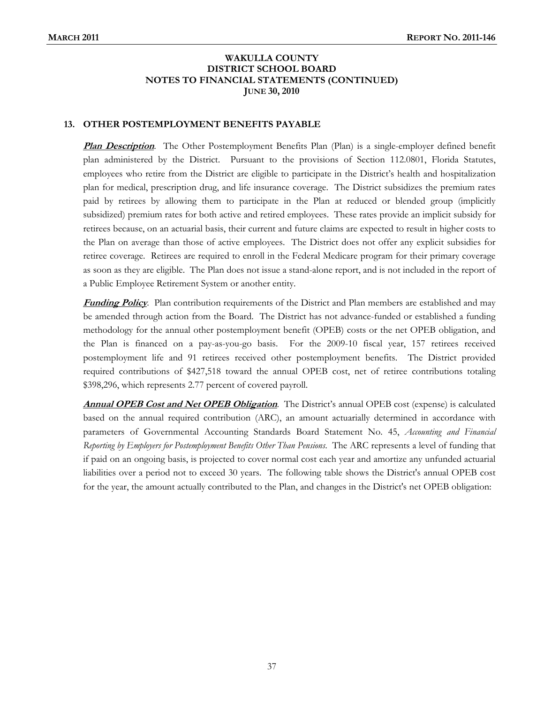#### **13. OTHER POSTEMPLOYMENT BENEFITS PAYABLE**

**Plan Description**. The Other Postemployment Benefits Plan (Plan) is a single-employer defined benefit plan administered by the District. Pursuant to the provisions of Section 112.0801, Florida Statutes, employees who retire from the District are eligible to participate in the District's health and hospitalization plan for medical, prescription drug, and life insurance coverage. The District subsidizes the premium rates paid by retirees by allowing them to participate in the Plan at reduced or blended group (implicitly subsidized) premium rates for both active and retired employees. These rates provide an implicit subsidy for retirees because, on an actuarial basis, their current and future claims are expected to result in higher costs to the Plan on average than those of active employees. The District does not offer any explicit subsidies for retiree coverage. Retirees are required to enroll in the Federal Medicare program for their primary coverage as soon as they are eligible. The Plan does not issue a stand-alone report, and is not included in the report of a Public Employee Retirement System or another entity.

**Funding Policy**. Plan contribution requirements of the District and Plan members are established and may be amended through action from the Board. The District has not advance-funded or established a funding methodology for the annual other postemployment benefit (OPEB) costs or the net OPEB obligation, and the Plan is financed on a pay-as-you-go basis. For the 2009-10 fiscal year, 157 retirees received postemployment life and 91 retirees received other postemployment benefits. The District provided required contributions of \$427,518 toward the annual OPEB cost, net of retiree contributions totaling \$398,296, which represents 2.77 percent of covered payroll.

**Annual OPEB Cost and Net OPEB Obligation**. The District's annual OPEB cost (expense) is calculated based on the annual required contribution (ARC), an amount actuarially determined in accordance with parameters of Governmental Accounting Standards Board Statement No. 45, *Accounting and Financial Reporting by Employers for Postemployment Benefits Other Than Pensions*. The ARC represents a level of funding that if paid on an ongoing basis, is projected to cover normal cost each year and amortize any unfunded actuarial liabilities over a period not to exceed 30 years. The following table shows the District's annual OPEB cost for the year, the amount actually contributed to the Plan, and changes in the District's net OPEB obligation: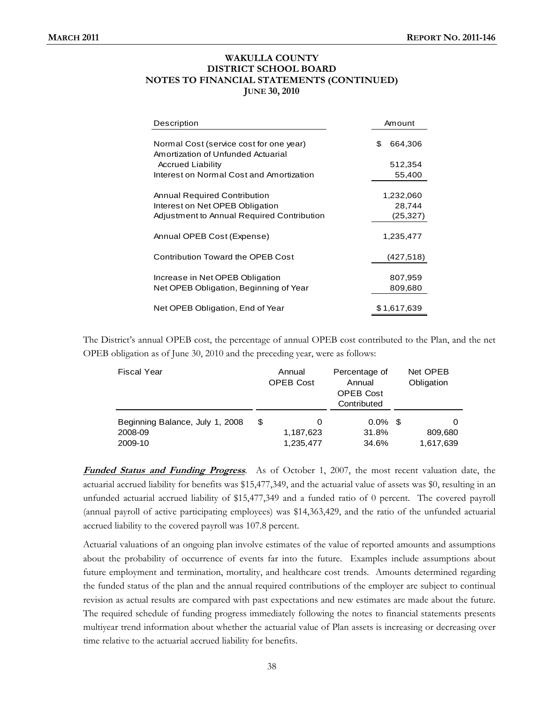| Description                                                                   | Amount              |
|-------------------------------------------------------------------------------|---------------------|
| Normal Cost (service cost for one year)<br>Amortization of Unfunded Actuarial | \$<br>664,306       |
| <b>Accrued Liability</b><br>Interest on Normal Cost and Amortization          | 512,354<br>55,400   |
| Annual Required Contribution                                                  | 1,232,060           |
| Interest on Net OPEB Obligation<br>Adjustment to Annual Required Contribution | 28,744<br>(25, 327) |
| Annual OPEB Cost (Expense)                                                    | 1,235,477           |
| Contribution Toward the OPEB Cost                                             | (427,518)           |
| Increase in Net OPEB Obligation<br>Net OPEB Obligation, Beginning of Year     | 807,959<br>809,680  |
| Net OPEB Obligation, End of Year                                              | \$1,617,639         |

The District's annual OPEB cost, the percentage of annual OPEB cost contributed to the Plan, and the net OPEB obligation as of June 30, 2010 and the preceding year, were as follows:

| Fiscal Year                                           |   | Annual<br><b>OPEB Cost</b>  | Percentage of<br>Annual<br><b>OPEB Cost</b><br>Contributed |  | Net OPEB<br>Obligation    |  |  |
|-------------------------------------------------------|---|-----------------------------|------------------------------------------------------------|--|---------------------------|--|--|
| Beginning Balance, July 1, 2008<br>2008-09<br>2009-10 | S | 0<br>1,187,623<br>1,235,477 | $0.0\%$ \$<br>31.8%<br>34.6%                               |  | 0<br>809,680<br>1,617,639 |  |  |

**Funded Status and Funding Progress**. As of October 1, 2007, the most recent valuation date, the actuarial accrued liability for benefits was \$15,477,349, and the actuarial value of assets was \$0, resulting in an unfunded actuarial accrued liability of \$15,477,349 and a funded ratio of 0 percent. The covered payroll (annual payroll of active participating employees) was \$14,363,429, and the ratio of the unfunded actuarial accrued liability to the covered payroll was 107.8 percent.

Actuarial valuations of an ongoing plan involve estimates of the value of reported amounts and assumptions about the probability of occurrence of events far into the future. Examples include assumptions about future employment and termination, mortality, and healthcare cost trends. Amounts determined regarding the funded status of the plan and the annual required contributions of the employer are subject to continual revision as actual results are compared with past expectations and new estimates are made about the future. The required schedule of funding progress immediately following the notes to financial statements presents multiyear trend information about whether the actuarial value of Plan assets is increasing or decreasing over time relative to the actuarial accrued liability for benefits.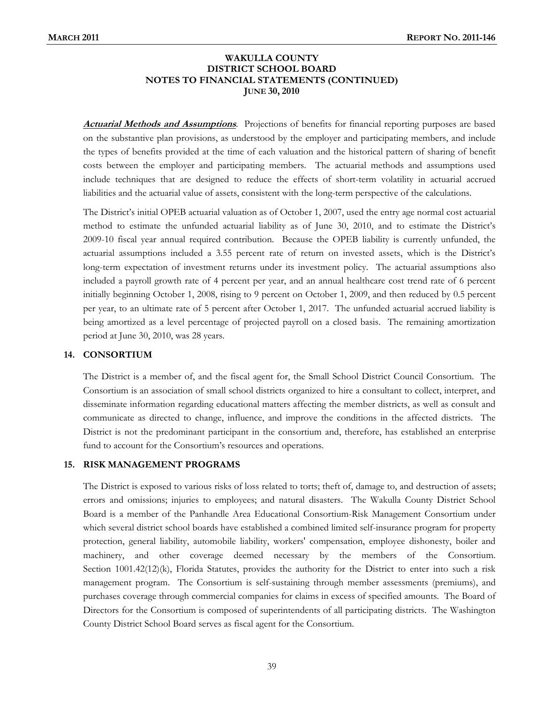**Actuarial Methods and Assumptions**. Projections of benefits for financial reporting purposes are based on the substantive plan provisions, as understood by the employer and participating members, and include the types of benefits provided at the time of each valuation and the historical pattern of sharing of benefit costs between the employer and participating members. The actuarial methods and assumptions used include techniques that are designed to reduce the effects of short-term volatility in actuarial accrued liabilities and the actuarial value of assets, consistent with the long-term perspective of the calculations.

The District's initial OPEB actuarial valuation as of October 1, 2007, used the entry age normal cost actuarial method to estimate the unfunded actuarial liability as of June 30, 2010, and to estimate the District's 2009-10 fiscal year annual required contribution. Because the OPEB liability is currently unfunded, the actuarial assumptions included a 3.55 percent rate of return on invested assets, which is the District's long-term expectation of investment returns under its investment policy. The actuarial assumptions also included a payroll growth rate of 4 percent per year, and an annual healthcare cost trend rate of 6 percent initially beginning October 1, 2008, rising to 9 percent on October 1, 2009, and then reduced by 0.5 percent per year, to an ultimate rate of 5 percent after October 1, 2017. The unfunded actuarial accrued liability is being amortized as a level percentage of projected payroll on a closed basis. The remaining amortization period at June 30, 2010, was 28 years.

#### **14. CONSORTIUM**

The District is a member of, and the fiscal agent for, the Small School District Council Consortium. The Consortium is an association of small school districts organized to hire a consultant to collect, interpret, and disseminate information regarding educational matters affecting the member districts, as well as consult and communicate as directed to change, influence, and improve the conditions in the affected districts. The District is not the predominant participant in the consortium and, therefore, has established an enterprise fund to account for the Consortium's resources and operations.

#### **15. RISK MANAGEMENT PROGRAMS**

The District is exposed to various risks of loss related to torts; theft of, damage to, and destruction of assets; errors and omissions; injuries to employees; and natural disasters. The Wakulla County District School Board is a member of the Panhandle Area Educational Consortium-Risk Management Consortium under which several district school boards have established a combined limited self-insurance program for property protection, general liability, automobile liability, workers' compensation, employee dishonesty, boiler and machinery, and other coverage deemed necessary by the members of the Consortium. Section 1001.42(12)(k), Florida Statutes, provides the authority for the District to enter into such a risk management program. The Consortium is self-sustaining through member assessments (premiums), and purchases coverage through commercial companies for claims in excess of specified amounts. The Board of Directors for the Consortium is composed of superintendents of all participating districts. The Washington County District School Board serves as fiscal agent for the Consortium.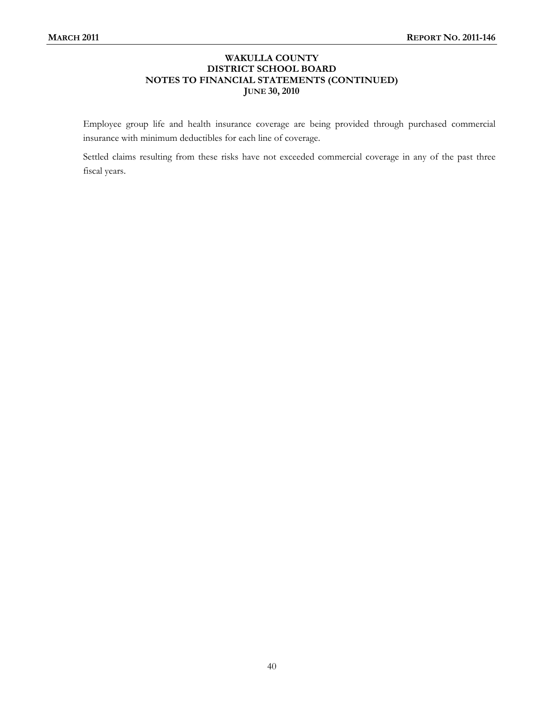Employee group life and health insurance coverage are being provided through purchased commercial insurance with minimum deductibles for each line of coverage.

Settled claims resulting from these risks have not exceeded commercial coverage in any of the past three fiscal years.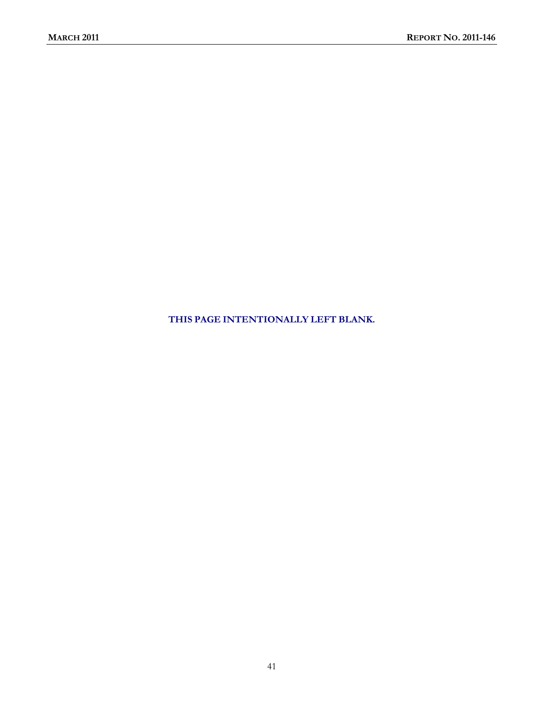# **THIS PAGE INTENTIONALLY LEFT BLANK.**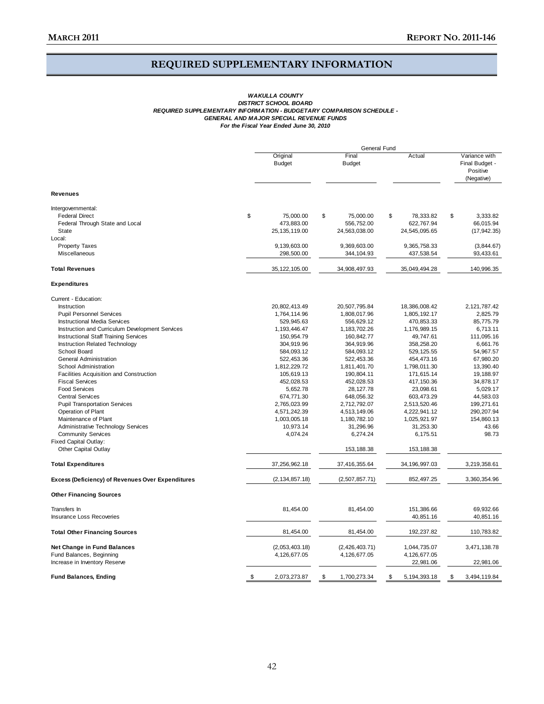## **REQUIRED SUPPLEMENTARY INFORMATION**

#### *WAKULLA COUNTY DISTRICT SCHOOL BOARD REQUIRED SUPPLEMENTARY INFORMATION - BUDGETARY COMPARISON SCHEDULE - GENERAL AND MAJOR SPECIAL REVENUE FUNDS For the Fiscal Year Ended June 30, 2010*

<span id="page-46-0"></span>

|                                                                                                                                   |                                                  | General Fund                                   |                                                |                                                           |
|-----------------------------------------------------------------------------------------------------------------------------------|--------------------------------------------------|------------------------------------------------|------------------------------------------------|-----------------------------------------------------------|
|                                                                                                                                   | Original<br><b>Budget</b>                        | Final<br><b>Budget</b>                         | Actual                                         | Variance with<br>Final Budget -<br>Positive<br>(Negative) |
| <b>Revenues</b>                                                                                                                   |                                                  |                                                |                                                |                                                           |
| Intergovernmental:<br><b>Federal Direct</b><br>Federal Through State and Local<br><b>State</b>                                    | \$<br>75,000.00<br>473,883.00<br>25, 135, 119.00 | \$<br>75,000.00<br>556,752.00<br>24,563,038.00 | \$<br>78,333.82<br>622,767.94<br>24,545,095.65 | \$<br>3.333.82<br>66,015.94<br>(17, 942.35)               |
| Local:<br><b>Property Taxes</b><br>Miscellaneous                                                                                  | 9,139,603.00<br>298,500.00                       | 9,369,603.00<br>344, 104.93                    | 9,365,758.33<br>437,538.54                     | (3,844.67)<br>93,433.61                                   |
| <b>Total Revenues</b>                                                                                                             | 35, 122, 105.00                                  | 34,908,497.93                                  | 35,049,494.28                                  | 140,996.35                                                |
| <b>Expenditures</b>                                                                                                               |                                                  |                                                |                                                |                                                           |
| Current - Education:<br>Instruction                                                                                               | 20,802,413.49                                    | 20,507,795.84                                  | 18,386,008.42                                  | 2.121.787.42                                              |
| <b>Pupil Personnel Services</b><br><b>Instructional Media Services</b>                                                            | 1,764,114.96<br>529,945.63                       | 1,808,017.96<br>556,629.12                     | 1,805,192.17<br>470,853.33                     | 2,825.79<br>85,775.79                                     |
| Instruction and Curriculum Development Services<br><b>Instructional Staff Training Services</b><br>Instruction Related Technology | 1,193,446.47<br>150,954.79<br>304,919.96         | 1,183,702.26<br>160,842.77<br>364,919.96       | 1,176,989.15<br>49,747.61<br>358,258.20        | 6,713.11<br>111,095.16<br>6,661.76                        |
| School Board<br><b>General Administration</b><br>School Administration                                                            | 584,093.12<br>522,453.36<br>1,812,229.72         | 584,093.12<br>522,453.36<br>1,811,401.70       | 529, 125.55<br>454,473.16<br>1,798,011.30      | 54,967.57<br>67,980.20<br>13,390.40                       |
| Facilities Acquisition and Construction<br><b>Fiscal Services</b><br><b>Food Services</b>                                         | 105,619.13<br>452,028.53<br>5,652.78             | 190,804.11<br>452,028.53<br>28,127.78          | 171,615.14<br>417, 150.36<br>23,098.61         | 19,188.97<br>34,878.17<br>5,029.17                        |
| <b>Central Services</b><br><b>Pupil Transportation Services</b><br>Operation of Plant                                             | 674,771.30<br>2,765,023.99<br>4,571,242.39       | 648,056.32<br>2,712,792.07<br>4,513,149.06     | 603,473.29<br>2,513,520.46<br>4,222,941.12     | 44,583.03<br>199,271.61<br>290, 207.94                    |
| Maintenance of Plant<br><b>Administrative Technology Services</b><br><b>Community Services</b>                                    | 1,003,005.18<br>10,973.14<br>4,074.24            | 1,180,782.10<br>31,296.96<br>6,274.24          | 1,025,921.97<br>31,253.30<br>6,175.51          | 154,860.13<br>43.66<br>98.73                              |
| Fixed Capital Outlay:<br><b>Other Capital Outlay</b>                                                                              |                                                  | 153,188.38                                     | 153, 188.38                                    |                                                           |
| <b>Total Expenditures</b>                                                                                                         | 37,256,962.18                                    | 37,416,355.64                                  | 34, 196, 997.03                                | 3,219,358.61                                              |
| <b>Excess (Deficiency) of Revenues Over Expenditures</b>                                                                          | (2, 134, 857.18)                                 | (2,507,857.71)                                 | 852,497.25                                     | 3,360,354.96                                              |
| <b>Other Financing Sources</b>                                                                                                    |                                                  |                                                |                                                |                                                           |
| Transfers In<br>Insurance Loss Recoveries                                                                                         | 81,454.00                                        | 81,454.00                                      | 151,386.66<br>40,851.16                        | 69,932.66<br>40,851.16                                    |
| <b>Total Other Financing Sources</b>                                                                                              | 81,454.00                                        | 81,454.00                                      | 192,237.82                                     | 110,783.82                                                |
| <b>Net Change in Fund Balances</b><br>Fund Balances, Beginning<br>Increase in Inventory Reserve                                   | (2,053,403.18)<br>4,126,677.05                   | (2, 426, 403.71)<br>4,126,677.05               | 1,044,735.07<br>4,126,677.05<br>22,981.06      | 3,471,138.78<br>22,981.06                                 |
| <b>Fund Balances, Ending</b>                                                                                                      | \$<br>2,073,273.87                               | \$<br>1,700,273.34                             | \$<br>5, 194, 393. 18                          | \$<br>3,494,119.84                                        |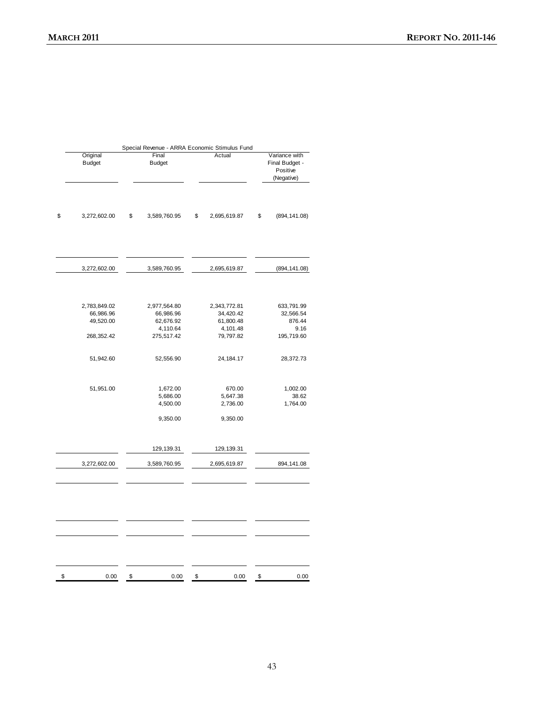|                                        | Special Revenue - ARRA Economic Stimulus Fund      |                                                    |                                                           |
|----------------------------------------|----------------------------------------------------|----------------------------------------------------|-----------------------------------------------------------|
| Original<br><b>Budget</b>              | Final<br><b>Budget</b>                             | Actual                                             | Variance with<br>Final Budget -<br>Positive<br>(Negative) |
| \$<br>3,272,602.00                     | \$<br>3,589,760.95                                 | \$<br>2,695,619.87                                 | \$<br>(894, 141.08)                                       |
| 3,272,602.00                           | 3,589,760.95                                       | 2,695,619.87                                       | (894, 141.08)                                             |
| 2,783,849.02<br>66,986.96<br>49,520.00 | 2,977,564.80<br>66,986.96<br>62,676.92<br>4,110.64 | 2,343,772.81<br>34,420.42<br>61,800.48<br>4,101.48 | 633,791.99<br>32,566.54<br>876.44<br>9.16                 |
| 268,352.42<br>51,942.60                | 275,517.42<br>52,556.90                            | 79,797.82<br>24, 184. 17                           | 195,719.60<br>28,372.73                                   |
| 51,951.00                              | 1,672.00<br>5,686.00<br>4,500.00<br>9,350.00       | 670.00<br>5,647.38<br>2,736.00<br>9,350.00         | 1,002.00<br>38.62<br>1,764.00                             |
| 3,272,602.00                           | 129,139.31<br>3,589,760.95                         | 129, 139.31<br>2,695,619.87                        | 894,141.08                                                |
|                                        |                                                    |                                                    |                                                           |
|                                        |                                                    |                                                    |                                                           |
| \$<br>0.00                             | \$<br>0.00                                         | \$<br>0.00                                         | \$<br>0.00                                                |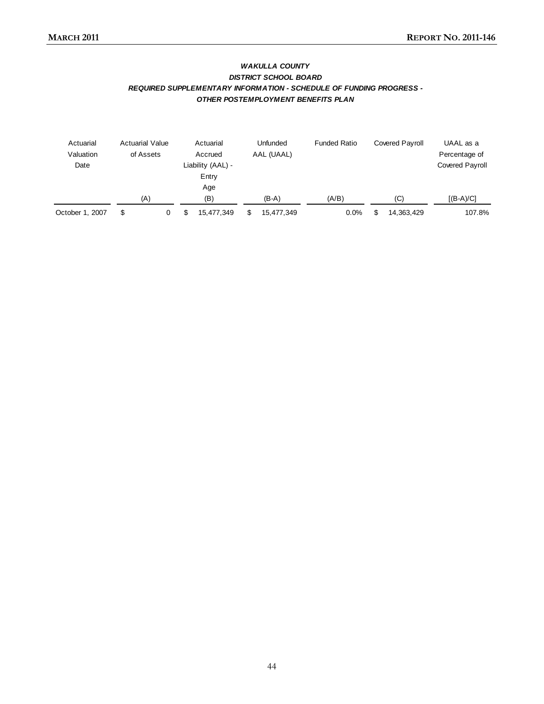#### <span id="page-48-0"></span>*WAKULLA COUNTY DISTRICT SCHOOL BOARD REQUIRED SUPPLEMENTARY INFORMATION - SCHEDULE OF FUNDING PROGRESS - OTHER POSTEMPLOYMENT BENEFITS PLAN*

| Actuarial       | <b>Actuarial Value</b> | Actuarial         | <b>Unfunded</b> | <b>Funded Ratio</b> |      |   | Covered Payroll | UAAL as a              |  |
|-----------------|------------------------|-------------------|-----------------|---------------------|------|---|-----------------|------------------------|--|
| Valuation       | of Assets              | Accrued           | AAL (UAAL)      |                     |      |   |                 | Percentage of          |  |
| Date            |                        | Liability (AAL) - |                 |                     |      |   |                 | <b>Covered Payroll</b> |  |
|                 |                        | Entry             |                 |                     |      |   |                 |                        |  |
|                 |                        | Age               |                 |                     |      |   |                 |                        |  |
|                 | (A)                    | (B)               | $(B-A)$         | (A/B)               |      |   | (C)             | $[(B-A)/C]$            |  |
| October 1, 2007 | S                      | 15.477.349        | 15.477.349      |                     | 0.0% | S | 14,363,429      | 107.8%                 |  |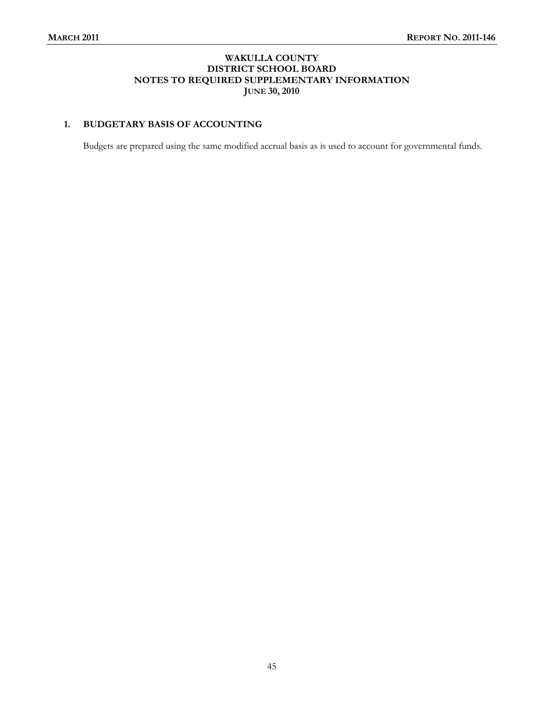## **WAKULLA COUNTY DISTRICT SCHOOL BOARD NOTES TO REQUIRED SUPPLEMENTARY INFORMATION JUNE 30, 2010**

# <span id="page-49-0"></span>**1. BUDGETARY BASIS OF ACCOUNTING**

Budgets are prepared using the same modified accrual basis as is used to account for governmental funds.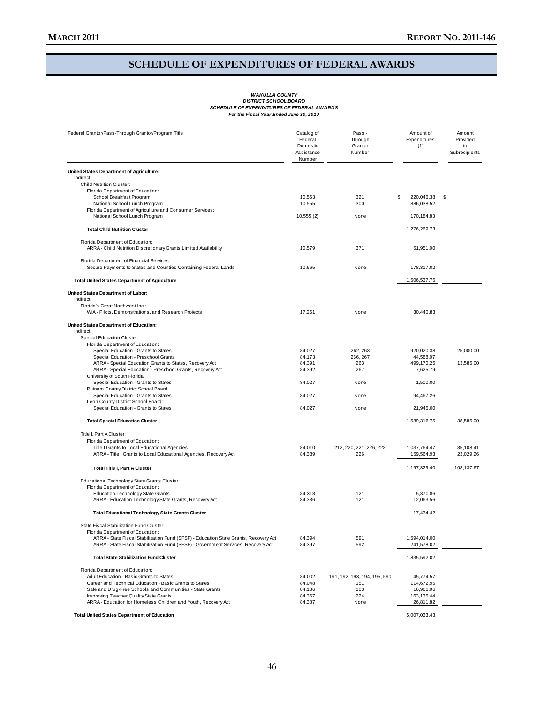## <span id="page-50-0"></span>**SCHEDULE OF EXPENDITURES OF FEDERAL AWARDS**

#### *WAKULLA COUNTY DISTRICT SCHOOL BOARD SCHEDULE OF EXPENDITURES OF FEDERAL AWARDS For the Fiscal Year Ended June 30, 2010*

| <b>United States Department of Agriculture:</b><br>Indirect:<br><b>Child Nutrition Cluster:</b><br>Florida Department of Education:<br>School Breakfast Program<br>10.553<br>321<br>\$<br>220,046.38<br>\$<br>National School Lunch Program<br>10.555<br>300<br>886,038.52<br>Florida Department of Agriculture and Consumer Services:<br>National School Lunch Program<br>10.555(2)<br>None<br>170,184.83<br><b>Total Child Nutrition Cluster</b><br>1,276,269.73<br>Florida Department of Education:<br>ARRA - Child Nutrition Discretionary Grants Limited Availability<br>371<br>51,951.00<br>10.579<br>Florida Department of Financial Services:<br>Secure Payments to States and Counties Containing Federal Lands<br>10.665<br>None<br>178,317.02<br>1,506,537.75<br><b>Total United States Department of Agriculture</b><br>United States Department of Labor:<br>Indirect:<br>Florida's Great Northwest Inc.:<br>WIA - Pilots, Demonstrations, and Research Projects<br>30,440.83<br>17.261<br>None<br>United States Department of Education:<br>Indirect:<br>Special Education Cluster:<br>Florida Department of Education:<br>Special Education - Grants to States<br>84.027<br>262, 263<br>920,020.38<br>25,000.00<br>266, 267<br>Special Education - Preschool Grants<br>84.173<br>44,588.07<br>ARRA - Special Education Grants to States, Recovery Act<br>84.391<br>263<br>499,170.25<br>13,585.00<br>ARRA - Special Education - Preschool Grants, Recovery Act<br>267<br>7,625.79<br>84.392<br>University of South Florida:<br>Special Education - Grants to States<br>84.027<br>None<br>1,500.00<br>Putnam County District School Board:<br>Special Education - Grants to States<br>84.027<br>None<br>94,467.26<br>Leon County District School Board:<br>84.027<br>Special Education - Grants to States<br>None<br>21,945.00<br><b>Total Special Education Cluster</b><br>1,589,316.75<br>38,585.00<br>Title I, Part A Cluster:<br>Florida Department of Education:<br>Title I Grants to Local Educational Agencies<br>84.010<br>212, 220, 221, 226, 228<br>85,108.41<br>1,037,764.47<br>ARRA - Title I Grants to Local Educational Agencies, Recovery Act<br>84.389<br>226<br>23,029.26<br>159,564.93<br>1,197,329.40<br>108,137.67<br><b>Total Title I, Part A Cluster</b><br>Educational Technology State Grants Cluster:<br>Florida Department of Education:<br><b>Education Technology State Grants</b><br>84.318<br>121<br>5,370.86<br>ARRA - Education Technology State Grants, Recovery Act<br>84.386<br>121<br>12,063.56<br><b>Total Educational Technology State Grants Cluster</b><br>17,434.42<br>State Fiscal Stabilization Fund Cluster:<br>Florida Department of Education:<br>ARRA - State Fiscal Stabilization Fund (SFSF) - Education State Grants, Recovery Act<br>1,594,014.00<br>84.394<br>591<br>ARRA - State Fiscal Stabilization Fund (SFSF) - Government Services, Recovery Act<br>84.397<br>592<br>241,578.02<br><b>Total State Stabilization Fund Cluster</b><br>1,835,592.02<br>Florida Department of Education:<br>Adult Education - Basic Grants to States<br>84.002<br>191, 192, 193, 194, 195, 590<br>45,774.57<br>Career and Technical Education - Basic Grants to States<br>84.048<br>151<br>114,672.95<br>Safe and Drug-Free Schools and Communities - State Grants<br>84.186<br>103<br>16,966.06<br>Improving Teacher Quality State Grants<br>84.367<br>224<br>163,135.44<br>ARRA - Education for Homeless Children and Youth, Recovery Act<br>84.387<br>None<br>26,811.82<br>5,007,033.43<br><b>Total United States Department of Education</b> | Federal Grantor/Pass-Through Grantor/Program Title | Catalog of<br>Federal<br>Domestic<br>Assistance<br>Number | Pass -<br>Through<br>Grantor<br>Number | Amount of<br>Expenditures<br>(1) | Amount<br>Provided<br>to<br>Subrecipients |
|------------------------------------------------------------------------------------------------------------------------------------------------------------------------------------------------------------------------------------------------------------------------------------------------------------------------------------------------------------------------------------------------------------------------------------------------------------------------------------------------------------------------------------------------------------------------------------------------------------------------------------------------------------------------------------------------------------------------------------------------------------------------------------------------------------------------------------------------------------------------------------------------------------------------------------------------------------------------------------------------------------------------------------------------------------------------------------------------------------------------------------------------------------------------------------------------------------------------------------------------------------------------------------------------------------------------------------------------------------------------------------------------------------------------------------------------------------------------------------------------------------------------------------------------------------------------------------------------------------------------------------------------------------------------------------------------------------------------------------------------------------------------------------------------------------------------------------------------------------------------------------------------------------------------------------------------------------------------------------------------------------------------------------------------------------------------------------------------------------------------------------------------------------------------------------------------------------------------------------------------------------------------------------------------------------------------------------------------------------------------------------------------------------------------------------------------------------------------------------------------------------------------------------------------------------------------------------------------------------------------------------------------------------------------------------------------------------------------------------------------------------------------------------------------------------------------------------------------------------------------------------------------------------------------------------------------------------------------------------------------------------------------------------------------------------------------------------------------------------------------------------------------------------------------------------------------------------------------------------------------------------------------------------------------------------------------------------------------------------------------------------------------------------------------------------------------------------------------------------------------------------------------------------------------------------------------------------------------------|----------------------------------------------------|-----------------------------------------------------------|----------------------------------------|----------------------------------|-------------------------------------------|
|                                                                                                                                                                                                                                                                                                                                                                                                                                                                                                                                                                                                                                                                                                                                                                                                                                                                                                                                                                                                                                                                                                                                                                                                                                                                                                                                                                                                                                                                                                                                                                                                                                                                                                                                                                                                                                                                                                                                                                                                                                                                                                                                                                                                                                                                                                                                                                                                                                                                                                                                                                                                                                                                                                                                                                                                                                                                                                                                                                                                                                                                                                                                                                                                                                                                                                                                                                                                                                                                                                                                                                                                      |                                                    |                                                           |                                        |                                  |                                           |
|                                                                                                                                                                                                                                                                                                                                                                                                                                                                                                                                                                                                                                                                                                                                                                                                                                                                                                                                                                                                                                                                                                                                                                                                                                                                                                                                                                                                                                                                                                                                                                                                                                                                                                                                                                                                                                                                                                                                                                                                                                                                                                                                                                                                                                                                                                                                                                                                                                                                                                                                                                                                                                                                                                                                                                                                                                                                                                                                                                                                                                                                                                                                                                                                                                                                                                                                                                                                                                                                                                                                                                                                      |                                                    |                                                           |                                        |                                  |                                           |
|                                                                                                                                                                                                                                                                                                                                                                                                                                                                                                                                                                                                                                                                                                                                                                                                                                                                                                                                                                                                                                                                                                                                                                                                                                                                                                                                                                                                                                                                                                                                                                                                                                                                                                                                                                                                                                                                                                                                                                                                                                                                                                                                                                                                                                                                                                                                                                                                                                                                                                                                                                                                                                                                                                                                                                                                                                                                                                                                                                                                                                                                                                                                                                                                                                                                                                                                                                                                                                                                                                                                                                                                      |                                                    |                                                           |                                        |                                  |                                           |
|                                                                                                                                                                                                                                                                                                                                                                                                                                                                                                                                                                                                                                                                                                                                                                                                                                                                                                                                                                                                                                                                                                                                                                                                                                                                                                                                                                                                                                                                                                                                                                                                                                                                                                                                                                                                                                                                                                                                                                                                                                                                                                                                                                                                                                                                                                                                                                                                                                                                                                                                                                                                                                                                                                                                                                                                                                                                                                                                                                                                                                                                                                                                                                                                                                                                                                                                                                                                                                                                                                                                                                                                      |                                                    |                                                           |                                        |                                  |                                           |
|                                                                                                                                                                                                                                                                                                                                                                                                                                                                                                                                                                                                                                                                                                                                                                                                                                                                                                                                                                                                                                                                                                                                                                                                                                                                                                                                                                                                                                                                                                                                                                                                                                                                                                                                                                                                                                                                                                                                                                                                                                                                                                                                                                                                                                                                                                                                                                                                                                                                                                                                                                                                                                                                                                                                                                                                                                                                                                                                                                                                                                                                                                                                                                                                                                                                                                                                                                                                                                                                                                                                                                                                      |                                                    |                                                           |                                        |                                  |                                           |
|                                                                                                                                                                                                                                                                                                                                                                                                                                                                                                                                                                                                                                                                                                                                                                                                                                                                                                                                                                                                                                                                                                                                                                                                                                                                                                                                                                                                                                                                                                                                                                                                                                                                                                                                                                                                                                                                                                                                                                                                                                                                                                                                                                                                                                                                                                                                                                                                                                                                                                                                                                                                                                                                                                                                                                                                                                                                                                                                                                                                                                                                                                                                                                                                                                                                                                                                                                                                                                                                                                                                                                                                      |                                                    |                                                           |                                        |                                  |                                           |
|                                                                                                                                                                                                                                                                                                                                                                                                                                                                                                                                                                                                                                                                                                                                                                                                                                                                                                                                                                                                                                                                                                                                                                                                                                                                                                                                                                                                                                                                                                                                                                                                                                                                                                                                                                                                                                                                                                                                                                                                                                                                                                                                                                                                                                                                                                                                                                                                                                                                                                                                                                                                                                                                                                                                                                                                                                                                                                                                                                                                                                                                                                                                                                                                                                                                                                                                                                                                                                                                                                                                                                                                      |                                                    |                                                           |                                        |                                  |                                           |
|                                                                                                                                                                                                                                                                                                                                                                                                                                                                                                                                                                                                                                                                                                                                                                                                                                                                                                                                                                                                                                                                                                                                                                                                                                                                                                                                                                                                                                                                                                                                                                                                                                                                                                                                                                                                                                                                                                                                                                                                                                                                                                                                                                                                                                                                                                                                                                                                                                                                                                                                                                                                                                                                                                                                                                                                                                                                                                                                                                                                                                                                                                                                                                                                                                                                                                                                                                                                                                                                                                                                                                                                      |                                                    |                                                           |                                        |                                  |                                           |
|                                                                                                                                                                                                                                                                                                                                                                                                                                                                                                                                                                                                                                                                                                                                                                                                                                                                                                                                                                                                                                                                                                                                                                                                                                                                                                                                                                                                                                                                                                                                                                                                                                                                                                                                                                                                                                                                                                                                                                                                                                                                                                                                                                                                                                                                                                                                                                                                                                                                                                                                                                                                                                                                                                                                                                                                                                                                                                                                                                                                                                                                                                                                                                                                                                                                                                                                                                                                                                                                                                                                                                                                      |                                                    |                                                           |                                        |                                  |                                           |
|                                                                                                                                                                                                                                                                                                                                                                                                                                                                                                                                                                                                                                                                                                                                                                                                                                                                                                                                                                                                                                                                                                                                                                                                                                                                                                                                                                                                                                                                                                                                                                                                                                                                                                                                                                                                                                                                                                                                                                                                                                                                                                                                                                                                                                                                                                                                                                                                                                                                                                                                                                                                                                                                                                                                                                                                                                                                                                                                                                                                                                                                                                                                                                                                                                                                                                                                                                                                                                                                                                                                                                                                      |                                                    |                                                           |                                        |                                  |                                           |
|                                                                                                                                                                                                                                                                                                                                                                                                                                                                                                                                                                                                                                                                                                                                                                                                                                                                                                                                                                                                                                                                                                                                                                                                                                                                                                                                                                                                                                                                                                                                                                                                                                                                                                                                                                                                                                                                                                                                                                                                                                                                                                                                                                                                                                                                                                                                                                                                                                                                                                                                                                                                                                                                                                                                                                                                                                                                                                                                                                                                                                                                                                                                                                                                                                                                                                                                                                                                                                                                                                                                                                                                      |                                                    |                                                           |                                        |                                  |                                           |
|                                                                                                                                                                                                                                                                                                                                                                                                                                                                                                                                                                                                                                                                                                                                                                                                                                                                                                                                                                                                                                                                                                                                                                                                                                                                                                                                                                                                                                                                                                                                                                                                                                                                                                                                                                                                                                                                                                                                                                                                                                                                                                                                                                                                                                                                                                                                                                                                                                                                                                                                                                                                                                                                                                                                                                                                                                                                                                                                                                                                                                                                                                                                                                                                                                                                                                                                                                                                                                                                                                                                                                                                      |                                                    |                                                           |                                        |                                  |                                           |
|                                                                                                                                                                                                                                                                                                                                                                                                                                                                                                                                                                                                                                                                                                                                                                                                                                                                                                                                                                                                                                                                                                                                                                                                                                                                                                                                                                                                                                                                                                                                                                                                                                                                                                                                                                                                                                                                                                                                                                                                                                                                                                                                                                                                                                                                                                                                                                                                                                                                                                                                                                                                                                                                                                                                                                                                                                                                                                                                                                                                                                                                                                                                                                                                                                                                                                                                                                                                                                                                                                                                                                                                      |                                                    |                                                           |                                        |                                  |                                           |
|                                                                                                                                                                                                                                                                                                                                                                                                                                                                                                                                                                                                                                                                                                                                                                                                                                                                                                                                                                                                                                                                                                                                                                                                                                                                                                                                                                                                                                                                                                                                                                                                                                                                                                                                                                                                                                                                                                                                                                                                                                                                                                                                                                                                                                                                                                                                                                                                                                                                                                                                                                                                                                                                                                                                                                                                                                                                                                                                                                                                                                                                                                                                                                                                                                                                                                                                                                                                                                                                                                                                                                                                      |                                                    |                                                           |                                        |                                  |                                           |
|                                                                                                                                                                                                                                                                                                                                                                                                                                                                                                                                                                                                                                                                                                                                                                                                                                                                                                                                                                                                                                                                                                                                                                                                                                                                                                                                                                                                                                                                                                                                                                                                                                                                                                                                                                                                                                                                                                                                                                                                                                                                                                                                                                                                                                                                                                                                                                                                                                                                                                                                                                                                                                                                                                                                                                                                                                                                                                                                                                                                                                                                                                                                                                                                                                                                                                                                                                                                                                                                                                                                                                                                      |                                                    |                                                           |                                        |                                  |                                           |
|                                                                                                                                                                                                                                                                                                                                                                                                                                                                                                                                                                                                                                                                                                                                                                                                                                                                                                                                                                                                                                                                                                                                                                                                                                                                                                                                                                                                                                                                                                                                                                                                                                                                                                                                                                                                                                                                                                                                                                                                                                                                                                                                                                                                                                                                                                                                                                                                                                                                                                                                                                                                                                                                                                                                                                                                                                                                                                                                                                                                                                                                                                                                                                                                                                                                                                                                                                                                                                                                                                                                                                                                      |                                                    |                                                           |                                        |                                  |                                           |
|                                                                                                                                                                                                                                                                                                                                                                                                                                                                                                                                                                                                                                                                                                                                                                                                                                                                                                                                                                                                                                                                                                                                                                                                                                                                                                                                                                                                                                                                                                                                                                                                                                                                                                                                                                                                                                                                                                                                                                                                                                                                                                                                                                                                                                                                                                                                                                                                                                                                                                                                                                                                                                                                                                                                                                                                                                                                                                                                                                                                                                                                                                                                                                                                                                                                                                                                                                                                                                                                                                                                                                                                      |                                                    |                                                           |                                        |                                  |                                           |
|                                                                                                                                                                                                                                                                                                                                                                                                                                                                                                                                                                                                                                                                                                                                                                                                                                                                                                                                                                                                                                                                                                                                                                                                                                                                                                                                                                                                                                                                                                                                                                                                                                                                                                                                                                                                                                                                                                                                                                                                                                                                                                                                                                                                                                                                                                                                                                                                                                                                                                                                                                                                                                                                                                                                                                                                                                                                                                                                                                                                                                                                                                                                                                                                                                                                                                                                                                                                                                                                                                                                                                                                      |                                                    |                                                           |                                        |                                  |                                           |
|                                                                                                                                                                                                                                                                                                                                                                                                                                                                                                                                                                                                                                                                                                                                                                                                                                                                                                                                                                                                                                                                                                                                                                                                                                                                                                                                                                                                                                                                                                                                                                                                                                                                                                                                                                                                                                                                                                                                                                                                                                                                                                                                                                                                                                                                                                                                                                                                                                                                                                                                                                                                                                                                                                                                                                                                                                                                                                                                                                                                                                                                                                                                                                                                                                                                                                                                                                                                                                                                                                                                                                                                      |                                                    |                                                           |                                        |                                  |                                           |
|                                                                                                                                                                                                                                                                                                                                                                                                                                                                                                                                                                                                                                                                                                                                                                                                                                                                                                                                                                                                                                                                                                                                                                                                                                                                                                                                                                                                                                                                                                                                                                                                                                                                                                                                                                                                                                                                                                                                                                                                                                                                                                                                                                                                                                                                                                                                                                                                                                                                                                                                                                                                                                                                                                                                                                                                                                                                                                                                                                                                                                                                                                                                                                                                                                                                                                                                                                                                                                                                                                                                                                                                      |                                                    |                                                           |                                        |                                  |                                           |
|                                                                                                                                                                                                                                                                                                                                                                                                                                                                                                                                                                                                                                                                                                                                                                                                                                                                                                                                                                                                                                                                                                                                                                                                                                                                                                                                                                                                                                                                                                                                                                                                                                                                                                                                                                                                                                                                                                                                                                                                                                                                                                                                                                                                                                                                                                                                                                                                                                                                                                                                                                                                                                                                                                                                                                                                                                                                                                                                                                                                                                                                                                                                                                                                                                                                                                                                                                                                                                                                                                                                                                                                      |                                                    |                                                           |                                        |                                  |                                           |
|                                                                                                                                                                                                                                                                                                                                                                                                                                                                                                                                                                                                                                                                                                                                                                                                                                                                                                                                                                                                                                                                                                                                                                                                                                                                                                                                                                                                                                                                                                                                                                                                                                                                                                                                                                                                                                                                                                                                                                                                                                                                                                                                                                                                                                                                                                                                                                                                                                                                                                                                                                                                                                                                                                                                                                                                                                                                                                                                                                                                                                                                                                                                                                                                                                                                                                                                                                                                                                                                                                                                                                                                      |                                                    |                                                           |                                        |                                  |                                           |
|                                                                                                                                                                                                                                                                                                                                                                                                                                                                                                                                                                                                                                                                                                                                                                                                                                                                                                                                                                                                                                                                                                                                                                                                                                                                                                                                                                                                                                                                                                                                                                                                                                                                                                                                                                                                                                                                                                                                                                                                                                                                                                                                                                                                                                                                                                                                                                                                                                                                                                                                                                                                                                                                                                                                                                                                                                                                                                                                                                                                                                                                                                                                                                                                                                                                                                                                                                                                                                                                                                                                                                                                      |                                                    |                                                           |                                        |                                  |                                           |
|                                                                                                                                                                                                                                                                                                                                                                                                                                                                                                                                                                                                                                                                                                                                                                                                                                                                                                                                                                                                                                                                                                                                                                                                                                                                                                                                                                                                                                                                                                                                                                                                                                                                                                                                                                                                                                                                                                                                                                                                                                                                                                                                                                                                                                                                                                                                                                                                                                                                                                                                                                                                                                                                                                                                                                                                                                                                                                                                                                                                                                                                                                                                                                                                                                                                                                                                                                                                                                                                                                                                                                                                      |                                                    |                                                           |                                        |                                  |                                           |
|                                                                                                                                                                                                                                                                                                                                                                                                                                                                                                                                                                                                                                                                                                                                                                                                                                                                                                                                                                                                                                                                                                                                                                                                                                                                                                                                                                                                                                                                                                                                                                                                                                                                                                                                                                                                                                                                                                                                                                                                                                                                                                                                                                                                                                                                                                                                                                                                                                                                                                                                                                                                                                                                                                                                                                                                                                                                                                                                                                                                                                                                                                                                                                                                                                                                                                                                                                                                                                                                                                                                                                                                      |                                                    |                                                           |                                        |                                  |                                           |
|                                                                                                                                                                                                                                                                                                                                                                                                                                                                                                                                                                                                                                                                                                                                                                                                                                                                                                                                                                                                                                                                                                                                                                                                                                                                                                                                                                                                                                                                                                                                                                                                                                                                                                                                                                                                                                                                                                                                                                                                                                                                                                                                                                                                                                                                                                                                                                                                                                                                                                                                                                                                                                                                                                                                                                                                                                                                                                                                                                                                                                                                                                                                                                                                                                                                                                                                                                                                                                                                                                                                                                                                      |                                                    |                                                           |                                        |                                  |                                           |
|                                                                                                                                                                                                                                                                                                                                                                                                                                                                                                                                                                                                                                                                                                                                                                                                                                                                                                                                                                                                                                                                                                                                                                                                                                                                                                                                                                                                                                                                                                                                                                                                                                                                                                                                                                                                                                                                                                                                                                                                                                                                                                                                                                                                                                                                                                                                                                                                                                                                                                                                                                                                                                                                                                                                                                                                                                                                                                                                                                                                                                                                                                                                                                                                                                                                                                                                                                                                                                                                                                                                                                                                      |                                                    |                                                           |                                        |                                  |                                           |
|                                                                                                                                                                                                                                                                                                                                                                                                                                                                                                                                                                                                                                                                                                                                                                                                                                                                                                                                                                                                                                                                                                                                                                                                                                                                                                                                                                                                                                                                                                                                                                                                                                                                                                                                                                                                                                                                                                                                                                                                                                                                                                                                                                                                                                                                                                                                                                                                                                                                                                                                                                                                                                                                                                                                                                                                                                                                                                                                                                                                                                                                                                                                                                                                                                                                                                                                                                                                                                                                                                                                                                                                      |                                                    |                                                           |                                        |                                  |                                           |
|                                                                                                                                                                                                                                                                                                                                                                                                                                                                                                                                                                                                                                                                                                                                                                                                                                                                                                                                                                                                                                                                                                                                                                                                                                                                                                                                                                                                                                                                                                                                                                                                                                                                                                                                                                                                                                                                                                                                                                                                                                                                                                                                                                                                                                                                                                                                                                                                                                                                                                                                                                                                                                                                                                                                                                                                                                                                                                                                                                                                                                                                                                                                                                                                                                                                                                                                                                                                                                                                                                                                                                                                      |                                                    |                                                           |                                        |                                  |                                           |
|                                                                                                                                                                                                                                                                                                                                                                                                                                                                                                                                                                                                                                                                                                                                                                                                                                                                                                                                                                                                                                                                                                                                                                                                                                                                                                                                                                                                                                                                                                                                                                                                                                                                                                                                                                                                                                                                                                                                                                                                                                                                                                                                                                                                                                                                                                                                                                                                                                                                                                                                                                                                                                                                                                                                                                                                                                                                                                                                                                                                                                                                                                                                                                                                                                                                                                                                                                                                                                                                                                                                                                                                      |                                                    |                                                           |                                        |                                  |                                           |
|                                                                                                                                                                                                                                                                                                                                                                                                                                                                                                                                                                                                                                                                                                                                                                                                                                                                                                                                                                                                                                                                                                                                                                                                                                                                                                                                                                                                                                                                                                                                                                                                                                                                                                                                                                                                                                                                                                                                                                                                                                                                                                                                                                                                                                                                                                                                                                                                                                                                                                                                                                                                                                                                                                                                                                                                                                                                                                                                                                                                                                                                                                                                                                                                                                                                                                                                                                                                                                                                                                                                                                                                      |                                                    |                                                           |                                        |                                  |                                           |
|                                                                                                                                                                                                                                                                                                                                                                                                                                                                                                                                                                                                                                                                                                                                                                                                                                                                                                                                                                                                                                                                                                                                                                                                                                                                                                                                                                                                                                                                                                                                                                                                                                                                                                                                                                                                                                                                                                                                                                                                                                                                                                                                                                                                                                                                                                                                                                                                                                                                                                                                                                                                                                                                                                                                                                                                                                                                                                                                                                                                                                                                                                                                                                                                                                                                                                                                                                                                                                                                                                                                                                                                      |                                                    |                                                           |                                        |                                  |                                           |
|                                                                                                                                                                                                                                                                                                                                                                                                                                                                                                                                                                                                                                                                                                                                                                                                                                                                                                                                                                                                                                                                                                                                                                                                                                                                                                                                                                                                                                                                                                                                                                                                                                                                                                                                                                                                                                                                                                                                                                                                                                                                                                                                                                                                                                                                                                                                                                                                                                                                                                                                                                                                                                                                                                                                                                                                                                                                                                                                                                                                                                                                                                                                                                                                                                                                                                                                                                                                                                                                                                                                                                                                      |                                                    |                                                           |                                        |                                  |                                           |
|                                                                                                                                                                                                                                                                                                                                                                                                                                                                                                                                                                                                                                                                                                                                                                                                                                                                                                                                                                                                                                                                                                                                                                                                                                                                                                                                                                                                                                                                                                                                                                                                                                                                                                                                                                                                                                                                                                                                                                                                                                                                                                                                                                                                                                                                                                                                                                                                                                                                                                                                                                                                                                                                                                                                                                                                                                                                                                                                                                                                                                                                                                                                                                                                                                                                                                                                                                                                                                                                                                                                                                                                      |                                                    |                                                           |                                        |                                  |                                           |
|                                                                                                                                                                                                                                                                                                                                                                                                                                                                                                                                                                                                                                                                                                                                                                                                                                                                                                                                                                                                                                                                                                                                                                                                                                                                                                                                                                                                                                                                                                                                                                                                                                                                                                                                                                                                                                                                                                                                                                                                                                                                                                                                                                                                                                                                                                                                                                                                                                                                                                                                                                                                                                                                                                                                                                                                                                                                                                                                                                                                                                                                                                                                                                                                                                                                                                                                                                                                                                                                                                                                                                                                      |                                                    |                                                           |                                        |                                  |                                           |
|                                                                                                                                                                                                                                                                                                                                                                                                                                                                                                                                                                                                                                                                                                                                                                                                                                                                                                                                                                                                                                                                                                                                                                                                                                                                                                                                                                                                                                                                                                                                                                                                                                                                                                                                                                                                                                                                                                                                                                                                                                                                                                                                                                                                                                                                                                                                                                                                                                                                                                                                                                                                                                                                                                                                                                                                                                                                                                                                                                                                                                                                                                                                                                                                                                                                                                                                                                                                                                                                                                                                                                                                      |                                                    |                                                           |                                        |                                  |                                           |
|                                                                                                                                                                                                                                                                                                                                                                                                                                                                                                                                                                                                                                                                                                                                                                                                                                                                                                                                                                                                                                                                                                                                                                                                                                                                                                                                                                                                                                                                                                                                                                                                                                                                                                                                                                                                                                                                                                                                                                                                                                                                                                                                                                                                                                                                                                                                                                                                                                                                                                                                                                                                                                                                                                                                                                                                                                                                                                                                                                                                                                                                                                                                                                                                                                                                                                                                                                                                                                                                                                                                                                                                      |                                                    |                                                           |                                        |                                  |                                           |
|                                                                                                                                                                                                                                                                                                                                                                                                                                                                                                                                                                                                                                                                                                                                                                                                                                                                                                                                                                                                                                                                                                                                                                                                                                                                                                                                                                                                                                                                                                                                                                                                                                                                                                                                                                                                                                                                                                                                                                                                                                                                                                                                                                                                                                                                                                                                                                                                                                                                                                                                                                                                                                                                                                                                                                                                                                                                                                                                                                                                                                                                                                                                                                                                                                                                                                                                                                                                                                                                                                                                                                                                      |                                                    |                                                           |                                        |                                  |                                           |
|                                                                                                                                                                                                                                                                                                                                                                                                                                                                                                                                                                                                                                                                                                                                                                                                                                                                                                                                                                                                                                                                                                                                                                                                                                                                                                                                                                                                                                                                                                                                                                                                                                                                                                                                                                                                                                                                                                                                                                                                                                                                                                                                                                                                                                                                                                                                                                                                                                                                                                                                                                                                                                                                                                                                                                                                                                                                                                                                                                                                                                                                                                                                                                                                                                                                                                                                                                                                                                                                                                                                                                                                      |                                                    |                                                           |                                        |                                  |                                           |
|                                                                                                                                                                                                                                                                                                                                                                                                                                                                                                                                                                                                                                                                                                                                                                                                                                                                                                                                                                                                                                                                                                                                                                                                                                                                                                                                                                                                                                                                                                                                                                                                                                                                                                                                                                                                                                                                                                                                                                                                                                                                                                                                                                                                                                                                                                                                                                                                                                                                                                                                                                                                                                                                                                                                                                                                                                                                                                                                                                                                                                                                                                                                                                                                                                                                                                                                                                                                                                                                                                                                                                                                      |                                                    |                                                           |                                        |                                  |                                           |
|                                                                                                                                                                                                                                                                                                                                                                                                                                                                                                                                                                                                                                                                                                                                                                                                                                                                                                                                                                                                                                                                                                                                                                                                                                                                                                                                                                                                                                                                                                                                                                                                                                                                                                                                                                                                                                                                                                                                                                                                                                                                                                                                                                                                                                                                                                                                                                                                                                                                                                                                                                                                                                                                                                                                                                                                                                                                                                                                                                                                                                                                                                                                                                                                                                                                                                                                                                                                                                                                                                                                                                                                      |                                                    |                                                           |                                        |                                  |                                           |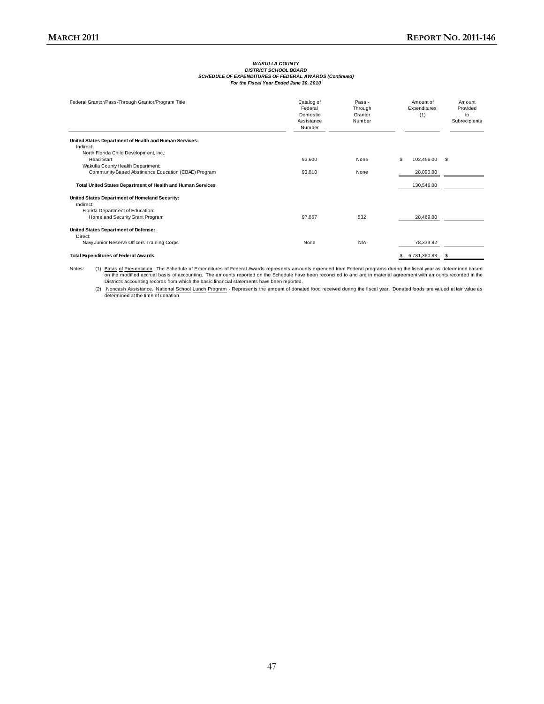#### *WAKULLA COUNTY DISTRICT SCHOOL BOARD SCHEDULE OF EXPENDITURES OF FEDERAL AWARDS (Continued) For the Fiscal Year Ended June 30, 2010*

| Federal Grantor/Pass-Through Grantor/Program Title                  | Catalog of<br>Federal<br>Domestic<br>Assistance<br>Number | Pass-<br>Through<br>Grantor<br>Number |   | Amount of<br>Expenditures<br>(1) | Amount<br>Provided<br>to<br>Subrecipients |
|---------------------------------------------------------------------|-----------------------------------------------------------|---------------------------------------|---|----------------------------------|-------------------------------------------|
| United States Department of Health and Human Services:<br>Indirect: |                                                           |                                       |   |                                  |                                           |
| North Florida Child Development, Inc.:                              |                                                           |                                       |   |                                  |                                           |
| <b>Head Start</b>                                                   | 93,600                                                    | None                                  |   | 102,456.00                       | -S                                        |
| Wakulla County Health Department:                                   |                                                           |                                       |   |                                  |                                           |
| Community-Based Abstinence Education (CBAE) Program                 | 93,010                                                    | None                                  |   | 28,090.00                        |                                           |
| Total United States Department of Health and Human Services         |                                                           |                                       |   | 130,546.00                       |                                           |
| United States Department of Homeland Security:<br>Indirect:         |                                                           |                                       |   |                                  |                                           |
| Florida Department of Education:                                    |                                                           |                                       |   |                                  |                                           |
| Homeland Security Grant Program                                     | 97.067                                                    | 532                                   |   | 28.469.00                        |                                           |
| <b>United States Department of Defense:</b><br>Direct:              |                                                           |                                       |   |                                  |                                           |
| Navy Junior Reserve Officers Training Corps                         | None                                                      | N/A                                   |   | 78.333.82                        |                                           |
| <b>Total Expenditures of Federal Awards</b>                         |                                                           |                                       | s | 6,781,360.83                     | \$                                        |

Notes: <u>Basis of Presentation</u>. The Schedule of Expenditures of Federal Awards represents amounts expended from Federal programs during the fiscal year as determined based<br>on the modified accrual basis of accounting. The amounts District's accounting records from which the basic financial statements have been reported.

(2) Noncash Assistance. National School Lunch Program - Represents the amount of donated food received during the fiscal year. Donated foods are valued at fair value as<br>determined at the time of donation.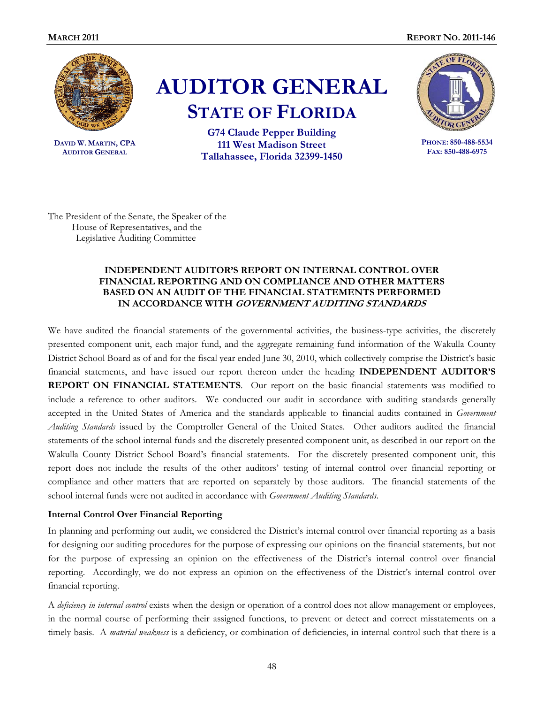<span id="page-52-0"></span>

**DAVID W. MARTIN, CPA AUDITOR GENERAL**

**AUDITOR GENERAL STATE OF FLORIDA**

**G74 Claude Pepper Building 111 West Madison Street Tallahassee, Florida 32399-1450** 



**PHONE: 850-488-5534 FAX: 850-488-6975** 

The President of the Senate, the Speaker of the House of Representatives, and the Legislative Auditing Committee

## **INDEPENDENT AUDITOR'S REPORT ON INTERNAL CONTROL OVER FINANCIAL REPORTING AND ON COMPLIANCE AND OTHER MATTERS BASED ON AN AUDIT OF THE FINANCIAL STATEMENTS PERFORMED IN ACCORDANCE WITH GOVERNMENT AUDITING STANDARDS**

We have audited the financial statements of the governmental activities, the business-type activities, the discretely presented component unit, each major fund, and the aggregate remaining fund information of the Wakulla County District School Board as of and for the fiscal year ended June 30, 2010, which collectively comprise the District's basic financial statements, and have issued our report thereon under the heading **INDEPENDENT AUDITOR'S REPORT ON FINANCIAL STATEMENTS**. Our report on the basic financial statements was modified to include a reference to other auditors. We conducted our audit in accordance with auditing standards generally accepted in the United States of America and the standards applicable to financial audits contained in *Government Auditing Standards* issued by the Comptroller General of the United States. Other auditors audited the financial statements of the school internal funds and the discretely presented component unit, as described in our report on the Wakulla County District School Board's financial statements. For the discretely presented component unit, this report does not include the results of the other auditors' testing of internal control over financial reporting or compliance and other matters that are reported on separately by those auditors. The financial statements of the school internal funds were not audited in accordance with *Government Auditing Standards*.

## **Internal Control Over Financial Reporting**

In planning and performing our audit, we considered the District's internal control over financial reporting as a basis for designing our auditing procedures for the purpose of expressing our opinions on the financial statements, but not for the purpose of expressing an opinion on the effectiveness of the District's internal control over financial reporting. Accordingly, we do not express an opinion on the effectiveness of the District's internal control over financial reporting.

A *deficiency in internal control* exists when the design or operation of a control does not allow management or employees, in the normal course of performing their assigned functions, to prevent or detect and correct misstatements on a timely basis. A *material weakness* is a deficiency, or combination of deficiencies, in internal control such that there is a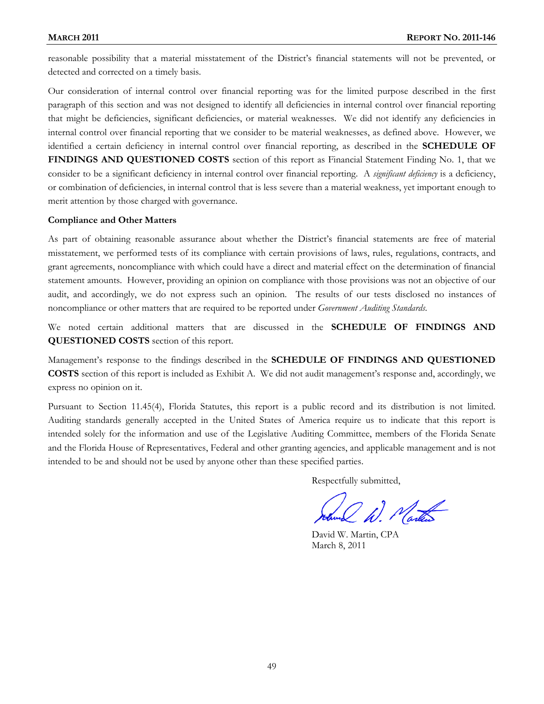reasonable possibility that a material misstatement of the District's financial statements will not be prevented, or detected and corrected on a timely basis.

Our consideration of internal control over financial reporting was for the limited purpose described in the first paragraph of this section and was not designed to identify all deficiencies in internal control over financial reporting that might be deficiencies, significant deficiencies, or material weaknesses. We did not identify any deficiencies in internal control over financial reporting that we consider to be material weaknesses, as defined above. However, we identified a certain deficiency in internal control over financial reporting, as described in the **SCHEDULE OF FINDINGS AND QUESTIONED COSTS** section of this report as Financial Statement Finding No. 1, that we consider to be a significant deficiency in internal control over financial reporting. A *significant deficiency* is a deficiency, or combination of deficiencies, in internal control that is less severe than a material weakness, yet important enough to merit attention by those charged with governance.

#### **Compliance and Other Matters**

As part of obtaining reasonable assurance about whether the District's financial statements are free of material misstatement, we performed tests of its compliance with certain provisions of laws, rules, regulations, contracts, and grant agreements, noncompliance with which could have a direct and material effect on the determination of financial statement amounts. However, providing an opinion on compliance with those provisions was not an objective of our audit, and accordingly, we do not express such an opinion. The results of our tests disclosed no instances of noncompliance or other matters that are required to be reported under *Government Auditing Standards*.

We noted certain additional matters that are discussed in the **SCHEDULE OF FINDINGS AND QUESTIONED COSTS** section of this report.

Management's response to the findings described in the **SCHEDULE OF FINDINGS AND QUESTIONED COSTS** section of this report is included as Exhibit A. We did not audit management's response and, accordingly, we express no opinion on it.

Pursuant to Section 11.45(4), Florida Statutes, this report is a public record and its distribution is not limited. Auditing standards generally accepted in the United States of America require us to indicate that this report is intended solely for the information and use of the Legislative Auditing Committee, members of the Florida Senate and the Florida House of Representatives, Federal and other granting agencies, and applicable management and is not intended to be and should not be used by anyone other than these specified parties.

Respectfully submitted,

(a) Martin

David W. Martin, CPA March 8, 2011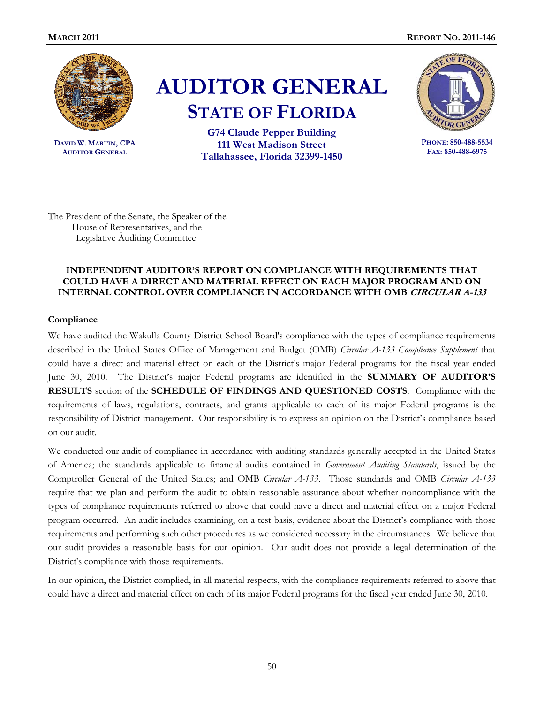<span id="page-54-0"></span>

**DAVID W. MARTIN, CPA AUDITOR GENERAL**

**AUDITOR GENERAL STATE OF FLORIDA**



**G74 Claude Pepper Building 111 West Madison Street Tallahassee, Florida 32399-1450** 

**PHONE: 850-488-5534 FAX: 850-488-6975** 

The President of the Senate, the Speaker of the House of Representatives, and the Legislative Auditing Committee

#### **INDEPENDENT AUDITOR'S REPORT ON COMPLIANCE WITH REQUIREMENTS THAT COULD HAVE A DIRECT AND MATERIAL EFFECT ON EACH MAJOR PROGRAM AND ON INTERNAL CONTROL OVER COMPLIANCE IN ACCORDANCE WITH OMB CIRCULAR A-133**

#### **Compliance**

We have audited the Wakulla County District School Board's compliance with the types of compliance requirements described in the United States Office of Management and Budget (OMB) *Circular A-133 Compliance Supplement* that could have a direct and material effect on each of the District's major Federal programs for the fiscal year ended June 30, 2010. The District's major Federal programs are identified in the **SUMMARY OF AUDITOR'S RESULTS** section of the **SCHEDULE OF FINDINGS AND QUESTIONED COSTS**. Compliance with the requirements of laws, regulations, contracts, and grants applicable to each of its major Federal programs is the responsibility of District management. Our responsibility is to express an opinion on the District's compliance based on our audit.

We conducted our audit of compliance in accordance with auditing standards generally accepted in the United States of America; the standards applicable to financial audits contained in *Government Auditing Standards*, issued by the Comptroller General of the United States; and OMB *Circular A-133*. Those standards and OMB *Circular A-133* require that we plan and perform the audit to obtain reasonable assurance about whether noncompliance with the types of compliance requirements referred to above that could have a direct and material effect on a major Federal program occurred. An audit includes examining, on a test basis, evidence about the District's compliance with those requirements and performing such other procedures as we considered necessary in the circumstances. We believe that our audit provides a reasonable basis for our opinion. Our audit does not provide a legal determination of the District's compliance with those requirements.

In our opinion, the District complied, in all material respects, with the compliance requirements referred to above that could have a direct and material effect on each of its major Federal programs for the fiscal year ended June 30, 2010.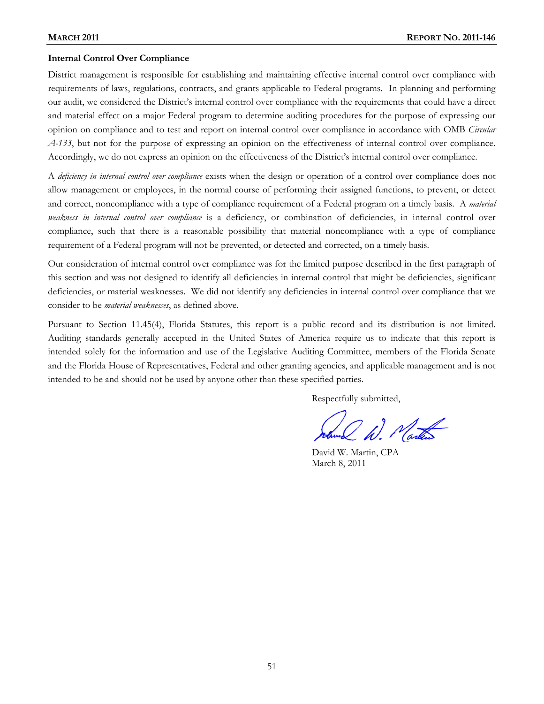#### **Internal Control Over Compliance**

District management is responsible for establishing and maintaining effective internal control over compliance with requirements of laws, regulations, contracts, and grants applicable to Federal programs. In planning and performing our audit, we considered the District's internal control over compliance with the requirements that could have a direct and material effect on a major Federal program to determine auditing procedures for the purpose of expressing our opinion on compliance and to test and report on internal control over compliance in accordance with OMB *Circular A-133*, but not for the purpose of expressing an opinion on the effectiveness of internal control over compliance. Accordingly, we do not express an opinion on the effectiveness of the District's internal control over compliance.

A *deficiency in internal control over compliance* exists when the design or operation of a control over compliance does not allow management or employees, in the normal course of performing their assigned functions, to prevent, or detect and correct, noncompliance with a type of compliance requirement of a Federal program on a timely basis. A *material weakness in internal control over compliance* is a deficiency, or combination of deficiencies, in internal control over compliance, such that there is a reasonable possibility that material noncompliance with a type of compliance requirement of a Federal program will not be prevented, or detected and corrected, on a timely basis.

Our consideration of internal control over compliance was for the limited purpose described in the first paragraph of this section and was not designed to identify all deficiencies in internal control that might be deficiencies, significant deficiencies, or material weaknesses. We did not identify any deficiencies in internal control over compliance that we consider to be *material weaknesses*, as defined above.

Pursuant to Section 11.45(4), Florida Statutes, this report is a public record and its distribution is not limited. Auditing standards generally accepted in the United States of America require us to indicate that this report is intended solely for the information and use of the Legislative Auditing Committee, members of the Florida Senate and the Florida House of Representatives, Federal and other granting agencies, and applicable management and is not intended to be and should not be used by anyone other than these specified parties.

Respectfully submitted,

David W. Martin, CPA March 8, 2011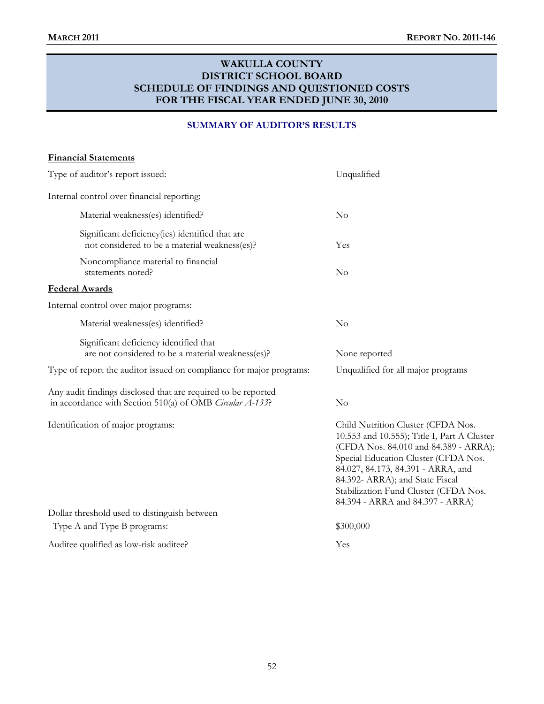## <span id="page-56-0"></span>**WAKULLA COUNTY DISTRICT SCHOOL BOARD SCHEDULE OF FINDINGS AND QUESTIONED COSTS FOR THE FISCAL YEAR ENDED JUNE 30, 2010**

## **SUMMARY OF AUDITOR'S RESULTS**

## **Financial Statements**

| Type of auditor's report issued:                                                                                          | Unqualified                                                                                                                                                                                                                                                                                                              |  |  |
|---------------------------------------------------------------------------------------------------------------------------|--------------------------------------------------------------------------------------------------------------------------------------------------------------------------------------------------------------------------------------------------------------------------------------------------------------------------|--|--|
| Internal control over financial reporting:                                                                                |                                                                                                                                                                                                                                                                                                                          |  |  |
| Material weakness(es) identified?                                                                                         | $\rm No$                                                                                                                                                                                                                                                                                                                 |  |  |
| Significant deficiency(ies) identified that are<br>not considered to be a material weakness(es)?                          | Yes                                                                                                                                                                                                                                                                                                                      |  |  |
| Noncompliance material to financial<br>statements noted?                                                                  | No                                                                                                                                                                                                                                                                                                                       |  |  |
| <b>Federal Awards</b>                                                                                                     |                                                                                                                                                                                                                                                                                                                          |  |  |
| Internal control over major programs:                                                                                     |                                                                                                                                                                                                                                                                                                                          |  |  |
| Material weakness(es) identified?                                                                                         | No                                                                                                                                                                                                                                                                                                                       |  |  |
| Significant deficiency identified that<br>are not considered to be a material weakness(es)?                               | None reported                                                                                                                                                                                                                                                                                                            |  |  |
| Type of report the auditor issued on compliance for major programs:                                                       | Unqualified for all major programs                                                                                                                                                                                                                                                                                       |  |  |
| Any audit findings disclosed that are required to be reported<br>in accordance with Section 510(a) of OMB Circular A-133? | No                                                                                                                                                                                                                                                                                                                       |  |  |
| Identification of major programs:                                                                                         | Child Nutrition Cluster (CFDA Nos.<br>10.553 and 10.555); Title I, Part A Cluster<br>(CFDA Nos. 84.010 and 84.389 - ARRA);<br>Special Education Cluster (CFDA Nos.<br>84.027, 84.173, 84.391 - ARRA, and<br>84.392- ARRA); and State Fiscal<br>Stabilization Fund Cluster (CFDA Nos.<br>84.394 - ARRA and 84.397 - ARRA) |  |  |
| Dollar threshold used to distinguish between                                                                              |                                                                                                                                                                                                                                                                                                                          |  |  |
| Type A and Type B programs:                                                                                               | \$300,000                                                                                                                                                                                                                                                                                                                |  |  |
| Auditee qualified as low-risk auditee?                                                                                    | Yes                                                                                                                                                                                                                                                                                                                      |  |  |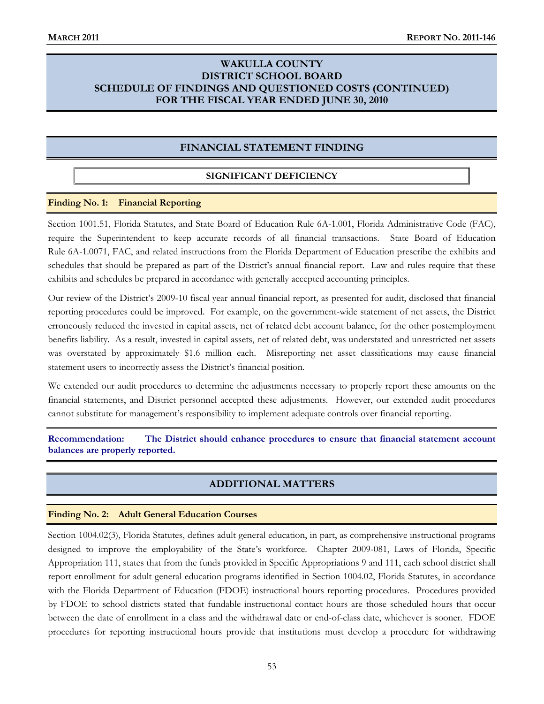## **WAKULLA COUNTY DISTRICT SCHOOL BOARD SCHEDULE OF FINDINGS AND QUESTIONED COSTS (CONTINUED) FOR THE FISCAL YEAR ENDED JUNE 30, 2010**

## **FINANCIAL STATEMENT FINDING**

## **SIGNIFICANT DEFICIENCY**

#### **Finding No. 1: Financial Reporting**

Section 1001.51, Florida Statutes, and State Board of Education Rule 6A-1.001, Florida Administrative Code (FAC), require the Superintendent to keep accurate records of all financial transactions. State Board of Education Rule 6A-1.0071, FAC, and related instructions from the Florida Department of Education prescribe the exhibits and schedules that should be prepared as part of the District's annual financial report. Law and rules require that these exhibits and schedules be prepared in accordance with generally accepted accounting principles.

Our review of the District's 2009-10 fiscal year annual financial report, as presented for audit, disclosed that financial reporting procedures could be improved. For example, on the government-wide statement of net assets, the District erroneously reduced the invested in capital assets, net of related debt account balance, for the other postemployment benefits liability. As a result, invested in capital assets, net of related debt, was understated and unrestricted net assets was overstated by approximately \$1.6 million each. Misreporting net asset classifications may cause financial statement users to incorrectly assess the District's financial position.

We extended our audit procedures to determine the adjustments necessary to properly report these amounts on the financial statements, and District personnel accepted these adjustments. However, our extended audit procedures cannot substitute for management's responsibility to implement adequate controls over financial reporting.

**Recommendation: The District should enhance procedures to ensure that financial statement account balances are properly reported.** 

# **ADDITIONAL MATTERS**

## **Finding No. 2: Adult General Education Courses**

Section 1004.02(3), Florida Statutes, defines adult general education, in part, as comprehensive instructional programs designed to improve the employability of the State's workforce. Chapter 2009-081, Laws of Florida, Specific Appropriation 111, states that from the funds provided in Specific Appropriations 9 and 111, each school district shall report enrollment for adult general education programs identified in Section 1004.02, Florida Statutes, in accordance with the Florida Department of Education (FDOE) instructional hours reporting procedures. Procedures provided by FDOE to school districts stated that fundable instructional contact hours are those scheduled hours that occur between the date of enrollment in a class and the withdrawal date or end-of-class date, whichever is sooner. FDOE procedures for reporting instructional hours provide that institutions must develop a procedure for withdrawing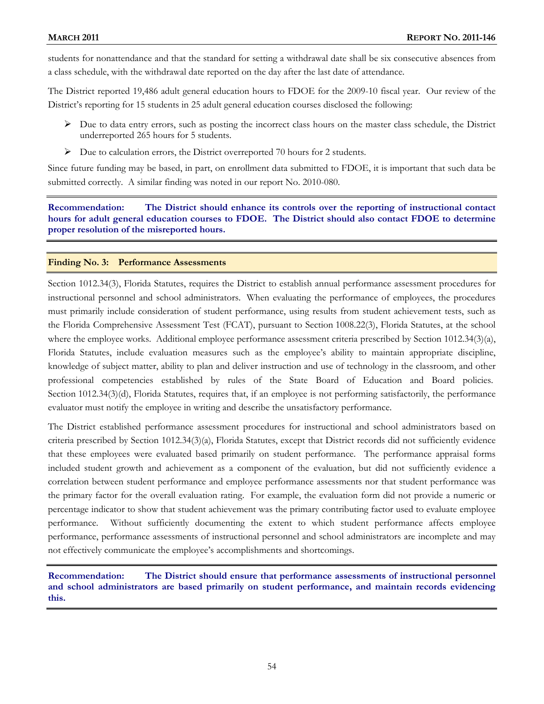students for nonattendance and that the standard for setting a withdrawal date shall be six consecutive absences from a class schedule, with the withdrawal date reported on the day after the last date of attendance.

The District reported 19,486 adult general education hours to FDOE for the 2009-10 fiscal year. Our review of the District's reporting for 15 students in 25 adult general education courses disclosed the following:

- $\triangleright$  Due to data entry errors, such as posting the incorrect class hours on the master class schedule, the District underreported 265 hours for 5 students.
- $\triangleright$  Due to calculation errors, the District overreported 70 hours for 2 students.

Since future funding may be based, in part, on enrollment data submitted to FDOE, it is important that such data be submitted correctly. A similar finding was noted in our report No. 2010-080.

**Recommendation: The District should enhance its controls over the reporting of instructional contact hours for adult general education courses to FDOE. The District should also contact FDOE to determine proper resolution of the misreported hours.** 

#### **Finding No. 3: Performance Assessments**

Section 1012.34(3), Florida Statutes, requires the District to establish annual performance assessment procedures for instructional personnel and school administrators. When evaluating the performance of employees, the procedures must primarily include consideration of student performance, using results from student achievement tests, such as the Florida Comprehensive Assessment Test (FCAT), pursuant to Section 1008.22(3), Florida Statutes, at the school where the employee works. Additional employee performance assessment criteria prescribed by Section 1012.34(3)(a), Florida Statutes, include evaluation measures such as the employee's ability to maintain appropriate discipline, knowledge of subject matter, ability to plan and deliver instruction and use of technology in the classroom, and other professional competencies established by rules of the State Board of Education and Board policies. Section 1012.34(3)(d), Florida Statutes, requires that, if an employee is not performing satisfactorily, the performance evaluator must notify the employee in writing and describe the unsatisfactory performance.

The District established performance assessment procedures for instructional and school administrators based on criteria prescribed by Section 1012.34(3)(a), Florida Statutes, except that District records did not sufficiently evidence that these employees were evaluated based primarily on student performance. The performance appraisal forms included student growth and achievement as a component of the evaluation, but did not sufficiently evidence a correlation between student performance and employee performance assessments nor that student performance was the primary factor for the overall evaluation rating. For example, the evaluation form did not provide a numeric or percentage indicator to show that student achievement was the primary contributing factor used to evaluate employee performance. Without sufficiently documenting the extent to which student performance affects employee performance, performance assessments of instructional personnel and school administrators are incomplete and may not effectively communicate the employee's accomplishments and shortcomings.

**Recommendation: The District should ensure that performance assessments of instructional personnel and school administrators are based primarily on student performance, and maintain records evidencing this.**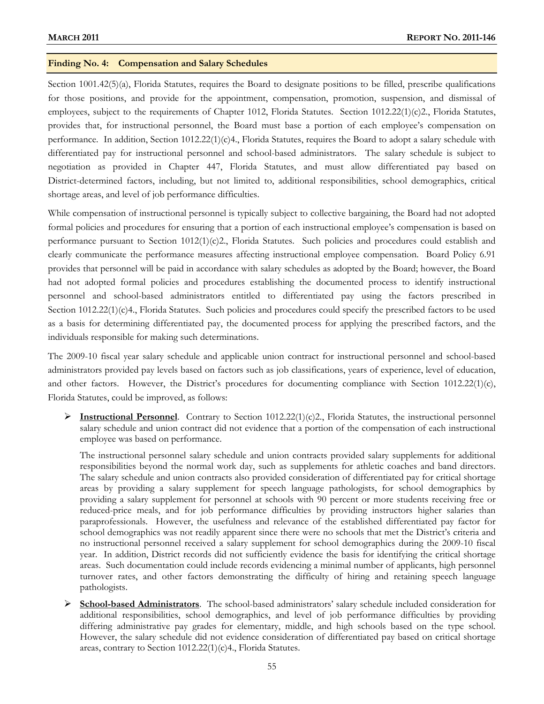#### **Finding No. 4: Compensation and Salary Schedules**

Section 1001.42(5)(a), Florida Statutes, requires the Board to designate positions to be filled, prescribe qualifications for those positions, and provide for the appointment, compensation, promotion, suspension, and dismissal of employees, subject to the requirements of Chapter 1012, Florida Statutes. Section 1012.22(1)(c)2., Florida Statutes, provides that, for instructional personnel, the Board must base a portion of each employee's compensation on performance. In addition, Section 1012.22(1)(c)4., Florida Statutes, requires the Board to adopt a salary schedule with differentiated pay for instructional personnel and school-based administrators. The salary schedule is subject to negotiation as provided in Chapter 447, Florida Statutes, and must allow differentiated pay based on District-determined factors, including, but not limited to, additional responsibilities, school demographics, critical shortage areas, and level of job performance difficulties.

While compensation of instructional personnel is typically subject to collective bargaining, the Board had not adopted formal policies and procedures for ensuring that a portion of each instructional employee's compensation is based on performance pursuant to Section 1012(1)(c)2., Florida Statutes. Such policies and procedures could establish and clearly communicate the performance measures affecting instructional employee compensation. Board Policy 6.91 provides that personnel will be paid in accordance with salary schedules as adopted by the Board; however, the Board had not adopted formal policies and procedures establishing the documented process to identify instructional personnel and school-based administrators entitled to differentiated pay using the factors prescribed in Section 1012.22(1)(c)4., Florida Statutes. Such policies and procedures could specify the prescribed factors to be used as a basis for determining differentiated pay, the documented process for applying the prescribed factors, and the individuals responsible for making such determinations.

The 2009-10 fiscal year salary schedule and applicable union contract for instructional personnel and school-based administrators provided pay levels based on factors such as job classifications, years of experience, level of education, and other factors. However, the District's procedures for documenting compliance with Section 1012.22(1)(c), Florida Statutes, could be improved, as follows:

▶ Instructional Personnel. Contrary to Section 1012.22(1)(c)2., Florida Statutes, the instructional personnel salary schedule and union contract did not evidence that a portion of the compensation of each instructional employee was based on performance.

The instructional personnel salary schedule and union contracts provided salary supplements for additional responsibilities beyond the normal work day, such as supplements for athletic coaches and band directors. The salary schedule and union contracts also provided consideration of differentiated pay for critical shortage areas by providing a salary supplement for speech language pathologists, for school demographics by providing a salary supplement for personnel at schools with 90 percent or more students receiving free or reduced-price meals, and for job performance difficulties by providing instructors higher salaries than paraprofessionals. However, the usefulness and relevance of the established differentiated pay factor for school demographics was not readily apparent since there were no schools that met the District's criteria and no instructional personnel received a salary supplement for school demographics during the 2009-10 fiscal year. In addition, District records did not sufficiently evidence the basis for identifying the critical shortage areas. Such documentation could include records evidencing a minimal number of applicants, high personnel turnover rates, and other factors demonstrating the difficulty of hiring and retaining speech language pathologists.

 **School-based Administrators**. The school-based administrators' salary schedule included consideration for additional responsibilities, school demographics, and level of job performance difficulties by providing differing administrative pay grades for elementary, middle, and high schools based on the type school. However, the salary schedule did not evidence consideration of differentiated pay based on critical shortage areas, contrary to Section 1012.22(1)(c)4., Florida Statutes.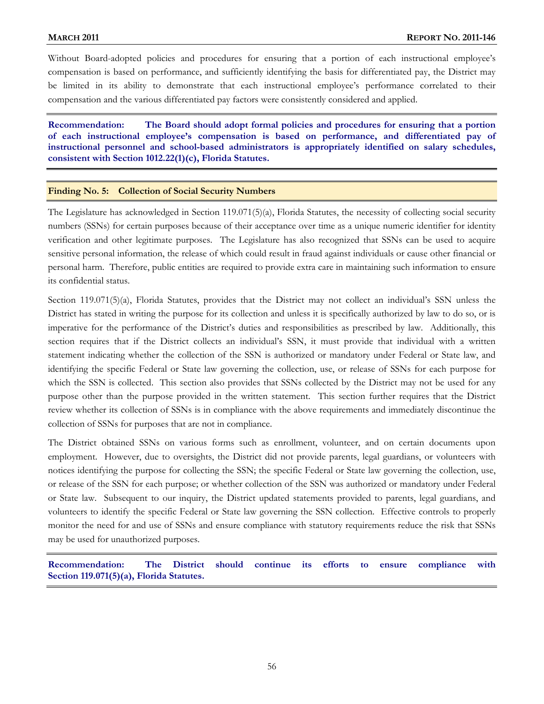Without Board-adopted policies and procedures for ensuring that a portion of each instructional employee's compensation is based on performance, and sufficiently identifying the basis for differentiated pay, the District may be limited in its ability to demonstrate that each instructional employee's performance correlated to their compensation and the various differentiated pay factors were consistently considered and applied.

**Recommendation: The Board should adopt formal policies and procedures for ensuring that a portion of each instructional employee's compensation is based on performance, and differentiated pay of instructional personnel and school-based administrators is appropriately identified on salary schedules, consistent with Section 1012.22(1)(c), Florida Statutes.** 

#### **Finding No. 5: Collection of Social Security Numbers**

The Legislature has acknowledged in Section 119.071(5)(a), Florida Statutes, the necessity of collecting social security numbers (SSNs) for certain purposes because of their acceptance over time as a unique numeric identifier for identity verification and other legitimate purposes. The Legislature has also recognized that SSNs can be used to acquire sensitive personal information, the release of which could result in fraud against individuals or cause other financial or personal harm. Therefore, public entities are required to provide extra care in maintaining such information to ensure its confidential status.

Section 119.071(5)(a), Florida Statutes, provides that the District may not collect an individual's SSN unless the District has stated in writing the purpose for its collection and unless it is specifically authorized by law to do so, or is imperative for the performance of the District's duties and responsibilities as prescribed by law. Additionally, this section requires that if the District collects an individual's SSN, it must provide that individual with a written statement indicating whether the collection of the SSN is authorized or mandatory under Federal or State law, and identifying the specific Federal or State law governing the collection, use, or release of SSNs for each purpose for which the SSN is collected. This section also provides that SSNs collected by the District may not be used for any purpose other than the purpose provided in the written statement. This section further requires that the District review whether its collection of SSNs is in compliance with the above requirements and immediately discontinue the collection of SSNs for purposes that are not in compliance.

The District obtained SSNs on various forms such as enrollment, volunteer, and on certain documents upon employment. However, due to oversights, the District did not provide parents, legal guardians, or volunteers with notices identifying the purpose for collecting the SSN; the specific Federal or State law governing the collection, use, or release of the SSN for each purpose; or whether collection of the SSN was authorized or mandatory under Federal or State law. Subsequent to our inquiry, the District updated statements provided to parents, legal guardians, and volunteers to identify the specific Federal or State law governing the SSN collection. Effective controls to properly monitor the need for and use of SSNs and ensure compliance with statutory requirements reduce the risk that SSNs may be used for unauthorized purposes.

**Recommendation: The District should continue its efforts to ensure compliance with Section 119.071(5)(a), Florida Statutes.**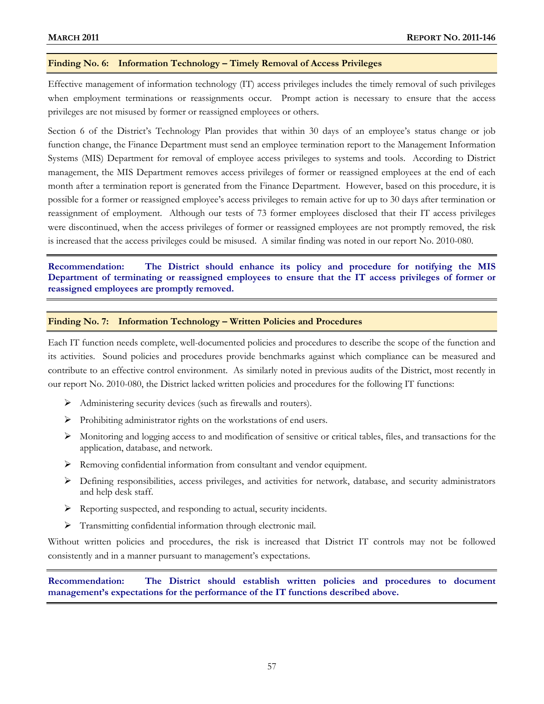#### **Finding No. 6: Information Technology – Timely Removal of Access Privileges**

Effective management of information technology (IT) access privileges includes the timely removal of such privileges when employment terminations or reassignments occur. Prompt action is necessary to ensure that the access privileges are not misused by former or reassigned employees or others.

Section 6 of the District's Technology Plan provides that within 30 days of an employee's status change or job function change, the Finance Department must send an employee termination report to the Management Information Systems (MIS) Department for removal of employee access privileges to systems and tools. According to District management, the MIS Department removes access privileges of former or reassigned employees at the end of each month after a termination report is generated from the Finance Department. However, based on this procedure, it is possible for a former or reassigned employee's access privileges to remain active for up to 30 days after termination or reassignment of employment. Although our tests of 73 former employees disclosed that their IT access privileges were discontinued, when the access privileges of former or reassigned employees are not promptly removed, the risk is increased that the access privileges could be misused. A similar finding was noted in our report No. 2010-080.

## **Recommendation: The District should enhance its policy and procedure for notifying the MIS Department of terminating or reassigned employees to ensure that the IT access privileges of former or reassigned employees are promptly removed.**

**Finding No. 7: Information Technology – Written Policies and Procedures** 

Each IT function needs complete, well-documented policies and procedures to describe the scope of the function and its activities. Sound policies and procedures provide benchmarks against which compliance can be measured and contribute to an effective control environment. As similarly noted in previous audits of the District, most recently in our report No. 2010-080, the District lacked written policies and procedures for the following IT functions:

- Administering security devices (such as firewalls and routers).
- $\triangleright$  Prohibiting administrator rights on the workstations of end users.
- $\triangleright$  Monitoring and logging access to and modification of sensitive or critical tables, files, and transactions for the application, database, and network.
- Removing confidential information from consultant and vendor equipment.
- Defining responsibilities, access privileges, and activities for network, database, and security administrators and help desk staff.
- $\triangleright$  Reporting suspected, and responding to actual, security incidents.
- Transmitting confidential information through electronic mail.

Without written policies and procedures, the risk is increased that District IT controls may not be followed consistently and in a manner pursuant to management's expectations.

**Recommendation: The District should establish written policies and procedures to document management's expectations for the performance of the IT functions described above.**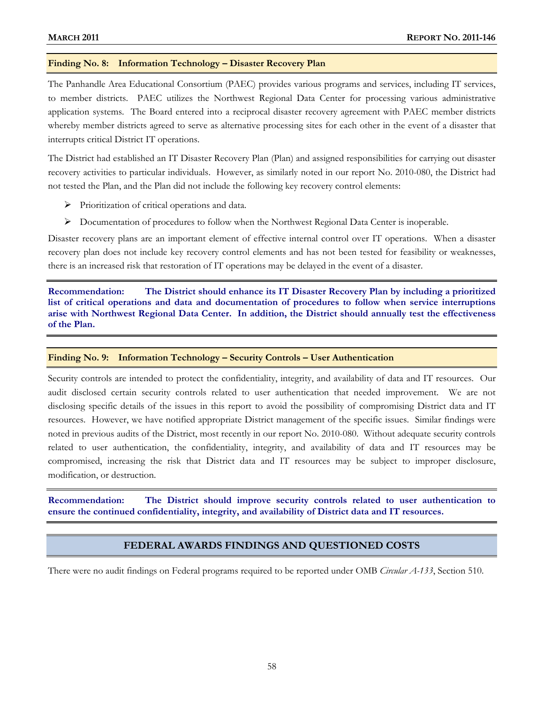#### **Finding No. 8: Information Technology – Disaster Recovery Plan**

The Panhandle Area Educational Consortium (PAEC) provides various programs and services, including IT services, to member districts. PAEC utilizes the Northwest Regional Data Center for processing various administrative application systems. The Board entered into a reciprocal disaster recovery agreement with PAEC member districts whereby member districts agreed to serve as alternative processing sites for each other in the event of a disaster that interrupts critical District IT operations.

The District had established an IT Disaster Recovery Plan (Plan) and assigned responsibilities for carrying out disaster recovery activities to particular individuals. However, as similarly noted in our report No. 2010-080, the District had not tested the Plan, and the Plan did not include the following key recovery control elements:

- $\triangleright$  Prioritization of critical operations and data.
- $\triangleright$  Documentation of procedures to follow when the Northwest Regional Data Center is inoperable.

Disaster recovery plans are an important element of effective internal control over IT operations. When a disaster recovery plan does not include key recovery control elements and has not been tested for feasibility or weaknesses, there is an increased risk that restoration of IT operations may be delayed in the event of a disaster.

**Recommendation: The District should enhance its IT Disaster Recovery Plan by including a prioritized list of critical operations and data and documentation of procedures to follow when service interruptions arise with Northwest Regional Data Center. In addition, the District should annually test the effectiveness of the Plan.** 

#### **Finding No. 9: Information Technology – Security Controls – User Authentication**

Security controls are intended to protect the confidentiality, integrity, and availability of data and IT resources. Our audit disclosed certain security controls related to user authentication that needed improvement. We are not disclosing specific details of the issues in this report to avoid the possibility of compromising District data and IT resources. However, we have notified appropriate District management of the specific issues. Similar findings were noted in previous audits of the District, most recently in our report No. 2010-080. Without adequate security controls related to user authentication, the confidentiality, integrity, and availability of data and IT resources may be compromised, increasing the risk that District data and IT resources may be subject to improper disclosure, modification, or destruction.

**Recommendation: The District should improve security controls related to user authentication to ensure the continued confidentiality, integrity, and availability of District data and IT resources.** 

## **FEDERAL AWARDS FINDINGS AND QUESTIONED COSTS**

There were no audit findings on Federal programs required to be reported under OMB *Circular A-133*, Section 510.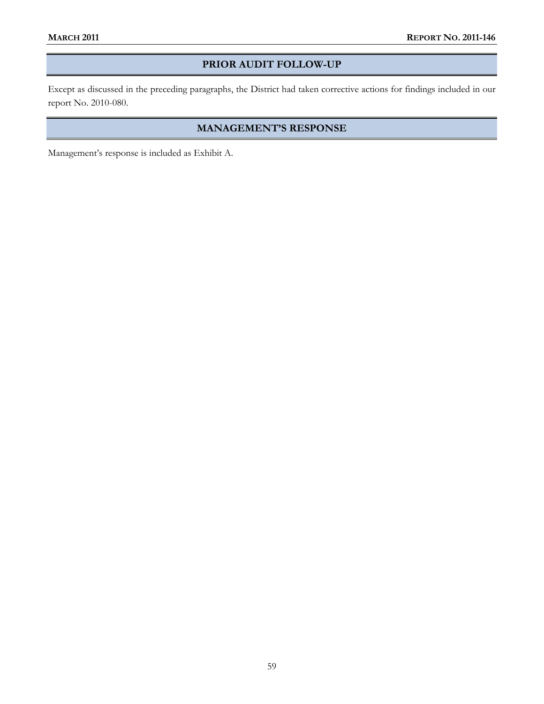# **PRIOR AUDIT FOLLOW-UP**

Except as discussed in the preceding paragraphs, the District had taken corrective actions for findings included in our report No. 2010-080.

## **MANAGEMENT'S RESPONSE**

Management's response is included as Exhibit A.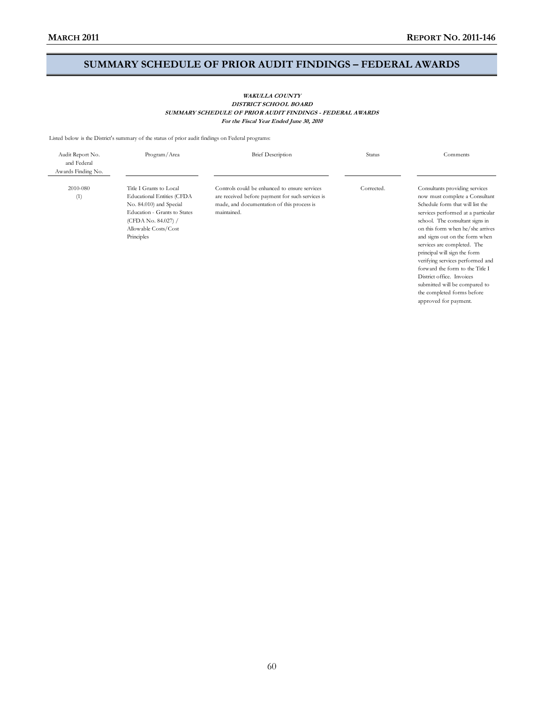## <span id="page-64-0"></span>**SUMMARY SCHEDULE OF PRIOR AUDIT FINDINGS – FEDERAL AWARDS**

#### **WAKULLA COUNTY DISTRICT SCHOOL BOARD SUMMARY SCHEDULE OF PRIOR AUDIT FINDINGS - FEDERAL AWARDS For the Fiscal Year Ended June 30, 2010**

Listed below is the District's summary of the status of prior audit findings on Federal programs:

| Audit Report No.<br>and Federal<br>Awards Finding No. | Program/Area                                                                                                                                                                         | <b>Brief Description</b>                                                                                                                                       | <b>Status</b> | Comments                                                                                                                                                                                                                                                                                                                                                                                                                                                                                                       |
|-------------------------------------------------------|--------------------------------------------------------------------------------------------------------------------------------------------------------------------------------------|----------------------------------------------------------------------------------------------------------------------------------------------------------------|---------------|----------------------------------------------------------------------------------------------------------------------------------------------------------------------------------------------------------------------------------------------------------------------------------------------------------------------------------------------------------------------------------------------------------------------------------------------------------------------------------------------------------------|
| 2010-080<br>(1)                                       | Title I Grants to Local<br><b>Educational Entities (CFDA</b><br>No. 84.010) and Special<br>Education - Grants to States<br>(CFDA No. 84.027) /<br>Allowable Costs/Cost<br>Principles | Controls could be enhanced to ensure services<br>are received before payment for such services is<br>made, and documentation of this process is<br>maintained. | Corrected.    | Consultants providing services<br>now must complete a Consultant<br>Schedule form that will list the<br>services performed at a particular<br>school. The consultant signs in<br>on this form when he/she arrives<br>and signs out on the form when<br>services are completed. The<br>principal will sign the form<br>verifying services performed and<br>forward the form to the Title I<br>District office. Invoices<br>submitted will be compared to<br>the completed forms before<br>approved for payment. |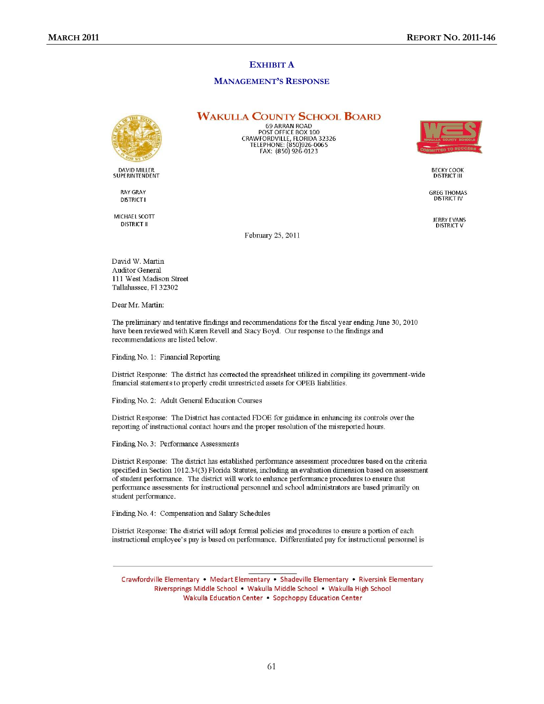#### **EXHIBIT A**

#### **MANAGEMENT'S RESPONSE**

<span id="page-65-0"></span>

DAVID MILLER<br>SUPERINTENDENT

**RAY GRAY DISTRICT I** 

MICHAEL SCOTT **DISTRICT II** 

**WAKULLA COUNTY SCHOOL BOARD** 69 ARRAN ROAD<br>POST OFFICE BOX 100<br>CRAWFORDVILLE, FLORIDA 32326<br>TELEPHONE: (850)926-0065<br>FAX: (850)926-0123



**BECKY COOK**<br>DISTRICT III

**GREG THOMAS DISTRICT IV** 

**JERRY EVANS**<br>DISTRICT V

February 25, 2011

David W. Martin Auditor General 111 West Madison Street Tallahassee, Fl 32302

Dear Mr. Martin:

The preliminary and tentative findings and recommendations for the fiscal year ending June 30, 2010 have been reviewed with Karen Revell and Stacy Boyd. Our response to the findings and recommendations are listed below.

Finding No. 1: Financial Reporting

District Response: The district has corrected the spreadsheet utilized in compiling its government-wide financial statements to properly credit unrestricted assets for OPEB liabilities.

Finding No. 2: Adult General Education Courses

District Response: The District has contacted FDOE for guidance in enhancing its controls over the reporting of instructional contact hours and the proper resolution of the misreported hours.

Finding No. 3: Performance Assessments

District Response: The district has established performance assessment procedures based on the criteria specified in Section 1012.34(3) Florida Statutes, including an evaluation dimension based on assessment of student performance. The district will work to enhance performance procedures to ensure that performance assessments for instructional personnel and school administrators are based primarily on student performance.

Finding No. 4: Compensation and Salary Schedules

District Response: The district will adopt formal policies and procedures to ensure a portion of each instructional employee's pay is based on performance. Differentiated pay for instructional personnel is

Crawfordville Elementary • Medart Elementary • Shadeville Elementary • Riversink Elementary Riversprings Middle School . Wakulla Middle School . Wakulla High School Wakulla Education Center . Sopchoppy Education Center